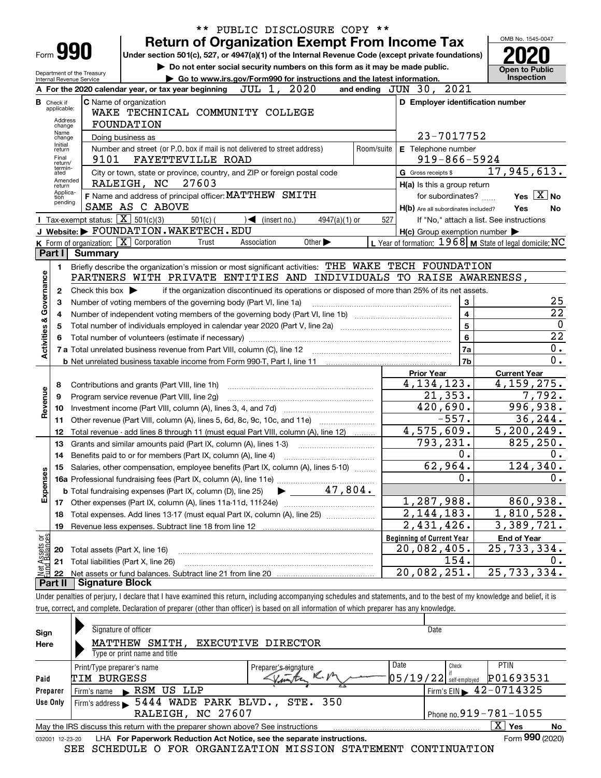|                           |                                                                                                                                                                                                                                                                                                                                     |                                                   | ** PUBLIC DISCLOSURE COPY **                                                                                                                                               |                                                           |                                          |  |  |  |  |  |
|---------------------------|-------------------------------------------------------------------------------------------------------------------------------------------------------------------------------------------------------------------------------------------------------------------------------------------------------------------------------------|---------------------------------------------------|----------------------------------------------------------------------------------------------------------------------------------------------------------------------------|-----------------------------------------------------------|------------------------------------------|--|--|--|--|--|
|                           |                                                                                                                                                                                                                                                                                                                                     |                                                   | <b>Return of Organization Exempt From Income Tax</b>                                                                                                                       |                                                           | OMB No. 1545-0047                        |  |  |  |  |  |
|                           | Form 990<br>Under section 501(c), 527, or 4947(a)(1) of the Internal Revenue Code (except private foundations)<br>Do not enter social security numbers on this form as it may be made public.<br>Department of the Treasury<br>► Go to www.irs.gov/Form990 for instructions and the latest information.<br>Internal Revenue Service |                                                   |                                                                                                                                                                            |                                                           |                                          |  |  |  |  |  |
|                           | and ending JUN 30, 2021<br>JUL 1, 2020<br>A For the 2020 calendar year, or tax year beginning                                                                                                                                                                                                                                       |                                                   |                                                                                                                                                                            |                                                           |                                          |  |  |  |  |  |
|                           |                                                                                                                                                                                                                                                                                                                                     |                                                   |                                                                                                                                                                            |                                                           | Inspection                               |  |  |  |  |  |
|                           | <b>B</b> Check if                                                                                                                                                                                                                                                                                                                   |                                                   | <b>C</b> Name of organization                                                                                                                                              | D Employer identification number                          |                                          |  |  |  |  |  |
|                           | applicable:                                                                                                                                                                                                                                                                                                                         |                                                   | WAKE TECHNICAL COMMUNITY COLLEGE                                                                                                                                           |                                                           |                                          |  |  |  |  |  |
|                           | Address<br>change                                                                                                                                                                                                                                                                                                                   |                                                   | <b>FOUNDATION</b>                                                                                                                                                          |                                                           |                                          |  |  |  |  |  |
|                           | Name<br>change                                                                                                                                                                                                                                                                                                                      |                                                   | Doing business as                                                                                                                                                          | 23-7017752                                                |                                          |  |  |  |  |  |
|                           | Initial<br>return                                                                                                                                                                                                                                                                                                                   |                                                   | Number and street (or P.O. box if mail is not delivered to street address)<br>Room/suite                                                                                   | E Telephone number                                        |                                          |  |  |  |  |  |
|                           | Final                                                                                                                                                                                                                                                                                                                               | 9101                                              | FAYETTEVILLE ROAD                                                                                                                                                          | $919 - 866 - 5924$                                        |                                          |  |  |  |  |  |
|                           | return/<br>termin-<br>ated                                                                                                                                                                                                                                                                                                          |                                                   | City or town, state or province, country, and ZIP or foreign postal code                                                                                                   | G Gross receipts \$                                       | $\overline{17, 945, 613.}$               |  |  |  |  |  |
|                           | Amended<br>return                                                                                                                                                                                                                                                                                                                   |                                                   | RALEIGH, NC<br>27603                                                                                                                                                       | H(a) Is this a group return                               |                                          |  |  |  |  |  |
|                           | Applica-<br>tion                                                                                                                                                                                                                                                                                                                    |                                                   | F Name and address of principal officer: MATTHEW SMITH                                                                                                                     | for subordinates?                                         | Yes $X$ No                               |  |  |  |  |  |
|                           | pending                                                                                                                                                                                                                                                                                                                             |                                                   | SAME AS C ABOVE                                                                                                                                                            | H(b) Are all subordinates included?                       | Yes<br>No                                |  |  |  |  |  |
|                           |                                                                                                                                                                                                                                                                                                                                     | Tax-exempt status: $\boxed{\mathbf{X}}$ 501(c)(3) | $501(c)$ (<br>$\sqrt{\frac{1}{1}}$ (insert no.)<br>$4947(a)(1)$ or                                                                                                         | 527                                                       | If "No," attach a list. See instructions |  |  |  |  |  |
|                           |                                                                                                                                                                                                                                                                                                                                     |                                                   | J Website: FOUNDATION. WAKETECH. EDU                                                                                                                                       | $H(c)$ Group exemption number $\blacktriangleright$       |                                          |  |  |  |  |  |
|                           |                                                                                                                                                                                                                                                                                                                                     |                                                   | K Form of organization: $X$ Corporation<br>Other $\blacktriangleright$<br>Trust<br>Association                                                                             | L Year of formation: $1968$ M State of legal domicile: NC |                                          |  |  |  |  |  |
|                           | Part I                                                                                                                                                                                                                                                                                                                              | <b>Summary</b>                                    |                                                                                                                                                                            |                                                           |                                          |  |  |  |  |  |
|                           | 1.                                                                                                                                                                                                                                                                                                                                  |                                                   | Briefly describe the organization's mission or most significant activities: THE WAKE TECH FOUNDATION                                                                       |                                                           |                                          |  |  |  |  |  |
|                           |                                                                                                                                                                                                                                                                                                                                     |                                                   | PARTNERS WITH PRIVATE ENTITIES AND INDIVIDUALS TO RAISE AWARENESS,                                                                                                         |                                                           |                                          |  |  |  |  |  |
|                           | 2                                                                                                                                                                                                                                                                                                                                   | Check this box $\blacktriangleright$              | if the organization discontinued its operations or disposed of more than 25% of its net assets.                                                                            |                                                           |                                          |  |  |  |  |  |
| Governance                | 3                                                                                                                                                                                                                                                                                                                                   |                                                   | Number of voting members of the governing body (Part VI, line 1a)                                                                                                          | 3                                                         | 25                                       |  |  |  |  |  |
|                           | 4                                                                                                                                                                                                                                                                                                                                   |                                                   |                                                                                                                                                                            | $\overline{\mathbf{4}}$                                   | $\overline{22}$                          |  |  |  |  |  |
|                           | 5                                                                                                                                                                                                                                                                                                                                   |                                                   |                                                                                                                                                                            | 5                                                         | $\mathbf 0$                              |  |  |  |  |  |
|                           |                                                                                                                                                                                                                                                                                                                                     |                                                   |                                                                                                                                                                            | 6                                                         | $\overline{22}$                          |  |  |  |  |  |
| <b>Activities &amp;</b>   |                                                                                                                                                                                                                                                                                                                                     |                                                   |                                                                                                                                                                            | 7a                                                        | 0.                                       |  |  |  |  |  |
|                           |                                                                                                                                                                                                                                                                                                                                     |                                                   |                                                                                                                                                                            | 7b                                                        | 0.                                       |  |  |  |  |  |
|                           |                                                                                                                                                                                                                                                                                                                                     |                                                   |                                                                                                                                                                            | <b>Prior Year</b>                                         | <b>Current Year</b>                      |  |  |  |  |  |
|                           | 8                                                                                                                                                                                                                                                                                                                                   |                                                   | Contributions and grants (Part VIII, line 1h)                                                                                                                              | 4, 134, 123.                                              | 4, 159, 275.                             |  |  |  |  |  |
| Revenue                   | 9                                                                                                                                                                                                                                                                                                                                   |                                                   | Program service revenue (Part VIII, line 2g)                                                                                                                               | 21, 353.                                                  | 7,792.                                   |  |  |  |  |  |
|                           | 10                                                                                                                                                                                                                                                                                                                                  |                                                   |                                                                                                                                                                            | $\overline{420,690}$ .                                    | 996,938.                                 |  |  |  |  |  |
|                           | 11                                                                                                                                                                                                                                                                                                                                  |                                                   | Other revenue (Part VIII, column (A), lines 5, 6d, 8c, 9c, 10c, and 11e)                                                                                                   | $-557.$                                                   | 36, 244.                                 |  |  |  |  |  |
|                           | 12                                                                                                                                                                                                                                                                                                                                  |                                                   | Total revenue - add lines 8 through 11 (must equal Part VIII, column (A), line 12)                                                                                         | 4,575,609.                                                | 5, 200, 249.                             |  |  |  |  |  |
|                           | 13                                                                                                                                                                                                                                                                                                                                  |                                                   | Grants and similar amounts paid (Part IX, column (A), lines 1-3)                                                                                                           | 793,231.                                                  | 825, 250.                                |  |  |  |  |  |
|                           | 14                                                                                                                                                                                                                                                                                                                                  |                                                   |                                                                                                                                                                            | 0.                                                        | 0.                                       |  |  |  |  |  |
|                           |                                                                                                                                                                                                                                                                                                                                     |                                                   | 15 Salaries, other compensation, employee benefits (Part IX, column (A), lines 5-10)                                                                                       | 62,964.                                                   | 124,340.                                 |  |  |  |  |  |
|                           |                                                                                                                                                                                                                                                                                                                                     |                                                   |                                                                                                                                                                            | 0.                                                        | 0.                                       |  |  |  |  |  |
| Expenses                  |                                                                                                                                                                                                                                                                                                                                     |                                                   | 47,804.<br><b>b</b> Total fundraising expenses (Part IX, column (D), line 25)                                                                                              |                                                           |                                          |  |  |  |  |  |
|                           |                                                                                                                                                                                                                                                                                                                                     |                                                   |                                                                                                                                                                            | 1,287,988.                                                | 860,938.                                 |  |  |  |  |  |
|                           | 18                                                                                                                                                                                                                                                                                                                                  |                                                   | Total expenses. Add lines 13-17 (must equal Part IX, column (A), line 25)                                                                                                  | 2,144,183.                                                | 1,810,528.                               |  |  |  |  |  |
|                           | 19                                                                                                                                                                                                                                                                                                                                  |                                                   |                                                                                                                                                                            | $\overline{2,431,426}$ .                                  | 3,389,721.                               |  |  |  |  |  |
|                           |                                                                                                                                                                                                                                                                                                                                     |                                                   |                                                                                                                                                                            | <b>Beginning of Current Year</b>                          | <b>End of Year</b>                       |  |  |  |  |  |
|                           | 20                                                                                                                                                                                                                                                                                                                                  | Total assets (Part X, line 16)                    |                                                                                                                                                                            | 20,082,405.                                               | 25,733,334.                              |  |  |  |  |  |
| t Assets or<br>d Balances | 21                                                                                                                                                                                                                                                                                                                                  |                                                   | Total liabilities (Part X, line 26)                                                                                                                                        | 154.                                                      | $\mathbf 0$ .                            |  |  |  |  |  |
| Net                       | 22                                                                                                                                                                                                                                                                                                                                  |                                                   |                                                                                                                                                                            | 20,082,251.                                               | 25,733,334.                              |  |  |  |  |  |
|                           | Part II                                                                                                                                                                                                                                                                                                                             | <b>Signature Block</b>                            |                                                                                                                                                                            |                                                           |                                          |  |  |  |  |  |
|                           |                                                                                                                                                                                                                                                                                                                                     |                                                   | Under penalties of perjury, I declare that I have examined this return, including accompanying schedules and statements, and to the best of my knowledge and belief, it is |                                                           |                                          |  |  |  |  |  |
|                           |                                                                                                                                                                                                                                                                                                                                     |                                                   | true, correct, and complete. Declaration of preparer (other than officer) is based on all information of which preparer has any knowledge.                                 |                                                           |                                          |  |  |  |  |  |
|                           |                                                                                                                                                                                                                                                                                                                                     |                                                   |                                                                                                                                                                            |                                                           |                                          |  |  |  |  |  |

| Sign<br>Here                                                                                                | Signature of officer<br>SMITH,<br>MATTHEW<br>Type or print name and title | EXECUTIVE DIRECTOR                  | Date                                                          |  |  |  |  |  |  |  |  |
|-------------------------------------------------------------------------------------------------------------|---------------------------------------------------------------------------|-------------------------------------|---------------------------------------------------------------|--|--|--|--|--|--|--|--|
|                                                                                                             | Print/Type preparer's name                                                | Date<br>Preparer's signature<br>R.M | <b>PTIN</b><br>Check<br>P01693531<br>$05/19/22$ self-employed |  |  |  |  |  |  |  |  |
| Paid                                                                                                        | TIM BURGESS                                                               |                                     |                                                               |  |  |  |  |  |  |  |  |
| Preparer                                                                                                    | RSM US LLP<br>Firm's name                                                 |                                     | Firm's EIN $\blacktriangleright$ 42-0714325                   |  |  |  |  |  |  |  |  |
| Use Only                                                                                                    | 5444 WADE PARK BLVD.,<br>STE. 350<br>Firm's address                       |                                     |                                                               |  |  |  |  |  |  |  |  |
|                                                                                                             | Phone no. $919 - 781 - 1055$<br>RALEIGH, NC 27607                         |                                     |                                                               |  |  |  |  |  |  |  |  |
| $\overline{X}$ Yes<br>No<br>May the IRS discuss this return with the preparer shown above? See instructions |                                                                           |                                     |                                                               |  |  |  |  |  |  |  |  |
| 032001 12-23-20                                                                                             | LHA For Paperwork Reduction Act Notice, see the separate instructions.    |                                     | Form 990 (2020)                                               |  |  |  |  |  |  |  |  |
|                                                                                                             | SCHEDULE O FOR ORGANIZATION MISSION STATEMENT<br>SEE                      |                                     | CONTINUATION                                                  |  |  |  |  |  |  |  |  |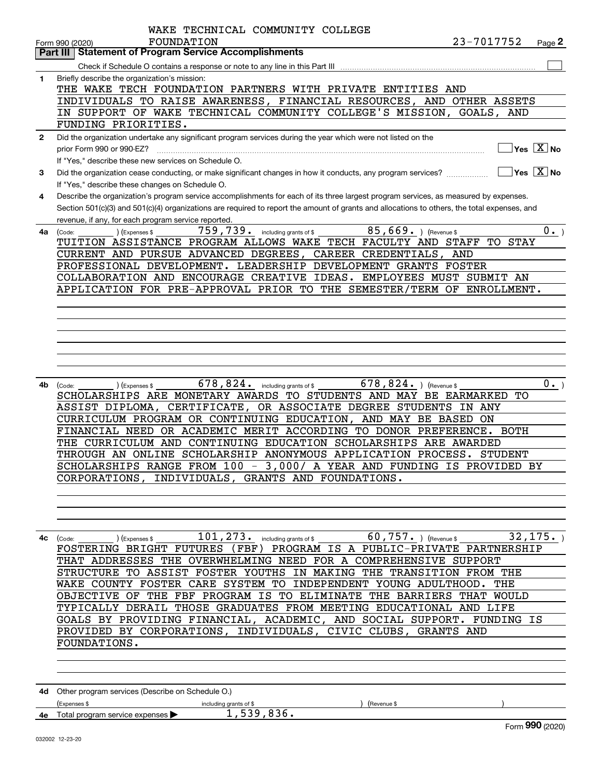|              | WAKE TECHNICAL COMMUNITY COLLEGE                                                                                                                                                                                                                                                                                                                                                                                                                                                                                                                                                                                                                                                                                          |  |
|--------------|---------------------------------------------------------------------------------------------------------------------------------------------------------------------------------------------------------------------------------------------------------------------------------------------------------------------------------------------------------------------------------------------------------------------------------------------------------------------------------------------------------------------------------------------------------------------------------------------------------------------------------------------------------------------------------------------------------------------------|--|
|              | <b>FOUNDATION</b><br>23-7017752<br>Page 2<br>Form 990 (2020)                                                                                                                                                                                                                                                                                                                                                                                                                                                                                                                                                                                                                                                              |  |
|              | Part III   Statement of Program Service Accomplishments                                                                                                                                                                                                                                                                                                                                                                                                                                                                                                                                                                                                                                                                   |  |
|              |                                                                                                                                                                                                                                                                                                                                                                                                                                                                                                                                                                                                                                                                                                                           |  |
| 1            | Briefly describe the organization's mission:<br>THE WAKE TECH FOUNDATION PARTNERS WITH PRIVATE ENTITIES AND<br>INDIVIDUALS TO RAISE AWARENESS, FINANCIAL RESOURCES, AND OTHER ASSETS<br>IN SUPPORT OF WAKE TECHNICAL COMMUNITY COLLEGE'S MISSION, GOALS, AND<br>FUNDING PRIORITIES.                                                                                                                                                                                                                                                                                                                                                                                                                                       |  |
| $\mathbf{2}$ | Did the organization undertake any significant program services during the year which were not listed on the                                                                                                                                                                                                                                                                                                                                                                                                                                                                                                                                                                                                              |  |
|              | $\overline{\ }$ Yes $\overline{\rm X}$ No<br>prior Form 990 or 990-EZ?                                                                                                                                                                                                                                                                                                                                                                                                                                                                                                                                                                                                                                                    |  |
|              | If "Yes." describe these new services on Schedule O.                                                                                                                                                                                                                                                                                                                                                                                                                                                                                                                                                                                                                                                                      |  |
| 3            | $\Box$ Yes $\Box$ No<br>Did the organization cease conducting, or make significant changes in how it conducts, any program services?                                                                                                                                                                                                                                                                                                                                                                                                                                                                                                                                                                                      |  |
|              | If "Yes," describe these changes on Schedule O.                                                                                                                                                                                                                                                                                                                                                                                                                                                                                                                                                                                                                                                                           |  |
| 4            | Describe the organization's program service accomplishments for each of its three largest program services, as measured by expenses.<br>Section 501(c)(3) and 501(c)(4) organizations are required to report the amount of grants and allocations to others, the total expenses, and<br>revenue, if any, for each program service reported.                                                                                                                                                                                                                                                                                                                                                                               |  |
|              | 759,739. including grants of \$<br>$85,669$ . (Revenue \$<br>$0 \cdot$ )<br>(Expenses \$<br>4a (Code:                                                                                                                                                                                                                                                                                                                                                                                                                                                                                                                                                                                                                     |  |
|              | TUITION ASSISTANCE PROGRAM ALLOWS WAKE TECH FACULTY AND STAFF TO STAY                                                                                                                                                                                                                                                                                                                                                                                                                                                                                                                                                                                                                                                     |  |
|              | CURRENT AND PURSUE ADVANCED DEGREES, CAREER CREDENTIALS, AND<br>PROFESSIONAL DEVELOPMENT. LEADERSHIP DEVELOPMENT GRANTS FOSTER                                                                                                                                                                                                                                                                                                                                                                                                                                                                                                                                                                                            |  |
|              | COLLABORATION AND ENCOURAGE CREATIVE IDEAS. EMPLOYEES MUST SUBMIT AN                                                                                                                                                                                                                                                                                                                                                                                                                                                                                                                                                                                                                                                      |  |
|              | APPLICATION FOR PRE-APPROVAL PRIOR TO THE SEMESTER/TERM OF ENROLLMENT.                                                                                                                                                                                                                                                                                                                                                                                                                                                                                                                                                                                                                                                    |  |
|              |                                                                                                                                                                                                                                                                                                                                                                                                                                                                                                                                                                                                                                                                                                                           |  |
|              |                                                                                                                                                                                                                                                                                                                                                                                                                                                                                                                                                                                                                                                                                                                           |  |
|              |                                                                                                                                                                                                                                                                                                                                                                                                                                                                                                                                                                                                                                                                                                                           |  |
|              |                                                                                                                                                                                                                                                                                                                                                                                                                                                                                                                                                                                                                                                                                                                           |  |
|              |                                                                                                                                                                                                                                                                                                                                                                                                                                                                                                                                                                                                                                                                                                                           |  |
|              |                                                                                                                                                                                                                                                                                                                                                                                                                                                                                                                                                                                                                                                                                                                           |  |
| 4b l         | 678, 824. including grants of $$578, 824.$ (Revenue \$)<br>$0 \cdot$ )<br>) (Expenses \$<br>(Code:<br>SCHOLARSHIPS ARE MONETARY AWARDS TO STUDENTS AND MAY BE EARMARKED TO<br>ASSIST DIPLOMA, CERTIFICATE, OR ASSOCIATE DEGREE STUDENTS IN ANY<br>CURRICULUM PROGRAM OR CONTINUING EDUCATION, AND MAY BE BASED<br>ON<br>FINANCIAL NEED OR ACADEMIC MERIT ACCORDING TO DONOR PREFERENCE. BOTH<br>THE CURRICULUM AND CONTINUING EDUCATION SCHOLARSHIPS ARE AWARDED<br>THROUGH AN ONLINE SCHOLARSHIP ANONYMOUS APPLICATION PROCESS. STUDENT<br>SCHOLARSHIPS RANGE FROM 100 - 3,000/ A YEAR AND FUNDING IS PROVIDED BY<br>CORPORATIONS, INDIVIDUALS, GRANTS AND FOUNDATIONS.                                                  |  |
|              |                                                                                                                                                                                                                                                                                                                                                                                                                                                                                                                                                                                                                                                                                                                           |  |
|              |                                                                                                                                                                                                                                                                                                                                                                                                                                                                                                                                                                                                                                                                                                                           |  |
|              | 32, 175.<br>$101, 273$ . including grants of \$<br>$60$ , $757$ $\cdot$ ) (Revenue \$<br>4c (Code:<br>) (Expenses \$<br>FOSTERING BRIGHT FUTURES (FBF) PROGRAM IS A PUBLIC-PRIVATE PARTNERSHIP<br>THAT ADDRESSES THE OVERWHELMING NEED FOR A COMPREHENSIVE SUPPORT<br>STRUCTURE TO ASSIST FOSTER YOUTHS IN MAKING THE TRANSITION FROM THE<br>WAKE COUNTY FOSTER CARE SYSTEM TO INDEPENDENT YOUNG ADULTHOOD. THE<br>OBJECTIVE OF THE FBF PROGRAM IS TO ELIMINATE THE BARRIERS THAT WOULD<br>TYPICALLY DERAIL THOSE GRADUATES FROM MEETING EDUCATIONAL AND LIFE<br>GOALS BY PROVIDING FINANCIAL, ACADEMIC, AND SOCIAL SUPPORT. FUNDING IS<br>PROVIDED BY CORPORATIONS, INDIVIDUALS, CIVIC CLUBS, GRANTS AND<br>FOUNDATIONS. |  |
|              |                                                                                                                                                                                                                                                                                                                                                                                                                                                                                                                                                                                                                                                                                                                           |  |
|              | 4d Other program services (Describe on Schedule O.)<br>(Expenses \$<br>(Revenue \$<br>including grants of \$<br>1,539,836.                                                                                                                                                                                                                                                                                                                                                                                                                                                                                                                                                                                                |  |
|              | 4e Total program service expenses<br>Form 990 (2020)                                                                                                                                                                                                                                                                                                                                                                                                                                                                                                                                                                                                                                                                      |  |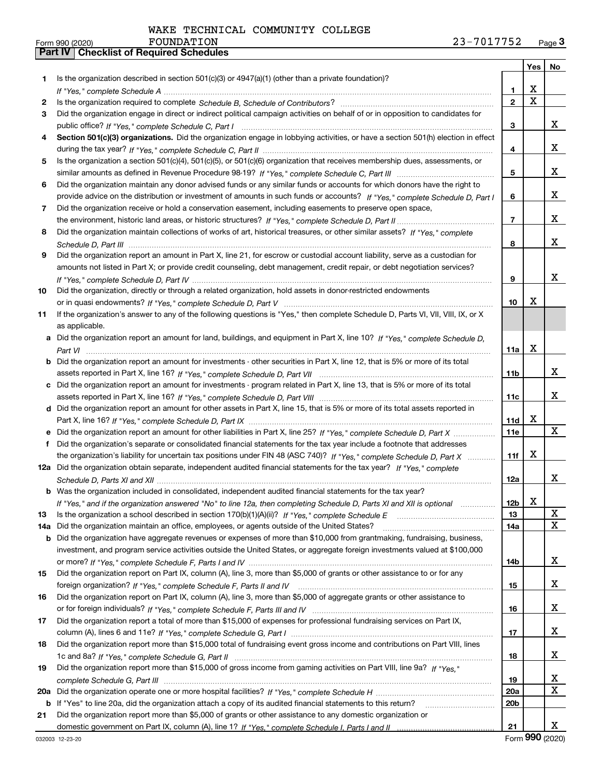|     |                                                                                                                                  |                 | Yes | No |
|-----|----------------------------------------------------------------------------------------------------------------------------------|-----------------|-----|----|
| 1.  | Is the organization described in section $501(c)(3)$ or $4947(a)(1)$ (other than a private foundation)?                          |                 |     |    |
|     |                                                                                                                                  | 1.              | х   |    |
| 2   |                                                                                                                                  | $\overline{2}$  | X   |    |
| 3   | Did the organization engage in direct or indirect political campaign activities on behalf of or in opposition to candidates for  |                 |     |    |
|     |                                                                                                                                  | 3               |     | x  |
| 4   | Section 501(c)(3) organizations. Did the organization engage in lobbying activities, or have a section 501(h) election in effect |                 |     |    |
|     |                                                                                                                                  | 4               |     | x  |
| 5   | Is the organization a section 501(c)(4), 501(c)(5), or 501(c)(6) organization that receives membership dues, assessments, or     |                 |     |    |
|     |                                                                                                                                  | 5               |     | x  |
| 6   | Did the organization maintain any donor advised funds or any similar funds or accounts for which donors have the right to        |                 |     |    |
|     | provide advice on the distribution or investment of amounts in such funds or accounts? If "Yes," complete Schedule D, Part I     | 6               |     | x  |
| 7   | Did the organization receive or hold a conservation easement, including easements to preserve open space,                        |                 |     |    |
|     |                                                                                                                                  | 7               |     | x  |
| 8   | Did the organization maintain collections of works of art, historical treasures, or other similar assets? If "Yes," complete     |                 |     |    |
|     |                                                                                                                                  | 8               |     | x  |
| 9   | Did the organization report an amount in Part X, line 21, for escrow or custodial account liability, serve as a custodian for    |                 |     |    |
|     | amounts not listed in Part X; or provide credit counseling, debt management, credit repair, or debt negotiation services?        |                 |     |    |
|     |                                                                                                                                  | 9               |     | x  |
| 10  | Did the organization, directly or through a related organization, hold assets in donor-restricted endowments                     |                 |     |    |
|     |                                                                                                                                  | 10              | х   |    |
| 11  | If the organization's answer to any of the following questions is "Yes," then complete Schedule D, Parts VI, VII, VIII, IX, or X |                 |     |    |
|     | as applicable.                                                                                                                   |                 |     |    |
| a   | Did the organization report an amount for land, buildings, and equipment in Part X, line 10? If "Yes," complete Schedule D,      |                 |     |    |
|     |                                                                                                                                  | 11a             | х   |    |
| b   | Did the organization report an amount for investments - other securities in Part X, line 12, that is 5% or more of its total     |                 |     |    |
|     |                                                                                                                                  | 11b             |     | x  |
| c   | Did the organization report an amount for investments - program related in Part X, line 13, that is 5% or more of its total      |                 |     |    |
|     |                                                                                                                                  | 11c             |     | x  |
|     | d Did the organization report an amount for other assets in Part X, line 15, that is 5% or more of its total assets reported in  |                 |     |    |
|     |                                                                                                                                  | 11d             | X   |    |
| е   | Did the organization report an amount for other liabilities in Part X, line 25? If "Yes," complete Schedule D, Part X            | <b>11e</b>      |     | X  |
|     | f Did the organization's separate or consolidated financial statements for the tax year include a footnote that addresses        |                 |     |    |
|     | the organization's liability for uncertain tax positions under FIN 48 (ASC 740)? If "Yes," complete Schedule D, Part X           | 11f             | x   |    |
|     | 12a Did the organization obtain separate, independent audited financial statements for the tax year? If "Yes," complete          |                 |     |    |
|     |                                                                                                                                  | 12a             |     | x  |
|     | <b>b</b> Was the organization included in consolidated, independent audited financial statements for the tax year?               |                 |     |    |
|     | If "Yes," and if the organization answered "No" to line 12a, then completing Schedule D, Parts XI and XII is optional            | 12 <sub>b</sub> | x   |    |
| 13  | Is the organization a school described in section 170(b)(1)(A)(ii)? If "Yes," complete Schedule E                                | 13              |     | X  |
| 14a | Did the organization maintain an office, employees, or agents outside of the United States?                                      | 14a             |     | X  |
| b   | Did the organization have aggregate revenues or expenses of more than \$10,000 from grantmaking, fundraising, business,          |                 |     |    |
|     | investment, and program service activities outside the United States, or aggregate foreign investments valued at \$100,000       |                 |     |    |
|     |                                                                                                                                  | 14b             |     | x  |
| 15  | Did the organization report on Part IX, column (A), line 3, more than \$5,000 of grants or other assistance to or for any        |                 |     |    |
|     |                                                                                                                                  | 15              |     | X, |
| 16  | Did the organization report on Part IX, column (A), line 3, more than \$5,000 of aggregate grants or other assistance to         |                 |     |    |
|     |                                                                                                                                  | 16              |     | X, |
| 17  | Did the organization report a total of more than \$15,000 of expenses for professional fundraising services on Part IX,          |                 |     |    |
|     |                                                                                                                                  | 17              |     | X, |
| 18  | Did the organization report more than \$15,000 total of fundraising event gross income and contributions on Part VIII, lines     |                 |     |    |
|     |                                                                                                                                  | 18              |     | X, |
| 19  | Did the organization report more than \$15,000 of gross income from gaming activities on Part VIII, line 9a? If "Yes."           |                 |     |    |
|     |                                                                                                                                  | 19              |     | X. |
| 20a |                                                                                                                                  | 20a             |     | X  |
|     | b If "Yes" to line 20a, did the organization attach a copy of its audited financial statements to this return?                   | 20 <sub>b</sub> |     |    |
| 21  | Did the organization report more than \$5,000 of grants or other assistance to any domestic organization or                      |                 |     |    |
|     |                                                                                                                                  | 21              |     | X  |

Form (2020) **990**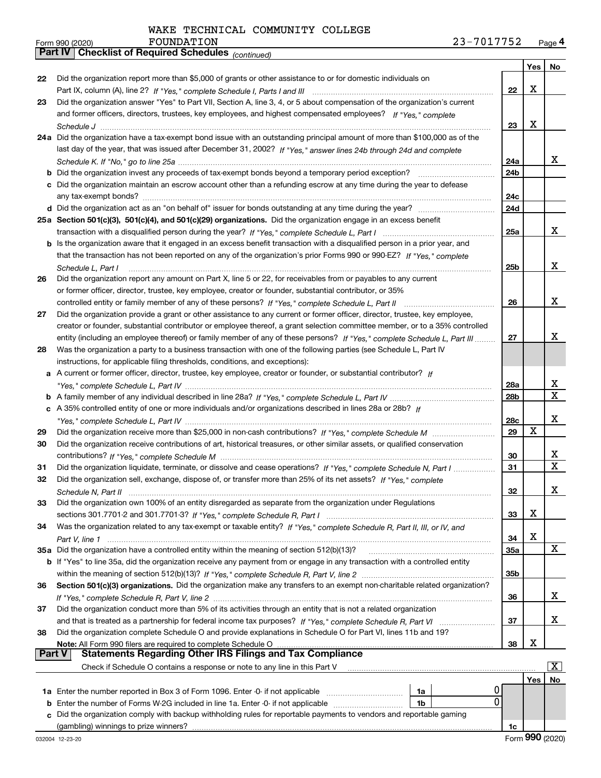*(continued)*

|               |                                                                                                                                                                                                                         |                 | Yes | No          |
|---------------|-------------------------------------------------------------------------------------------------------------------------------------------------------------------------------------------------------------------------|-----------------|-----|-------------|
| 22            | Did the organization report more than \$5,000 of grants or other assistance to or for domestic individuals on                                                                                                           |                 |     |             |
|               |                                                                                                                                                                                                                         | 22              | X   |             |
| 23            | Did the organization answer "Yes" to Part VII, Section A, line 3, 4, or 5 about compensation of the organization's current                                                                                              |                 |     |             |
|               | and former officers, directors, trustees, key employees, and highest compensated employees? If "Yes," complete                                                                                                          |                 |     |             |
|               |                                                                                                                                                                                                                         | 23              | X   |             |
|               | 24a Did the organization have a tax-exempt bond issue with an outstanding principal amount of more than \$100,000 as of the                                                                                             |                 |     |             |
|               | last day of the year, that was issued after December 31, 2002? If "Yes," answer lines 24b through 24d and complete                                                                                                      |                 |     |             |
|               |                                                                                                                                                                                                                         | 24a             |     | x           |
|               | <b>b</b> Did the organization invest any proceeds of tax-exempt bonds beyond a temporary period exception?                                                                                                              | 24b             |     |             |
|               | c Did the organization maintain an escrow account other than a refunding escrow at any time during the year to defease                                                                                                  |                 |     |             |
|               |                                                                                                                                                                                                                         | 24c             |     |             |
|               |                                                                                                                                                                                                                         | 24d             |     |             |
|               | 25a Section 501(c)(3), 501(c)(4), and 501(c)(29) organizations. Did the organization engage in an excess benefit                                                                                                        |                 |     |             |
|               |                                                                                                                                                                                                                         | 25a             |     | х           |
|               | <b>b</b> Is the organization aware that it engaged in an excess benefit transaction with a disqualified person in a prior year, and                                                                                     |                 |     |             |
|               | that the transaction has not been reported on any of the organization's prior Forms 990 or 990-EZ? If "Yes," complete                                                                                                   |                 |     |             |
|               | Schedule L, Part I                                                                                                                                                                                                      | 25 <sub>b</sub> |     | х           |
| 26            | Did the organization report any amount on Part X, line 5 or 22, for receivables from or payables to any current                                                                                                         |                 |     |             |
|               | or former officer, director, trustee, key employee, creator or founder, substantial contributor, or 35%                                                                                                                 |                 |     |             |
|               | controlled entity or family member of any of these persons? If "Yes," complete Schedule L, Part II                                                                                                                      | 26              |     | х           |
| 27            | Did the organization provide a grant or other assistance to any current or former officer, director, trustee, key employee,                                                                                             |                 |     |             |
|               | creator or founder, substantial contributor or employee thereof, a grant selection committee member, or to a 35% controlled                                                                                             |                 |     |             |
|               | entity (including an employee thereof) or family member of any of these persons? If "Yes," complete Schedule L, Part III                                                                                                | 27              |     | x           |
| 28            | Was the organization a party to a business transaction with one of the following parties (see Schedule L, Part IV<br>instructions, for applicable filing thresholds, conditions, and exceptions):                       |                 |     |             |
| а             | A current or former officer, director, trustee, key employee, creator or founder, or substantial contributor? If                                                                                                        |                 |     |             |
|               |                                                                                                                                                                                                                         | 28a             |     | X           |
|               |                                                                                                                                                                                                                         | 28b             |     | $\mathbf X$ |
|               | c A 35% controlled entity of one or more individuals and/or organizations described in lines 28a or 28b? If                                                                                                             |                 |     |             |
|               |                                                                                                                                                                                                                         | 28c             |     | х           |
| 29            |                                                                                                                                                                                                                         | 29              | X   |             |
| 30            | Did the organization receive contributions of art, historical treasures, or other similar assets, or qualified conservation                                                                                             |                 |     |             |
|               |                                                                                                                                                                                                                         | 30              |     | х           |
| 31            | Did the organization liquidate, terminate, or dissolve and cease operations? If "Yes," complete Schedule N, Part I                                                                                                      | 31              |     | $\mathbf x$ |
| 32            | Did the organization sell, exchange, dispose of, or transfer more than 25% of its net assets? If "Yes," complete                                                                                                        |                 |     |             |
|               |                                                                                                                                                                                                                         | 32              |     | х           |
| 33            | Did the organization own 100% of an entity disregarded as separate from the organization under Regulations                                                                                                              |                 |     |             |
|               |                                                                                                                                                                                                                         | 33              | х   |             |
| 34            | Was the organization related to any tax-exempt or taxable entity? If "Yes," complete Schedule R, Part II, III, or IV, and                                                                                               |                 |     |             |
|               |                                                                                                                                                                                                                         | 34              | X   |             |
|               | 35a Did the organization have a controlled entity within the meaning of section 512(b)(13)?                                                                                                                             | <b>35a</b>      |     | X           |
|               | b If "Yes" to line 35a, did the organization receive any payment from or engage in any transaction with a controlled entity                                                                                             |                 |     |             |
|               |                                                                                                                                                                                                                         | 35b             |     |             |
| 36            | Section 501(c)(3) organizations. Did the organization make any transfers to an exempt non-charitable related organization?                                                                                              |                 |     |             |
|               |                                                                                                                                                                                                                         | 36              |     | х           |
| 37            | Did the organization conduct more than 5% of its activities through an entity that is not a related organization                                                                                                        |                 |     |             |
|               |                                                                                                                                                                                                                         | 37              |     | х           |
| 38            | Did the organization complete Schedule O and provide explanations in Schedule O for Part VI, lines 11b and 19?                                                                                                          |                 |     |             |
| <b>Part V</b> | Note: All Form 990 filers are required to complete Schedule O<br>All Form 990 filers are required to complete Schedule O ………………………………………………………………………………………<br>Statements Regarding Other IRS Filings and Tax Compliance | 38              | х   |             |
|               | Check if Schedule O contains a response or note to any line in this Part V                                                                                                                                              |                 |     | x           |
|               |                                                                                                                                                                                                                         |                 | Yes | No          |
|               | 0<br>1a Enter the number reported in Box 3 of Form 1096. Enter -0- if not applicable<br>1a                                                                                                                              |                 |     |             |
| b             | 0<br>Enter the number of Forms W-2G included in line 1a. Enter -0- if not applicable<br>1b                                                                                                                              |                 |     |             |
| C.            | Did the organization comply with backup withholding rules for reportable payments to vendors and reportable gaming                                                                                                      |                 |     |             |
|               |                                                                                                                                                                                                                         | 1c              |     |             |
|               |                                                                                                                                                                                                                         |                 |     |             |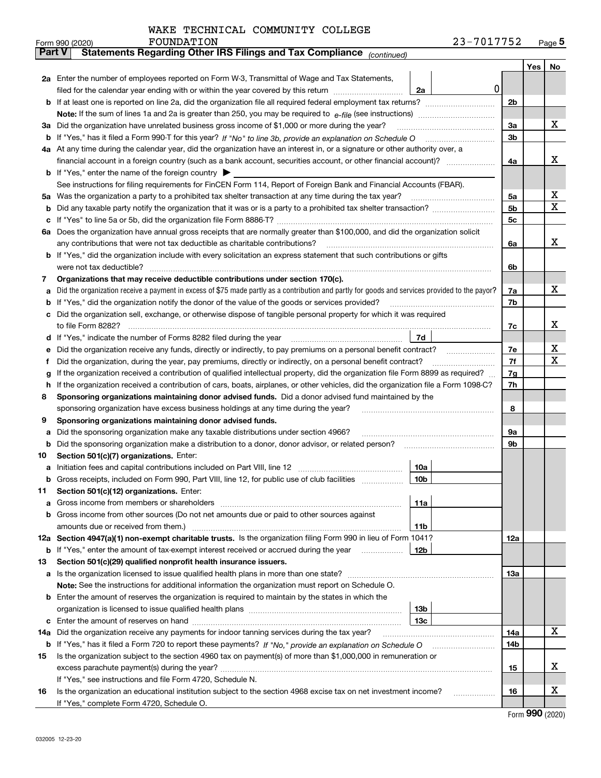|  | WAKE TECHNICAL COMMUNITY COLLEGE |  |
|--|----------------------------------|--|
|  |                                  |  |
|  |                                  |  |
|  |                                  |  |
|  |                                  |  |
|  |                                  |  |

|               | FOUNDATION<br>Form 990 (2020)                                                                                                                                                                                                                    |                 | 23-7017752 |            |     | $Page$ <sup>5</sup> |
|---------------|--------------------------------------------------------------------------------------------------------------------------------------------------------------------------------------------------------------------------------------------------|-----------------|------------|------------|-----|---------------------|
| <b>Part V</b> | Statements Regarding Other IRS Filings and Tax Compliance (continued)                                                                                                                                                                            |                 |            |            |     |                     |
|               |                                                                                                                                                                                                                                                  |                 |            |            | Yes | No                  |
|               | 2a Enter the number of employees reported on Form W-3, Transmittal of Wage and Tax Statements,                                                                                                                                                   |                 |            |            |     |                     |
|               | filed for the calendar year ending with or within the year covered by this return                                                                                                                                                                | 2a              |            | 0          |     |                     |
|               |                                                                                                                                                                                                                                                  |                 |            | 2b         |     |                     |
|               |                                                                                                                                                                                                                                                  |                 |            |            |     |                     |
|               | 3a Did the organization have unrelated business gross income of \$1,000 or more during the year?                                                                                                                                                 |                 |            | 3a         |     | х                   |
|               |                                                                                                                                                                                                                                                  |                 |            | 3b         |     |                     |
|               | 4a At any time during the calendar year, did the organization have an interest in, or a signature or other authority over, a                                                                                                                     |                 |            |            |     |                     |
|               |                                                                                                                                                                                                                                                  |                 |            | 4a         |     | x                   |
|               | <b>b</b> If "Yes," enter the name of the foreign country $\blacktriangleright$                                                                                                                                                                   |                 |            |            |     |                     |
|               | See instructions for filing requirements for FinCEN Form 114, Report of Foreign Bank and Financial Accounts (FBAR).                                                                                                                              |                 |            |            |     |                     |
| 5a            | Was the organization a party to a prohibited tax shelter transaction at any time during the tax year?                                                                                                                                            |                 |            | 5а         |     | X                   |
| b             |                                                                                                                                                                                                                                                  |                 |            | 5b         |     | X                   |
| c             |                                                                                                                                                                                                                                                  |                 |            | 5c         |     |                     |
|               | 6a Does the organization have annual gross receipts that are normally greater than \$100,000, and did the organization solicit                                                                                                                   |                 |            |            |     |                     |
|               | any contributions that were not tax deductible as charitable contributions?                                                                                                                                                                      |                 |            | 6a         |     | x                   |
|               | b If "Yes," did the organization include with every solicitation an express statement that such contributions or gifts                                                                                                                           |                 |            |            |     |                     |
|               | were not tax deductible?                                                                                                                                                                                                                         |                 |            | 6b         |     |                     |
| 7             | Organizations that may receive deductible contributions under section 170(c).                                                                                                                                                                    |                 |            |            |     |                     |
| a             | Did the organization receive a payment in excess of \$75 made partly as a contribution and partly for goods and services provided to the payor?                                                                                                  |                 |            | 7a         |     | х                   |
| b             | If "Yes," did the organization notify the donor of the value of the goods or services provided?                                                                                                                                                  |                 |            | 7b         |     |                     |
|               | Did the organization sell, exchange, or otherwise dispose of tangible personal property for which it was required                                                                                                                                |                 |            |            |     | х                   |
|               |                                                                                                                                                                                                                                                  |                 |            | 7c         |     |                     |
| d             |                                                                                                                                                                                                                                                  | 7d              |            |            |     | X                   |
| е             | Did the organization receive any funds, directly or indirectly, to pay premiums on a personal benefit contract?                                                                                                                                  |                 |            | 7e<br>7f   |     | X                   |
| f             | Did the organization, during the year, pay premiums, directly or indirectly, on a personal benefit contract?<br>If the organization received a contribution of qualified intellectual property, did the organization file Form 8899 as required? |                 |            |            |     |                     |
| g<br>h.       | If the organization received a contribution of cars, boats, airplanes, or other vehicles, did the organization file a Form 1098-C?                                                                                                               |                 |            | 7g<br>7h   |     |                     |
| 8             | Sponsoring organizations maintaining donor advised funds. Did a donor advised fund maintained by the                                                                                                                                             |                 |            |            |     |                     |
|               | sponsoring organization have excess business holdings at any time during the year?                                                                                                                                                               |                 |            | 8          |     |                     |
| 9             | Sponsoring organizations maintaining donor advised funds.                                                                                                                                                                                        |                 |            |            |     |                     |
| a             | Did the sponsoring organization make any taxable distributions under section 4966?                                                                                                                                                               |                 |            | 9а         |     |                     |
| b             | Did the sponsoring organization make a distribution to a donor, donor advisor, or related person?                                                                                                                                                |                 |            | 9b         |     |                     |
| 10            | Section 501(c)(7) organizations. Enter:                                                                                                                                                                                                          |                 |            |            |     |                     |
|               |                                                                                                                                                                                                                                                  | 10a             |            |            |     |                     |
|               | Gross receipts, included on Form 990, Part VIII, line 12, for public use of club facilities                                                                                                                                                      | 10b             |            |            |     |                     |
| 11            | Section 501(c)(12) organizations. Enter:                                                                                                                                                                                                         |                 |            |            |     |                     |
| a             | Gross income from members or shareholders                                                                                                                                                                                                        | 11a             |            |            |     |                     |
|               | b Gross income from other sources (Do not net amounts due or paid to other sources against                                                                                                                                                       |                 |            |            |     |                     |
|               |                                                                                                                                                                                                                                                  | 11b             |            |            |     |                     |
|               | 12a Section 4947(a)(1) non-exempt charitable trusts. Is the organization filing Form 990 in lieu of Form 1041?                                                                                                                                   |                 |            | 12a        |     |                     |
|               | <b>b</b> If "Yes," enter the amount of tax-exempt interest received or accrued during the year <i>manument</i>                                                                                                                                   | 12 <sub>b</sub> |            |            |     |                     |
| 13            | Section 501(c)(29) qualified nonprofit health insurance issuers.                                                                                                                                                                                 |                 |            |            |     |                     |
|               | a Is the organization licensed to issue qualified health plans in more than one state?                                                                                                                                                           |                 |            | <b>13a</b> |     |                     |
|               | Note: See the instructions for additional information the organization must report on Schedule O.                                                                                                                                                |                 |            |            |     |                     |
|               | <b>b</b> Enter the amount of reserves the organization is required to maintain by the states in which the                                                                                                                                        |                 |            |            |     |                     |
|               |                                                                                                                                                                                                                                                  | 13 <sub>b</sub> |            |            |     |                     |
|               |                                                                                                                                                                                                                                                  | 13c             |            |            |     |                     |
| 14a           | Did the organization receive any payments for indoor tanning services during the tax year?                                                                                                                                                       |                 |            | 14a        |     | х                   |
|               | <b>b</b> If "Yes," has it filed a Form 720 to report these payments? If "No," provide an explanation on Schedule O                                                                                                                               |                 |            | 14b        |     |                     |
| 15            | Is the organization subject to the section 4960 tax on payment(s) of more than \$1,000,000 in remuneration or                                                                                                                                    |                 |            |            |     |                     |
|               |                                                                                                                                                                                                                                                  |                 |            | 15         |     | X                   |
|               | If "Yes," see instructions and file Form 4720, Schedule N.                                                                                                                                                                                       |                 |            |            |     |                     |
| 16            | Is the organization an educational institution subject to the section 4968 excise tax on net investment income?                                                                                                                                  |                 |            | 16         |     | X                   |
|               | If "Yes," complete Form 4720, Schedule O.                                                                                                                                                                                                        |                 |            |            |     |                     |

Form (2020) **990**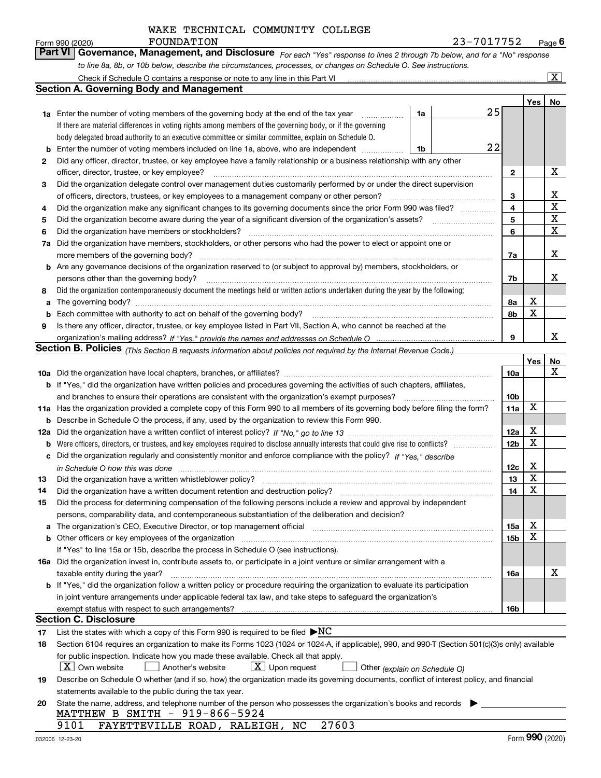|    | WAKE TECHNICAL COMMUNITY COLLEGE                                                                                                                                                                                               |                 |                |                         |
|----|--------------------------------------------------------------------------------------------------------------------------------------------------------------------------------------------------------------------------------|-----------------|----------------|-------------------------|
|    | <b>FOUNDATION</b><br>23-7017752<br>Form 990 (2020)                                                                                                                                                                             |                 |                | Page $6$                |
|    | Part VI<br>Governance, Management, and Disclosure For each "Yes" response to lines 2 through 7b below, and for a "No" response                                                                                                 |                 |                |                         |
|    | to line 8a, 8b, or 10b below, describe the circumstances, processes, or changes on Schedule O. See instructions.                                                                                                               |                 |                |                         |
|    |                                                                                                                                                                                                                                |                 |                | $\overline{\mathbf{X}}$ |
|    | <b>Section A. Governing Body and Management</b>                                                                                                                                                                                |                 |                |                         |
|    |                                                                                                                                                                                                                                |                 | Yes            | No                      |
|    | 25<br>1a<br><b>1a</b> Enter the number of voting members of the governing body at the end of the tax year <i>manumum</i>                                                                                                       |                 |                |                         |
|    | If there are material differences in voting rights among members of the governing body, or if the governing                                                                                                                    |                 |                |                         |
|    | body delegated broad authority to an executive committee or similar committee, explain on Schedule O.<br>22                                                                                                                    |                 |                |                         |
| b  | Enter the number of voting members included on line 1a, above, who are independent<br>1b                                                                                                                                       |                 |                |                         |
| 2  | Did any officer, director, trustee, or key employee have a family relationship or a business relationship with any other                                                                                                       |                 |                | х                       |
|    | officer, director, trustee, or key employee?<br>Did the organization delegate control over management duties customarily performed by or under the direct supervision                                                          | $\mathbf{2}$    |                |                         |
| 3  | of officers, directors, trustees, or key employees to a management company or other person?                                                                                                                                    | з               |                | х                       |
| 4  | Did the organization make any significant changes to its governing documents since the prior Form 990 was filed?                                                                                                               | 4               |                | $\mathbf X$             |
| 5  |                                                                                                                                                                                                                                | 5               |                | X                       |
| 6  | Did the organization have members or stockholders?                                                                                                                                                                             | 6               |                | X                       |
| 7a | Did the organization have members, stockholders, or other persons who had the power to elect or appoint one or                                                                                                                 |                 |                |                         |
|    | more members of the governing body?                                                                                                                                                                                            | 7a              |                | x                       |
|    | b Are any governance decisions of the organization reserved to (or subject to approval by) members, stockholders, or                                                                                                           |                 |                |                         |
|    | persons other than the governing body?                                                                                                                                                                                         | 7b              |                | x                       |
| 8  | Did the organization contemporaneously document the meetings held or written actions undertaken during the year by the following:                                                                                              |                 |                |                         |
| a  |                                                                                                                                                                                                                                | 8а              | х              |                         |
|    |                                                                                                                                                                                                                                | 8b              | X              |                         |
| 9  | Is there any officer, director, trustee, or key employee listed in Part VII, Section A, who cannot be reached at the                                                                                                           |                 |                |                         |
|    |                                                                                                                                                                                                                                | 9               |                | x                       |
|    | Section B. Policies (This Section B requests information about policies not required by the Internal Revenue Code.)                                                                                                            |                 |                |                         |
|    |                                                                                                                                                                                                                                |                 | <b>Yes</b>     | No                      |
|    |                                                                                                                                                                                                                                | 10a             |                | x                       |
|    | b If "Yes," did the organization have written policies and procedures governing the activities of such chapters, affiliates,                                                                                                   |                 |                |                         |
|    | and branches to ensure their operations are consistent with the organization's exempt purposes?                                                                                                                                | 10 <sub>b</sub> |                |                         |
|    | 11a Has the organization provided a complete copy of this Form 990 to all members of its governing body before filing the form?                                                                                                | 11a             | x              |                         |
|    | <b>b</b> Describe in Schedule O the process, if any, used by the organization to review this Form 990.                                                                                                                         |                 |                |                         |
|    |                                                                                                                                                                                                                                | 12a             | х              |                         |
|    | <b>b</b> Were officers, directors, or trustees, and key employees required to disclose annually interests that could give rise to conflicts?                                                                                   | 12 <sub>b</sub> | X              |                         |
|    | c Did the organization regularly and consistently monitor and enforce compliance with the policy? If "Yes," describe                                                                                                           |                 |                |                         |
|    | in Schedule O how this was done with the control of the control of the control of the control of the control o                                                                                                                 | 12c             | <b>TF</b><br>A |                         |
| 13 | Did the organization have a written whistleblower policy?                                                                                                                                                                      | 13              | х              |                         |
| 14 | Did the organization have a written document retention and destruction policy?                                                                                                                                                 | 14              | х              |                         |
| 15 | Did the process for determining compensation of the following persons include a review and approval by independent                                                                                                             |                 |                |                         |
|    | persons, comparability data, and contemporaneous substantiation of the deliberation and decision?                                                                                                                              |                 |                |                         |
| а  | The organization's CEO, Executive Director, or top management official manufactured content of the organization's CEO, Executive Director, or top management official                                                          | 15a             | х              |                         |
|    | b Other officers or key employees of the organization manufactured content to content of the organization manufactured content of the organization manufactured content of the organization manufactured content of the organi | 15b             | х              |                         |
|    | If "Yes" to line 15a or 15b, describe the process in Schedule O (see instructions).                                                                                                                                            |                 |                |                         |
|    | 16a Did the organization invest in, contribute assets to, or participate in a joint venture or similar arrangement with a                                                                                                      |                 |                |                         |
|    | taxable entity during the year?                                                                                                                                                                                                | 16a             |                | х                       |
|    | b If "Yes," did the organization follow a written policy or procedure requiring the organization to evaluate its participation                                                                                                 |                 |                |                         |
|    | in joint venture arrangements under applicable federal tax law, and take steps to safeguard the organization's                                                                                                                 |                 |                |                         |
|    |                                                                                                                                                                                                                                | 16b             |                |                         |
|    | <b>Section C. Disclosure</b>                                                                                                                                                                                                   |                 |                |                         |
| 17 | List the states with which a copy of this Form 990 is required to be filed $\blacktriangleright NC$                                                                                                                            |                 |                |                         |
| 18 | Section 6104 requires an organization to make its Forms 1023 (1024 or 1024-A, if applicable), 990, and 990-T (Section 501(c)(3)s only) available                                                                               |                 |                |                         |
|    | for public inspection. Indicate how you made these available. Check all that apply.                                                                                                                                            |                 |                |                         |
|    | $X$ Own website<br>$\lfloor x \rfloor$ Upon request<br>Another's website<br>Other (explain on Schedule O)                                                                                                                      |                 |                |                         |
| 19 | Describe on Schedule O whether (and if so, how) the organization made its governing documents, conflict of interest policy, and financial                                                                                      |                 |                |                         |
|    | statements available to the public during the tax year.                                                                                                                                                                        |                 |                |                         |
| 20 | State the name, address, and telephone number of the person who possesses the organization's books and records                                                                                                                 |                 |                |                         |

MATTHEW B SMITH - 919-866-5924

9101 FAYETTEVILLE ROAD, RALEIGH, NC 27603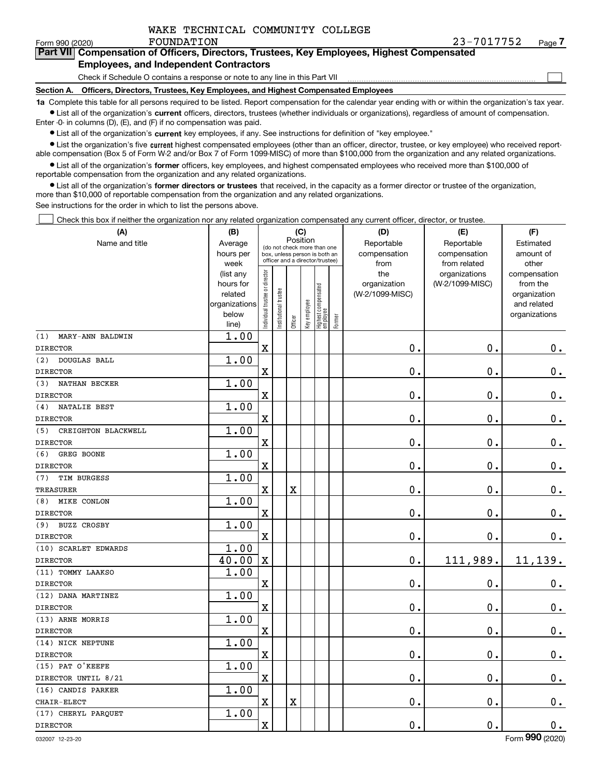$\mathcal{L}^{\text{max}}$ 

### **7Part VII Compensation of Officers, Directors, Trustees, Key Employees, Highest Compensated Employees, and Independent Contractors**

### Check if Schedule O contains a response or note to any line in this Part VII

**Section A. Officers, Directors, Trustees, Key Employees, and Highest Compensated Employees**

**1a**  Complete this table for all persons required to be listed. Report compensation for the calendar year ending with or within the organization's tax year. **•** List all of the organization's current officers, directors, trustees (whether individuals or organizations), regardless of amount of compensation.

Enter -0- in columns (D), (E), and (F) if no compensation was paid.

 $\bullet$  List all of the organization's  $\,$ current key employees, if any. See instructions for definition of "key employee."

**•** List the organization's five current highest compensated employees (other than an officer, director, trustee, or key employee) who received reportable compensation (Box 5 of Form W-2 and/or Box 7 of Form 1099-MISC) of more than \$100,000 from the organization and any related organizations.

**•** List all of the organization's former officers, key employees, and highest compensated employees who received more than \$100,000 of reportable compensation from the organization and any related organizations.

**former directors or trustees**  ¥ List all of the organization's that received, in the capacity as a former director or trustee of the organization, more than \$10,000 of reportable compensation from the organization and any related organizations.

See instructions for the order in which to list the persons above.

Check this box if neither the organization nor any related organization compensated any current officer, director, or trustee.  $\mathcal{L}^{\text{max}}$ 

| (A)                        | (B)                                                                                 |                               |                                 | (C)                     |              |                                  |        | (D)             | (E)                          | (F)                |  |  |  |  |
|----------------------------|-------------------------------------------------------------------------------------|-------------------------------|---------------------------------|-------------------------|--------------|----------------------------------|--------|-----------------|------------------------------|--------------------|--|--|--|--|
| Name and title             | Position<br>Average<br>(do not check more than one<br>box, unless person is both an |                               |                                 |                         |              |                                  |        | Reportable      | Reportable                   | Estimated          |  |  |  |  |
|                            | hours per                                                                           |                               | officer and a director/trustee) |                         |              |                                  |        | compensation    | compensation<br>from related | amount of<br>other |  |  |  |  |
|                            | week<br>(list any                                                                   |                               |                                 |                         |              |                                  |        | from<br>the     | organizations                | compensation       |  |  |  |  |
|                            | hours for                                                                           |                               |                                 |                         |              |                                  |        | organization    | (W-2/1099-MISC)              | from the           |  |  |  |  |
|                            | related                                                                             |                               |                                 |                         |              |                                  |        | (W-2/1099-MISC) |                              | organization       |  |  |  |  |
|                            | organizations                                                                       |                               |                                 |                         |              |                                  |        |                 |                              | and related        |  |  |  |  |
|                            | below                                                                               | ndividual trustee or director | nstitutional trustee            | Officer                 | Key employee | Highest compensated<br> employee | Former |                 |                              | organizations      |  |  |  |  |
| (1)<br>MARY-ANN BALDWIN    | line)<br>1.00                                                                       |                               |                                 |                         |              |                                  |        |                 |                              |                    |  |  |  |  |
| <b>DIRECTOR</b>            |                                                                                     | X                             |                                 |                         |              |                                  |        | 0.              | 0.                           | $0_{.}$            |  |  |  |  |
| (2)<br>DOUGLAS BALL        | 1.00                                                                                |                               |                                 |                         |              |                                  |        |                 |                              |                    |  |  |  |  |
| <b>DIRECTOR</b>            |                                                                                     | X                             |                                 |                         |              |                                  |        | 0.              | 0.                           | $\mathbf 0$ .      |  |  |  |  |
| NATHAN BECKER<br>(3)       | 1.00                                                                                |                               |                                 |                         |              |                                  |        |                 |                              |                    |  |  |  |  |
| <b>DIRECTOR</b>            |                                                                                     | X                             |                                 |                         |              |                                  |        | $\mathbf 0$ .   | $\mathbf 0$ .                | $0_{.}$            |  |  |  |  |
| NATALIE BEST<br>(4)        | 1.00                                                                                |                               |                                 |                         |              |                                  |        |                 |                              |                    |  |  |  |  |
| <b>DIRECTOR</b>            |                                                                                     | $\overline{\textbf{X}}$       |                                 |                         |              |                                  |        | 0.              | 0.                           | $0_{.}$            |  |  |  |  |
| (5)<br>CREIGHTON BLACKWELL | 1.00                                                                                |                               |                                 |                         |              |                                  |        |                 |                              |                    |  |  |  |  |
| <b>DIRECTOR</b>            |                                                                                     | $\overline{\textbf{X}}$       |                                 |                         |              |                                  |        | 0.              | 0.                           | $0_{.}$            |  |  |  |  |
| (6)<br>GREG BOONE          | 1.00                                                                                |                               |                                 |                         |              |                                  |        |                 |                              |                    |  |  |  |  |
| <b>DIRECTOR</b>            |                                                                                     | $\overline{\textbf{X}}$       |                                 |                         |              |                                  |        | 0.              | 0.                           | $\mathbf 0$ .      |  |  |  |  |
| TIM BURGESS<br>(7)         | 1.00                                                                                |                               |                                 |                         |              |                                  |        |                 |                              |                    |  |  |  |  |
| <b>TREASURER</b>           |                                                                                     | $\mathbf x$                   |                                 | $\overline{\textbf{X}}$ |              |                                  |        | 0.              | 0.                           | $0_{.}$            |  |  |  |  |
| MIKE CONLON<br>(8)         | 1.00                                                                                |                               |                                 |                         |              |                                  |        |                 |                              |                    |  |  |  |  |
| <b>DIRECTOR</b>            |                                                                                     | $\overline{\textbf{X}}$       |                                 |                         |              |                                  |        | 0.              | $\mathbf 0$ .                | $\mathbf 0$ .      |  |  |  |  |
| <b>BUZZ CROSBY</b><br>(9)  | 1.00                                                                                |                               |                                 |                         |              |                                  |        |                 |                              |                    |  |  |  |  |
| <b>DIRECTOR</b>            |                                                                                     | $\rm X$                       |                                 |                         |              |                                  |        | 0.              | $\mathbf 0$ .                | 0.                 |  |  |  |  |
| (10) SCARLET EDWARDS       | 1.00                                                                                |                               |                                 |                         |              |                                  |        |                 |                              |                    |  |  |  |  |
| <b>DIRECTOR</b>            | 40.00                                                                               | $\mathbf X$                   |                                 |                         |              |                                  |        | 0.              | 111,989.                     | 11,139.            |  |  |  |  |
| (11) TOMMY LAAKSO          | 1.00                                                                                |                               |                                 |                         |              |                                  |        |                 |                              |                    |  |  |  |  |
| <b>DIRECTOR</b>            |                                                                                     | $\rm X$                       |                                 |                         |              |                                  |        | 0.              | $\mathbf 0$ .                | $0_{.}$            |  |  |  |  |
| (12) DANA MARTINEZ         | 1.00                                                                                |                               |                                 |                         |              |                                  |        |                 |                              |                    |  |  |  |  |
| <b>DIRECTOR</b>            |                                                                                     | $\mathbf x$                   |                                 |                         |              |                                  |        | 0.              | $\mathbf 0$ .                | $0_{.}$            |  |  |  |  |
| (13) ARNE MORRIS           | 1.00                                                                                |                               |                                 |                         |              |                                  |        |                 |                              |                    |  |  |  |  |
| <b>DIRECTOR</b>            |                                                                                     | $\mathbf X$                   |                                 |                         |              |                                  |        | $0$ .           | $\mathbf 0$ .                | $\mathbf 0$ .      |  |  |  |  |
| (14) NICK NEPTUNE          | 1.00                                                                                |                               |                                 |                         |              |                                  |        |                 |                              |                    |  |  |  |  |
| <b>DIRECTOR</b>            |                                                                                     | X                             |                                 |                         |              |                                  |        | 0.              | 0.                           | $\mathbf 0$ .      |  |  |  |  |
| (15) PAT O'KEEFE           | 1.00                                                                                |                               |                                 |                         |              |                                  |        |                 |                              |                    |  |  |  |  |
| DIRECTOR UNTIL 8/21        |                                                                                     | X                             |                                 |                         |              |                                  |        | 0.              | 0.                           | $0_{.}$            |  |  |  |  |
| (16) CANDIS PARKER         | 1.00                                                                                |                               |                                 |                         |              |                                  |        |                 |                              |                    |  |  |  |  |
| CHAIR-ELECT                |                                                                                     | $\overline{\textbf{X}}$       |                                 | $\overline{\textbf{X}}$ |              |                                  |        | 0.              | 0.                           | $\mathbf 0$ .      |  |  |  |  |
| (17) CHERYL PARQUET        | 1.00                                                                                |                               |                                 |                         |              |                                  |        |                 |                              |                    |  |  |  |  |
| <b>DIRECTOR</b>            |                                                                                     | $\rm X$                       |                                 |                         |              |                                  |        | 0.              | 0.                           | $\mathbf 0$ .      |  |  |  |  |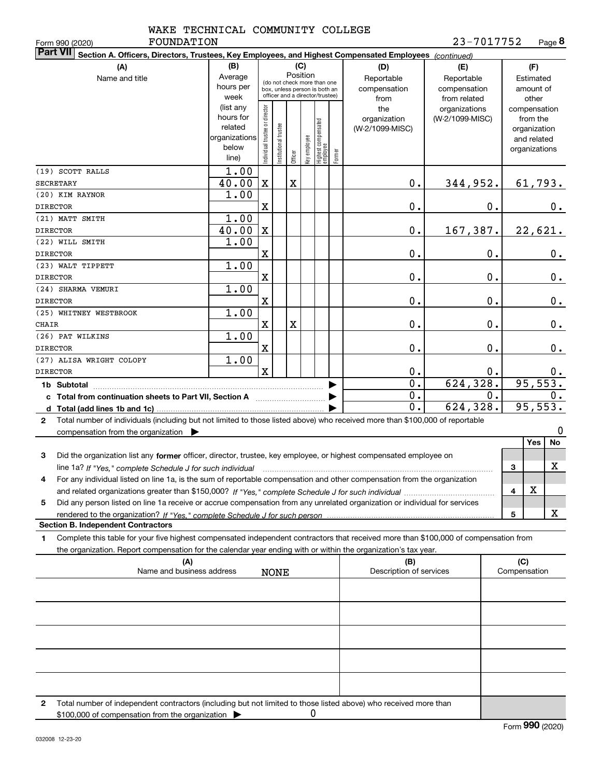| WAKE TECHNICAL COMMUNITY COLLEGE |  |
|----------------------------------|--|
|                                  |  |

Form 990 (2020) **FOUNDATION 2** 3-7 0 1 7 7 5 2 Page **8** 23-7017752

| <b>Part VII</b><br>Section A. Officers, Directors, Trustees, Key Employees, and Highest Compensated Employees (continued)<br>(B)<br>(C)      |                      |                                |                        |             |              |                                  |                                                       |                          |                 |                  |               |             |               |
|----------------------------------------------------------------------------------------------------------------------------------------------|----------------------|--------------------------------|------------------------|-------------|--------------|----------------------------------|-------------------------------------------------------|--------------------------|-----------------|------------------|---------------|-------------|---------------|
| (A)                                                                                                                                          | (D)                  | (E)                            |                        |             | (F)          |                                  |                                                       |                          |                 |                  |               |             |               |
| Position<br>Average<br>Name and title<br>(do not check more than one                                                                         |                      |                                |                        |             |              |                                  |                                                       | Reportable<br>Reportable |                 |                  | Estimated     |             |               |
|                                                                                                                                              | hours per            |                                |                        |             |              | box, unless person is both an    |                                                       | compensation             | compensation    |                  |               | amount of   |               |
|                                                                                                                                              | week                 |                                |                        |             |              | officer and a director/trustee)  |                                                       | from                     | from related    |                  |               | other       |               |
|                                                                                                                                              | (list any            |                                |                        |             |              |                                  |                                                       | the                      | organizations   |                  | compensation  |             |               |
|                                                                                                                                              | hours for<br>related |                                |                        |             |              |                                  |                                                       | organization             | (W-2/1099-MISC) |                  |               | from the    |               |
|                                                                                                                                              | organizations        |                                |                        |             |              |                                  |                                                       | (W-2/1099-MISC)          |                 |                  | organization  |             |               |
|                                                                                                                                              | below                |                                |                        |             |              |                                  |                                                       |                          |                 |                  | organizations | and related |               |
|                                                                                                                                              | line)                | Individual trustee or director | In stitutional trustee | Officer     | Key employee | Highest compensated<br> employee | Former                                                |                          |                 |                  |               |             |               |
| (19) SCOTT RALLS                                                                                                                             | 1.00                 |                                |                        |             |              |                                  |                                                       |                          |                 |                  |               |             |               |
| <b>SECRETARY</b>                                                                                                                             | 40.00                | $\mathbf X$                    |                        | $\mathbf X$ |              |                                  |                                                       | $0$ .                    | 344,952.        |                  |               | 61,793.     |               |
| (20) KIM RAYNOR                                                                                                                              | 1.00                 |                                |                        |             |              |                                  |                                                       |                          |                 |                  |               |             |               |
| <b>DIRECTOR</b>                                                                                                                              |                      | X                              |                        |             |              |                                  |                                                       | 0.                       |                 | 0.               |               |             | 0.            |
| (21) MATT SMITH                                                                                                                              | 1.00                 |                                |                        |             |              |                                  |                                                       |                          |                 |                  |               |             |               |
| <b>DIRECTOR</b>                                                                                                                              | 40.00                | $\mathbf X$                    |                        |             |              |                                  |                                                       | 0.                       | 167,387.        |                  |               | 22,621.     |               |
| (22) WILL SMITH                                                                                                                              | 1.00                 |                                |                        |             |              |                                  |                                                       |                          |                 |                  |               |             |               |
| <b>DIRECTOR</b>                                                                                                                              |                      | X                              |                        |             |              |                                  |                                                       | 0.                       |                 | 0.               |               |             | $0$ .         |
| (23) WALT TIPPETT                                                                                                                            | 1.00                 |                                |                        |             |              |                                  |                                                       |                          |                 |                  |               |             |               |
| <b>DIRECTOR</b>                                                                                                                              |                      | X                              |                        |             |              |                                  |                                                       | 0.                       |                 | $0$ .            |               |             | 0.            |
| (24) SHARMA VEMURI                                                                                                                           | 1.00                 |                                |                        |             |              |                                  |                                                       |                          |                 |                  |               |             |               |
| <b>DIRECTOR</b>                                                                                                                              |                      | X                              |                        |             |              |                                  |                                                       | 0.                       |                 | 0.               |               |             | $\mathbf 0$ . |
| (25) WHITNEY WESTBROOK                                                                                                                       | 1.00                 |                                |                        |             |              |                                  |                                                       |                          |                 |                  |               |             |               |
| CHAIR                                                                                                                                        |                      | X                              |                        | $\mathbf X$ |              |                                  |                                                       | 0.                       |                 | 0.               |               |             | $\mathbf 0$ . |
| (26) PAT WILKINS                                                                                                                             | 1.00                 |                                |                        |             |              |                                  |                                                       |                          |                 |                  |               |             |               |
| <b>DIRECTOR</b>                                                                                                                              |                      | X                              |                        |             |              |                                  |                                                       | 0.                       | 0.              |                  |               |             | 0.            |
| (27) ALISA WRIGHT COLOPY                                                                                                                     | 1.00                 |                                |                        |             |              |                                  |                                                       |                          |                 |                  |               |             |               |
| <b>DIRECTOR</b>                                                                                                                              |                      | $\mathbf x$                    |                        |             |              |                                  |                                                       | 0.                       |                 | 0.               |               |             | 0.            |
| 1b Subtotal                                                                                                                                  |                      |                                |                        |             |              |                                  |                                                       | $\overline{0}$ .         | 624, 328.       |                  | 95,553.       |             |               |
| c Total from continuation sheets to Part VII, Section A [11] [12] Total from continuation sheets to Part VII, Section A                      |                      |                                |                        |             |              |                                  |                                                       | $\overline{0}$ .         |                 | $\overline{0}$ . |               |             | 0.            |
| d                                                                                                                                            |                      |                                |                        |             |              |                                  |                                                       | $\mathbf 0$ .            | 624, 328.       |                  |               | 95,553.     |               |
| Total number of individuals (including but not limited to those listed above) who received more than \$100,000 of reportable<br>$\mathbf{2}$ |                      |                                |                        |             |              |                                  |                                                       |                          |                 |                  |               |             |               |
| compensation from the organization $\blacktriangleright$                                                                                     |                      |                                |                        |             |              |                                  |                                                       |                          |                 |                  |               |             | $\mathbf 0$   |
|                                                                                                                                              |                      |                                |                        |             |              |                                  |                                                       |                          |                 |                  |               | Yes         | <b>No</b>     |
| Did the organization list any former officer, director, trustee, key employee, or highest compensated employee on<br>3                       |                      |                                |                        |             |              |                                  |                                                       |                          |                 |                  |               |             |               |
|                                                                                                                                              |                      |                                |                        |             |              |                                  |                                                       |                          |                 |                  | 3             |             | х             |
| For any individual listed on line 1a, is the sum of reportable compensation and other compensation from the organization<br>4                |                      |                                |                        |             |              |                                  |                                                       |                          |                 |                  |               |             |               |
|                                                                                                                                              |                      |                                |                        |             |              |                                  |                                                       |                          |                 |                  | 4             | $\mathbf X$ |               |
| Did any person listed on line 1a receive or accrue compensation from any unrelated organization or individual for services<br>5              |                      |                                |                        |             |              |                                  |                                                       |                          |                 |                  |               |             |               |
|                                                                                                                                              |                      |                                |                        |             |              |                                  |                                                       |                          |                 |                  | 5             |             | x             |
| <b>Section B. Independent Contractors</b>                                                                                                    |                      |                                |                        |             |              |                                  |                                                       |                          |                 |                  |               |             |               |
| Complete this table for your five highest compensated independent contractors that received more than \$100,000 of compensation from<br>1    |                      |                                |                        |             |              |                                  |                                                       |                          |                 |                  |               |             |               |
| the organization. Report compensation for the calendar year ending with or within the organization's tax year.                               |                      |                                |                        |             |              |                                  |                                                       |                          |                 |                  |               |             |               |
| (A)                                                                                                                                          |                      |                                |                        |             |              |                                  | (C)<br>(B)<br>Description of services<br>Compensation |                          |                 |                  |               |             |               |
| Name and business address<br><b>NONE</b>                                                                                                     |                      |                                |                        |             |              |                                  |                                                       |                          |                 |                  |               |             |               |
|                                                                                                                                              |                      |                                |                        |             |              |                                  |                                                       |                          |                 |                  |               |             |               |
|                                                                                                                                              |                      |                                |                        |             |              |                                  |                                                       |                          |                 |                  |               |             |               |
|                                                                                                                                              |                      |                                |                        |             |              |                                  |                                                       |                          |                 |                  |               |             |               |
|                                                                                                                                              |                      |                                |                        |             |              |                                  |                                                       |                          |                 |                  |               |             |               |
|                                                                                                                                              |                      |                                |                        |             |              |                                  |                                                       |                          |                 |                  |               |             |               |
|                                                                                                                                              |                      |                                |                        |             |              |                                  |                                                       |                          |                 |                  |               |             |               |
|                                                                                                                                              |                      |                                |                        |             |              |                                  |                                                       |                          |                 |                  |               |             |               |
|                                                                                                                                              |                      |                                |                        |             |              |                                  |                                                       |                          |                 |                  |               |             |               |
|                                                                                                                                              |                      |                                |                        |             |              |                                  |                                                       |                          |                 |                  |               |             |               |

**2**Total number of independent contractors (including but not limited to those listed above) who received more than \$100,000 of compensation from the organization  $\blacktriangleright$ 0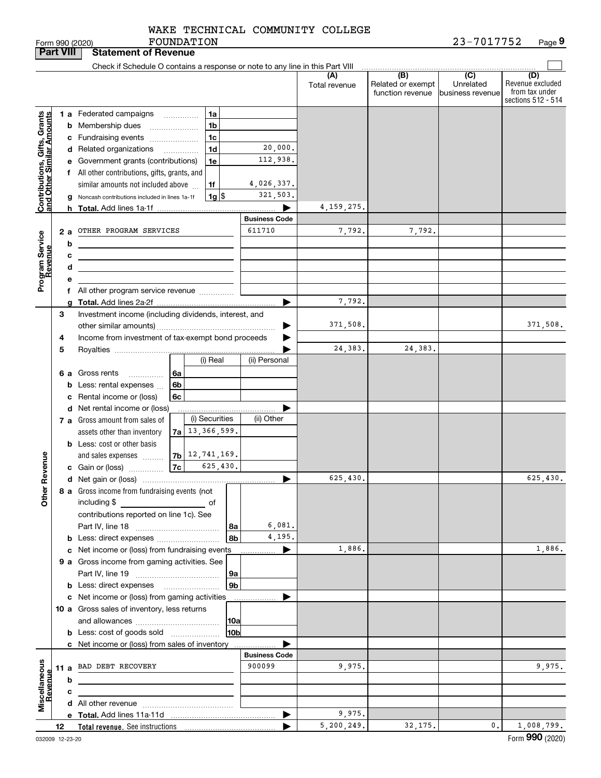FOUNDATION WAKE TECHNICAL COMMUNITY COLLEGE

**Part VIII Statement of Revenue**

|                                                           |    | Check if Schedule O contains a response or note to any line in this Part VIII                |                      |                      |                                              |                                      |                                           |
|-----------------------------------------------------------|----|----------------------------------------------------------------------------------------------|----------------------|----------------------|----------------------------------------------|--------------------------------------|-------------------------------------------|
|                                                           |    |                                                                                              |                      | (A)<br>Total revenue | (B)<br>Related or exempt<br>function revenue | (C)<br>Unrelated<br>business revenue | (D)<br>Revenue excluded<br>from tax under |
|                                                           |    |                                                                                              |                      |                      |                                              |                                      | sections 512 - 514                        |
| Contributions, Gifts, Grants<br>and Other Similar Amounts |    | 1a<br>1 a Federated campaigns<br>1 <sub>b</sub>                                              |                      |                      |                                              |                                      |                                           |
|                                                           |    | <b>b</b> Membership dues<br>1 <sub>c</sub>                                                   |                      |                      |                                              |                                      |                                           |
|                                                           |    | c Fundraising events<br>1 <sub>d</sub>                                                       | 20,000.              |                      |                                              |                                      |                                           |
|                                                           |    | d Related organizations                                                                      | 112,938.             |                      |                                              |                                      |                                           |
|                                                           |    | e Government grants (contributions)<br>1e                                                    |                      |                      |                                              |                                      |                                           |
|                                                           |    | f All other contributions, gifts, grants, and<br>1f                                          | 4,026,337.           |                      |                                              |                                      |                                           |
|                                                           |    | similar amounts not included above<br>$1g$ $\frac{1}{3}$                                     | 321,503.             |                      |                                              |                                      |                                           |
|                                                           |    | g Noncash contributions included in lines 1a-1f                                              |                      | 4, 159, 275.         |                                              |                                      |                                           |
|                                                           |    |                                                                                              | <b>Business Code</b> |                      |                                              |                                      |                                           |
|                                                           | 2a | OTHER PROGRAM SERVICES                                                                       | 611710               | 7,792.               | 7,792.                                       |                                      |                                           |
|                                                           |    | b                                                                                            |                      |                      |                                              |                                      |                                           |
|                                                           |    | с                                                                                            |                      |                      |                                              |                                      |                                           |
|                                                           |    | d                                                                                            |                      |                      |                                              |                                      |                                           |
|                                                           |    | е                                                                                            |                      |                      |                                              |                                      |                                           |
| Program Service<br>Revenue                                |    | f All other program service revenue                                                          |                      |                      |                                              |                                      |                                           |
|                                                           |    |                                                                                              |                      | 7,792.               |                                              |                                      |                                           |
|                                                           | 3  | Investment income (including dividends, interest, and                                        |                      |                      |                                              |                                      |                                           |
|                                                           |    |                                                                                              |                      | 371,508.             |                                              |                                      | 371,508.                                  |
|                                                           | 4  | Income from investment of tax-exempt bond proceeds                                           |                      |                      |                                              |                                      |                                           |
|                                                           | 5  |                                                                                              |                      | 24, 383.             | 24,383.                                      |                                      |                                           |
|                                                           |    | (i) Real                                                                                     | (ii) Personal        |                      |                                              |                                      |                                           |
|                                                           |    | <b>6 a</b> Gross rents<br>6a                                                                 |                      |                      |                                              |                                      |                                           |
|                                                           |    | 6b<br><b>b</b> Less: rental expenses                                                         |                      |                      |                                              |                                      |                                           |
|                                                           |    | c Rental income or (loss)<br>6c                                                              |                      |                      |                                              |                                      |                                           |
|                                                           |    | d Net rental income or (loss)                                                                |                      |                      |                                              |                                      |                                           |
|                                                           |    | (i) Securities<br>7 a Gross amount from sales of                                             | (ii) Other           |                      |                                              |                                      |                                           |
|                                                           |    | 13,366,599.<br>assets other than inventory<br>7a l                                           |                      |                      |                                              |                                      |                                           |
|                                                           |    | <b>b</b> Less: cost or other basis                                                           |                      |                      |                                              |                                      |                                           |
|                                                           |    | $7b$ 12, 741, 169.<br>and sales expenses                                                     |                      |                      |                                              |                                      |                                           |
| ther Revenue                                              |    | 7c <br>625,430.<br>c Gain or (loss)                                                          |                      |                      |                                              |                                      |                                           |
|                                                           |    |                                                                                              |                      | 625,430.             |                                              |                                      | 625,430.                                  |
|                                                           |    | 8 a Gross income from fundraising events (not                                                |                      |                      |                                              |                                      |                                           |
| ō                                                         |    | including \$<br>of                                                                           |                      |                      |                                              |                                      |                                           |
|                                                           |    | contributions reported on line 1c). See                                                      |                      |                      |                                              |                                      |                                           |
|                                                           |    | 8a                                                                                           | 6,081.               |                      |                                              |                                      |                                           |
|                                                           |    | 8b<br><b>b</b> Less: direct expenses                                                         | 4,195.               |                      |                                              |                                      |                                           |
|                                                           |    | c Net income or (loss) from fundraising events                                               |                      | 1,886.               |                                              |                                      | 1,886.                                    |
|                                                           |    | 9 a Gross income from gaming activities. See                                                 |                      |                      |                                              |                                      |                                           |
|                                                           |    | 9а                                                                                           |                      |                      |                                              |                                      |                                           |
|                                                           |    | 9 <sub>b</sub>                                                                               |                      |                      |                                              |                                      |                                           |
|                                                           |    | c Net income or (loss) from gaming activities<br>10 a Gross sales of inventory, less returns |                      |                      |                                              |                                      |                                           |
|                                                           |    | 10a                                                                                          |                      |                      |                                              |                                      |                                           |
|                                                           |    | 10b<br><b>b</b> Less: cost of goods sold                                                     |                      |                      |                                              |                                      |                                           |
|                                                           |    | c Net income or (loss) from sales of inventory                                               |                      |                      |                                              |                                      |                                           |
|                                                           |    |                                                                                              | <b>Business Code</b> |                      |                                              |                                      |                                           |
|                                                           |    | 11 a BAD DEBT RECOVERY                                                                       | 900099               | 9,975.               |                                              |                                      | 9,975.                                    |
|                                                           |    | b                                                                                            |                      |                      |                                              |                                      |                                           |
| Miscellaneous<br>Revenue                                  |    | с                                                                                            |                      |                      |                                              |                                      |                                           |
|                                                           |    |                                                                                              |                      |                      |                                              |                                      |                                           |
|                                                           |    |                                                                                              |                      | 9,975.               |                                              |                                      |                                           |
|                                                           | 12 |                                                                                              |                      | 5,200,249.           | 32,175.                                      | 0.                                   | 1,008,799.                                |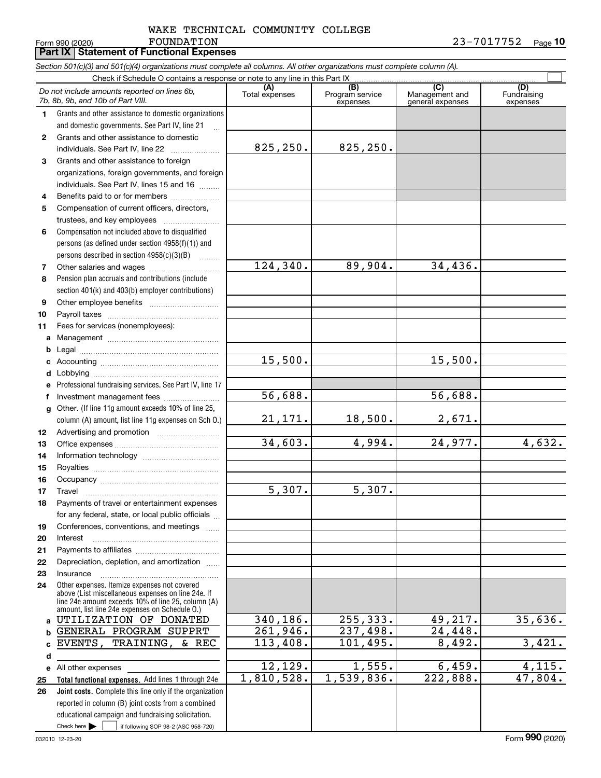### FOUNDATION WAKE TECHNICAL COMMUNITY COLLEGE

 $\mathcal{L}^{\text{max}}$ 

**(A)**<br>Total expenses **(C)** (C) (C)<br>
penses Program service Management and Fundrai<br>
expenses general expenses expen **123** Grants and other assistance to foreign **4567891011abcdefg12131415161718192021***Section 501(c)(3) and 501(c)(4) organizations must complete all columns. All other organizations must complete column (A).* Grants and other assistance to domestic organizations and domestic governments. See Part IV, line 21 Compensation not included above to disqualified persons (as defined under section 4958(f)(1)) and persons described in section 4958(c)(3)(B)  $\quad \ldots \ldots \ldots$ Pension plan accruals and contributions (include section 401(k) and 403(b) employer contributions) Professional fundraising services. See Part IV, line 17 Other. (If line 11g amount exceeds 10% of line 25, column (A) amount, list line 11g expenses on Sch O.) Form 990 (2020) Page **10**Check if Schedule O contains a response or note to any line in this Part IX (C) (C) (C) (C) (C) (C) Program service expensesFundraising expensesGrants and other assistance to domestic individuals. See Part IV, line 22 ~~~~~~~ organizations, foreign governments, and foreign individuals. See Part IV, lines 15 and 16  $\ldots$ Benefits paid to or for members .................... Compensation of current officers, directors, trustees, and key employees  $\ldots$   $\ldots$   $\ldots$   $\ldots$ Other salaries and wages ~~~~~~~~~~ Other employee benefits ~~~~~~~~~~ Payroll taxes ~~~~~~~~~~~~~~~~ Fees for services (nonemployees): Management ~~~~~~~~~~~~~~~~ Legal ~~~~~~~~~~~~~~~~~~~~Accounting ~~~~~~~~~~~~~~~~~ Lobbying ~~~~~~~~~~~~~~~~~~ lnvestment management fees ....................... Advertising and promotion www.communication Office expenses ~~~~~~~~~~~~~~~ Information technology ~~~~~~~~~~~ Royalties ~~~~~~~~~~~~~~~~~~ Occupancy ~~~~~~~~~~~~~~~~~ Travel ……………………………………………… Payments of travel or entertainment expenses for any federal, state, or local public officials ... Conferences, conventions, and meetings InterestPayments to affiliates ~~~~~~~~~~~~ *Do not include amounts reported on lines 6b, 7b, 8b, 9b, and 10b of Part VIII.* **Part IX Statement of Functional Expenses** 825,250. 124,340. 15,500. 21,171. 34,603. 5,307. 56,688. 825,250. 89,904. 34,436. 15,500. 56,688. 18,500. 2,671. 4,994. 24,977. 4,632. 5,307.

Check here  $\bullet$  if following SOP 98-2 (ASC 958-720) **Total functional expenses.**  Add lines 1 through 24e **Joint costs.** Complete this line only if the organization **24ab**c EVENTS, **de2526**Other expenses. Itemize expenses not covered above (List miscellaneous expenses on line 24e. If line 24e amount exceeds 10% of line 25, column (A) amount, list line 24e expenses on Schedule O.) reported in column (B) joint costs from a combined educational campaign and fundraising solicitation. All other expenses Check here  $\blacktriangleright$ 340,186. 261,946. 113,408. 12,129. 1,810,528. 255,333. 49,217. 35,636. 237,498. 24,448. 101,495. 8,492. 3,421.  $1,555.$  6,459. 4,115.  $1,539,836.$   $222,888.$   $47,804.$ UTILIZATION OF DONATED GENERAL PROGRAM SUPPRT TRAINING, & REC

Depreciation, depletion, and amortization  $\,\,\ldots\,\,$ 

~~~~~~~~~~~~~~~~~

**2223**

Insurance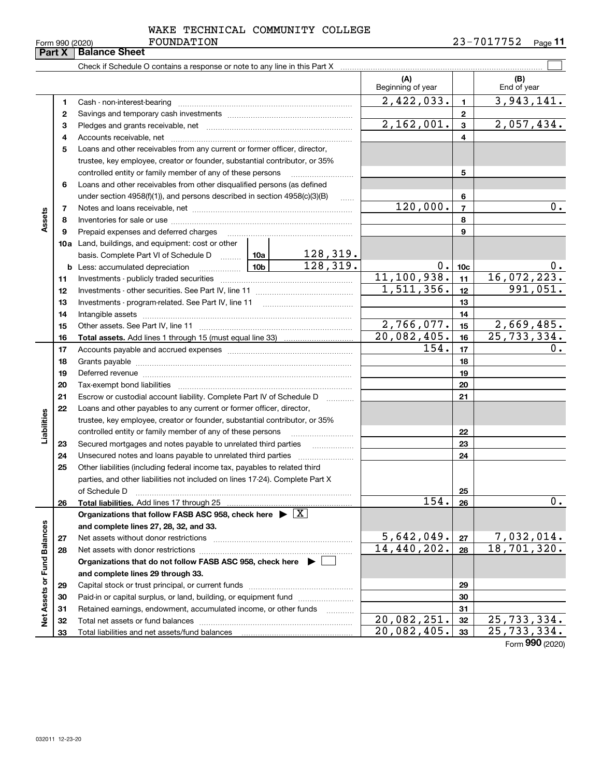|  | -nrm 990 (2020) |  |
|--|-----------------|--|

### FOUNDATION WAKE TECHNICAL COMMUNITY COLLEGE

|                             | Part X | Form 990 (2020)<br><b>LOOMDRITOM</b><br><b>Balance Sheet</b>                                                                                                                                                                   |                          |                 | 2511101-CA<br>Page II            |
|-----------------------------|--------|--------------------------------------------------------------------------------------------------------------------------------------------------------------------------------------------------------------------------------|--------------------------|-----------------|----------------------------------|
|                             |        |                                                                                                                                                                                                                                |                          |                 |                                  |
|                             |        | Check if Schedule O contains a response or note to any line in this Part X [11] manumeron contains the contains a response or note to any line in this Part X [11] manumeron contains a response or note to any line in this P | (A)<br>Beginning of year |                 | (B)<br>End of year               |
|                             | 1      | Cash - non-interest-bearing                                                                                                                                                                                                    | 2,422,033.               | $\mathbf{1}$    | 3,943,141.                       |
|                             | 2      |                                                                                                                                                                                                                                |                          | $\mathbf{2}$    |                                  |
|                             | 3      |                                                                                                                                                                                                                                | 2,162,001.               | 3               | 2,057,434.                       |
|                             | 4      |                                                                                                                                                                                                                                |                          | 4               |                                  |
|                             | 5      | Loans and other receivables from any current or former officer, director,                                                                                                                                                      |                          |                 |                                  |
|                             |        | trustee, key employee, creator or founder, substantial contributor, or 35%                                                                                                                                                     |                          |                 |                                  |
|                             |        | controlled entity or family member of any of these persons                                                                                                                                                                     |                          | 5               |                                  |
|                             | 6      | Loans and other receivables from other disqualified persons (as defined                                                                                                                                                        |                          |                 |                                  |
|                             |        | under section $4958(f)(1)$ , and persons described in section $4958(c)(3)(B)$<br>1.1.1.1                                                                                                                                       |                          | 6               |                                  |
|                             | 7      |                                                                                                                                                                                                                                | 120,000.                 | $\overline{7}$  | $0$ .                            |
| Assets                      | 8      |                                                                                                                                                                                                                                |                          | 8               |                                  |
|                             | 9      | Prepaid expenses and deferred charges                                                                                                                                                                                          |                          | 9               |                                  |
|                             |        | 10a Land, buildings, and equipment: cost or other                                                                                                                                                                              |                          |                 |                                  |
|                             |        | basis. Complete Part VI of Schedule D  10a                                                                                                                                                                                     |                          |                 |                                  |
|                             |        | $\frac{128,319.}{128,319.}$<br>$\boxed{10b}$<br><b>b</b> Less: accumulated depreciation                                                                                                                                        | $0$ .                    | 10 <sub>c</sub> | $0 \cdot$                        |
|                             | 11     |                                                                                                                                                                                                                                | 11,100,938.              | 11              | 16,072,223.                      |
|                             | 12     |                                                                                                                                                                                                                                | 1,511,356.               | 12              | 991,051.                         |
|                             | 13     |                                                                                                                                                                                                                                |                          | 13              |                                  |
|                             | 14     | Intangible assets                                                                                                                                                                                                              |                          | 14              |                                  |
|                             | 15     |                                                                                                                                                                                                                                | 2,766,077.               | 15              | 2,669,485.                       |
|                             | 16     |                                                                                                                                                                                                                                | 20,082,405.              | 16              | 25, 733, 334.                    |
|                             | 17     |                                                                                                                                                                                                                                | 154.                     | 17              | $\mathfrak o$ .                  |
|                             | 18     |                                                                                                                                                                                                                                |                          | 18              |                                  |
|                             | 19     | Deferred revenue information and continuum and contain an analysis of the continuum and contain an analysis of                                                                                                                 |                          | 19              |                                  |
|                             | 20     |                                                                                                                                                                                                                                |                          | 20              |                                  |
|                             | 21     | Escrow or custodial account liability. Complete Part IV of Schedule D<br>1.1.1.1.1.1.1.1.1.1                                                                                                                                   |                          | 21              |                                  |
|                             | 22     | Loans and other payables to any current or former officer, director,                                                                                                                                                           |                          |                 |                                  |
| Liabilities                 |        | trustee, key employee, creator or founder, substantial contributor, or 35%                                                                                                                                                     |                          |                 |                                  |
|                             |        | controlled entity or family member of any of these persons                                                                                                                                                                     |                          | 22              |                                  |
|                             | 23     | Secured mortgages and notes payable to unrelated third parties                                                                                                                                                                 |                          | 23              |                                  |
|                             | 24     |                                                                                                                                                                                                                                |                          | 24              |                                  |
|                             | 25     | Other liabilities (including federal income tax, payables to related third                                                                                                                                                     |                          |                 |                                  |
|                             |        | parties, and other liabilities not included on lines 17-24). Complete Part X                                                                                                                                                   |                          |                 |                                  |
|                             |        | of Schedule D                                                                                                                                                                                                                  |                          | 25              |                                  |
|                             | 26     |                                                                                                                                                                                                                                | 154.                     | 26              | $0$ .                            |
|                             |        | Organizations that follow FASB ASC 958, check here $\blacktriangleright \lfloor X \rfloor$                                                                                                                                     |                          |                 |                                  |
|                             |        | and complete lines 27, 28, 32, and 33.                                                                                                                                                                                         |                          |                 |                                  |
|                             | 27     | Net assets without donor restrictions                                                                                                                                                                                          | 5,642,049.               | 27              | $\frac{7,032,014.}{18,701,320.}$ |
|                             | 28     | Net assets with donor restrictions                                                                                                                                                                                             | 14, 440, 202.            | 28              |                                  |
|                             |        | Organizations that do not follow FASB ASC 958, check here ▶ □                                                                                                                                                                  |                          |                 |                                  |
|                             |        | and complete lines 29 through 33.                                                                                                                                                                                              |                          |                 |                                  |
|                             | 29     | Capital stock or trust principal, or current funds                                                                                                                                                                             |                          | 29              |                                  |
|                             | 30     | Paid-in or capital surplus, or land, building, or equipment fund                                                                                                                                                               |                          | 30              |                                  |
|                             | 31     | Retained earnings, endowment, accumulated income, or other funds<br>.                                                                                                                                                          |                          | 31              |                                  |
| Net Assets or Fund Balances | 32     |                                                                                                                                                                                                                                | 20,082,251.              | 32              | 25,733,334.                      |
|                             | 33     |                                                                                                                                                                                                                                | 20,082,405.              | 33              | 25,733,334.                      |

Form (2020) **990**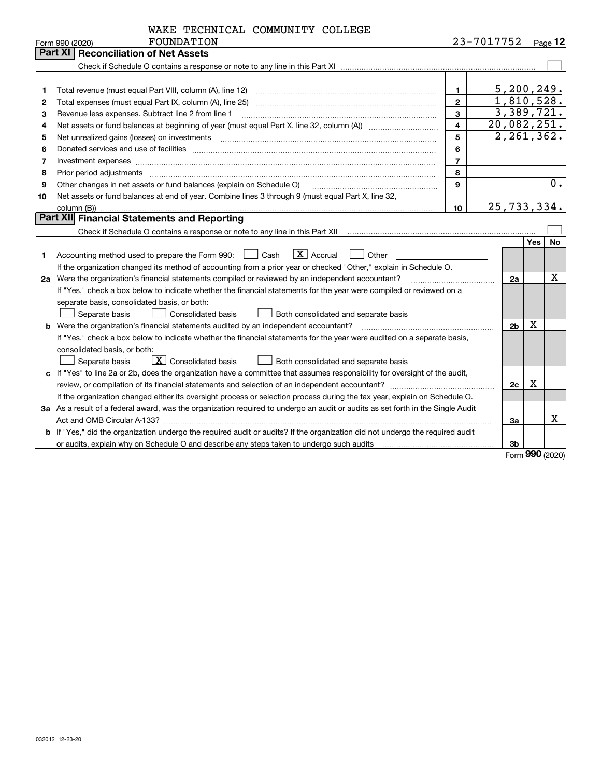|                  | WAKE TECHNICAL COMMUNITY COLLEGE |  |
|------------------|----------------------------------|--|
| ת הרים בחזונות ה |                                  |  |

|    | Form 990 (2020)<br>FOUNDATION                                                                                                   |                | 23-1011152     |            | Page 12 |
|----|---------------------------------------------------------------------------------------------------------------------------------|----------------|----------------|------------|---------|
|    | <b>Part XI   Reconciliation of Net Assets</b>                                                                                   |                |                |            |         |
|    |                                                                                                                                 |                |                |            |         |
|    |                                                                                                                                 |                |                |            |         |
| 1  |                                                                                                                                 | $\mathbf{1}$   | 5, 200, 249.   |            |         |
| 2  | Total expenses (must equal Part IX, column (A), line 25)                                                                        | $\overline{2}$ | 1,810,528.     |            |         |
| з  | Revenue less expenses. Subtract line 2 from line 1                                                                              | $\mathbf{3}$   | 3,389,721.     |            |         |
| 4  |                                                                                                                                 | $\overline{4}$ | 20,082,251.    |            |         |
| 5  |                                                                                                                                 | 5              | 2, 261, 362.   |            |         |
| 6  |                                                                                                                                 | 6              |                |            |         |
| 7  | Investment expenses www.communication.com/www.communication.com/www.communication.com/www.com                                   | $\overline{7}$ |                |            |         |
| 8  | Prior period adjustments                                                                                                        | 8              |                |            |         |
| 9  | Other changes in net assets or fund balances (explain on Schedule O)                                                            | 9              |                |            | 0.      |
| 10 | Net assets or fund balances at end of year. Combine lines 3 through 9 (must equal Part X, line 32,                              |                |                |            |         |
|    | column (B))                                                                                                                     | 10             | 25,733,334.    |            |         |
|    | Part XII Financial Statements and Reporting                                                                                     |                |                |            |         |
|    |                                                                                                                                 |                |                |            |         |
|    |                                                                                                                                 |                |                | <b>Yes</b> | No      |
| 1  | $\boxed{\mathbf{X}}$ Accrual<br>Accounting method used to prepare the Form 990: <u>[16</u> ] Cash<br>Other                      |                |                |            |         |
|    | If the organization changed its method of accounting from a prior year or checked "Other," explain in Schedule O.               |                |                |            |         |
|    | 2a Were the organization's financial statements compiled or reviewed by an independent accountant?                              |                | 2a             |            | х       |
|    | If "Yes," check a box below to indicate whether the financial statements for the year were compiled or reviewed on a            |                |                |            |         |
|    | separate basis, consolidated basis, or both:                                                                                    |                |                |            |         |
|    | Both consolidated and separate basis<br>Separate basis<br>Consolidated basis                                                    |                |                |            |         |
|    | <b>b</b> Were the organization's financial statements audited by an independent accountant?                                     |                | 2 <sub>b</sub> | X          |         |
|    | If "Yes," check a box below to indicate whether the financial statements for the year were audited on a separate basis,         |                |                |            |         |
|    | consolidated basis, or both:                                                                                                    |                |                |            |         |
|    | $\boxed{\textbf{X}}$ Consolidated basis<br>Separate basis<br>Both consolidated and separate basis                               |                |                |            |         |
|    | c If "Yes" to line 2a or 2b, does the organization have a committee that assumes responsibility for oversight of the audit,     |                |                |            |         |
|    |                                                                                                                                 |                | 2c             | x          |         |
|    | If the organization changed either its oversight process or selection process during the tax year, explain on Schedule O.       |                |                |            |         |
|    | 3a As a result of a federal award, was the organization required to undergo an audit or audits as set forth in the Single Audit |                |                |            |         |
|    |                                                                                                                                 |                | 3a             |            | x       |
|    | b If "Yes," did the organization undergo the required audit or audits? If the organization did not undergo the required audit   |                |                |            |         |
|    |                                                                                                                                 |                | 3b             |            |         |

Form (2020) **990**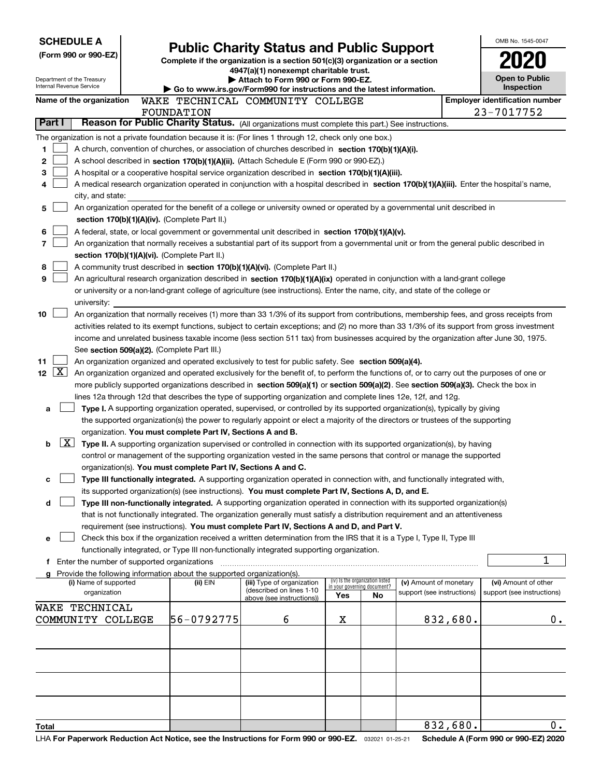| <b>SCHEDULE A</b>                                                                                         |                                               |                                                                                                                                  |                                                                                                                                                                                                                                                           |                                                                |    |                                                      |          | OMB No. 1545-0047                                  |
|-----------------------------------------------------------------------------------------------------------|-----------------------------------------------|----------------------------------------------------------------------------------------------------------------------------------|-----------------------------------------------------------------------------------------------------------------------------------------------------------------------------------------------------------------------------------------------------------|----------------------------------------------------------------|----|------------------------------------------------------|----------|----------------------------------------------------|
| (Form 990 or 990-EZ)                                                                                      |                                               | <b>Public Charity Status and Public Support</b><br>Complete if the organization is a section 501(c)(3) organization or a section |                                                                                                                                                                                                                                                           |                                                                |    |                                                      |          |                                                    |
|                                                                                                           |                                               |                                                                                                                                  | 4947(a)(1) nonexempt charitable trust.                                                                                                                                                                                                                    |                                                                |    |                                                      |          |                                                    |
| Department of the Treasury<br>Internal Revenue Service                                                    |                                               |                                                                                                                                  | Attach to Form 990 or Form 990-EZ.<br>Go to www.irs.gov/Form990 for instructions and the latest information.                                                                                                                                              |                                                                |    |                                                      |          | <b>Open to Public</b><br>Inspection                |
| Name of the organization                                                                                  |                                               |                                                                                                                                  | WAKE TECHNICAL COMMUNITY COLLEGE                                                                                                                                                                                                                          |                                                                |    |                                                      |          | <b>Employer identification number</b>              |
|                                                                                                           | <b>FOUNDATION</b>                             |                                                                                                                                  |                                                                                                                                                                                                                                                           |                                                                |    |                                                      |          | 23-7017752                                         |
| Part I                                                                                                    |                                               |                                                                                                                                  | Reason for Public Charity Status. (All organizations must complete this part.) See instructions.                                                                                                                                                          |                                                                |    |                                                      |          |                                                    |
| The organization is not a private foundation because it is: (For lines 1 through 12, check only one box.) |                                               |                                                                                                                                  |                                                                                                                                                                                                                                                           |                                                                |    |                                                      |          |                                                    |
| 1                                                                                                         |                                               |                                                                                                                                  | A church, convention of churches, or association of churches described in section 170(b)(1)(A)(i).                                                                                                                                                        |                                                                |    |                                                      |          |                                                    |
| 2                                                                                                         |                                               |                                                                                                                                  | A school described in section 170(b)(1)(A)(ii). (Attach Schedule E (Form 990 or 990-EZ).)                                                                                                                                                                 |                                                                |    |                                                      |          |                                                    |
| 3                                                                                                         |                                               |                                                                                                                                  | A hospital or a cooperative hospital service organization described in section 170(b)(1)(A)(iii).                                                                                                                                                         |                                                                |    |                                                      |          |                                                    |
| 4                                                                                                         |                                               |                                                                                                                                  | A medical research organization operated in conjunction with a hospital described in section 170(b)(1)(A)(iii). Enter the hospital's name,                                                                                                                |                                                                |    |                                                      |          |                                                    |
| city, and state:                                                                                          |                                               |                                                                                                                                  |                                                                                                                                                                                                                                                           |                                                                |    |                                                      |          |                                                    |
| 5                                                                                                         |                                               |                                                                                                                                  | An organization operated for the benefit of a college or university owned or operated by a governmental unit described in                                                                                                                                 |                                                                |    |                                                      |          |                                                    |
|                                                                                                           | section 170(b)(1)(A)(iv). (Complete Part II.) |                                                                                                                                  |                                                                                                                                                                                                                                                           |                                                                |    |                                                      |          |                                                    |
| 6<br>7                                                                                                    |                                               |                                                                                                                                  | A federal, state, or local government or governmental unit described in section 170(b)(1)(A)(v).<br>An organization that normally receives a substantial part of its support from a governmental unit or from the general public described in             |                                                                |    |                                                      |          |                                                    |
|                                                                                                           | section 170(b)(1)(A)(vi). (Complete Part II.) |                                                                                                                                  |                                                                                                                                                                                                                                                           |                                                                |    |                                                      |          |                                                    |
| 8                                                                                                         |                                               |                                                                                                                                  | A community trust described in section 170(b)(1)(A)(vi). (Complete Part II.)                                                                                                                                                                              |                                                                |    |                                                      |          |                                                    |
| 9                                                                                                         |                                               |                                                                                                                                  | An agricultural research organization described in section 170(b)(1)(A)(ix) operated in conjunction with a land-grant college                                                                                                                             |                                                                |    |                                                      |          |                                                    |
|                                                                                                           |                                               |                                                                                                                                  | or university or a non-land-grant college of agriculture (see instructions). Enter the name, city, and state of the college or                                                                                                                            |                                                                |    |                                                      |          |                                                    |
| university:                                                                                               |                                               |                                                                                                                                  |                                                                                                                                                                                                                                                           |                                                                |    |                                                      |          |                                                    |
| 10                                                                                                        |                                               |                                                                                                                                  | An organization that normally receives (1) more than 33 1/3% of its support from contributions, membership fees, and gross receipts from                                                                                                                  |                                                                |    |                                                      |          |                                                    |
|                                                                                                           |                                               |                                                                                                                                  | activities related to its exempt functions, subject to certain exceptions; and (2) no more than 33 1/3% of its support from gross investment                                                                                                              |                                                                |    |                                                      |          |                                                    |
|                                                                                                           |                                               |                                                                                                                                  | income and unrelated business taxable income (less section 511 tax) from businesses acquired by the organization after June 30, 1975.                                                                                                                     |                                                                |    |                                                      |          |                                                    |
|                                                                                                           | See section 509(a)(2). (Complete Part III.)   |                                                                                                                                  |                                                                                                                                                                                                                                                           |                                                                |    |                                                      |          |                                                    |
| 11<br>$\boxed{\text{X}}$<br>12                                                                            |                                               |                                                                                                                                  | An organization organized and operated exclusively to test for public safety. See section 509(a)(4).<br>An organization organized and operated exclusively for the benefit of, to perform the functions of, or to carry out the purposes of one or        |                                                                |    |                                                      |          |                                                    |
|                                                                                                           |                                               |                                                                                                                                  | more publicly supported organizations described in section 509(a)(1) or section 509(a)(2). See section 509(a)(3). Check the box in                                                                                                                        |                                                                |    |                                                      |          |                                                    |
|                                                                                                           |                                               |                                                                                                                                  | lines 12a through 12d that describes the type of supporting organization and complete lines 12e, 12f, and 12g.                                                                                                                                            |                                                                |    |                                                      |          |                                                    |
| a                                                                                                         |                                               |                                                                                                                                  | Type I. A supporting organization operated, supervised, or controlled by its supported organization(s), typically by giving                                                                                                                               |                                                                |    |                                                      |          |                                                    |
|                                                                                                           |                                               |                                                                                                                                  | the supported organization(s) the power to regularly appoint or elect a majority of the directors or trustees of the supporting                                                                                                                           |                                                                |    |                                                      |          |                                                    |
|                                                                                                           |                                               | organization. You must complete Part IV, Sections A and B.                                                                       |                                                                                                                                                                                                                                                           |                                                                |    |                                                      |          |                                                    |
| X <br>b                                                                                                   |                                               |                                                                                                                                  | Type II. A supporting organization supervised or controlled in connection with its supported organization(s), by having                                                                                                                                   |                                                                |    |                                                      |          |                                                    |
|                                                                                                           |                                               |                                                                                                                                  | control or management of the supporting organization vested in the same persons that control or manage the supported                                                                                                                                      |                                                                |    |                                                      |          |                                                    |
|                                                                                                           |                                               |                                                                                                                                  | organization(s). You must complete Part IV, Sections A and C.                                                                                                                                                                                             |                                                                |    |                                                      |          |                                                    |
| с                                                                                                         |                                               |                                                                                                                                  | Type III functionally integrated. A supporting organization operated in connection with, and functionally integrated with,                                                                                                                                |                                                                |    |                                                      |          |                                                    |
|                                                                                                           |                                               |                                                                                                                                  | its supported organization(s) (see instructions). You must complete Part IV, Sections A, D, and E.                                                                                                                                                        |                                                                |    |                                                      |          |                                                    |
| d                                                                                                         |                                               |                                                                                                                                  | Type III non-functionally integrated. A supporting organization operated in connection with its supported organization(s)<br>that is not functionally integrated. The organization generally must satisfy a distribution requirement and an attentiveness |                                                                |    |                                                      |          |                                                    |
|                                                                                                           |                                               |                                                                                                                                  | requirement (see instructions). You must complete Part IV, Sections A and D, and Part V.                                                                                                                                                                  |                                                                |    |                                                      |          |                                                    |
| е                                                                                                         |                                               |                                                                                                                                  | Check this box if the organization received a written determination from the IRS that it is a Type I, Type II, Type III                                                                                                                                   |                                                                |    |                                                      |          |                                                    |
|                                                                                                           |                                               |                                                                                                                                  | functionally integrated, or Type III non-functionally integrated supporting organization.                                                                                                                                                                 |                                                                |    |                                                      |          |                                                    |
| f Enter the number of supported organizations                                                             |                                               |                                                                                                                                  |                                                                                                                                                                                                                                                           |                                                                |    |                                                      |          | 1                                                  |
| Provide the following information about the supported organization(s).                                    |                                               |                                                                                                                                  |                                                                                                                                                                                                                                                           |                                                                |    |                                                      |          |                                                    |
| (i) Name of supported<br>organization                                                                     |                                               | (ii) EIN                                                                                                                         | (iii) Type of organization<br>(described on lines 1-10                                                                                                                                                                                                    | (iv) Is the organization listed<br>in your governing document? |    | (v) Amount of monetary<br>support (see instructions) |          | (vi) Amount of other<br>support (see instructions) |
|                                                                                                           |                                               |                                                                                                                                  | above (see instructions))                                                                                                                                                                                                                                 | Yes                                                            | No |                                                      |          |                                                    |
| WAKE TECHNICAL<br>COMMUNITY COLLEGE                                                                       |                                               | 56-0792775                                                                                                                       | 6                                                                                                                                                                                                                                                         | х                                                              |    |                                                      | 832,680. | 0.                                                 |
|                                                                                                           |                                               |                                                                                                                                  |                                                                                                                                                                                                                                                           |                                                                |    |                                                      |          |                                                    |
|                                                                                                           |                                               |                                                                                                                                  |                                                                                                                                                                                                                                                           |                                                                |    |                                                      |          |                                                    |
|                                                                                                           |                                               |                                                                                                                                  |                                                                                                                                                                                                                                                           |                                                                |    |                                                      |          |                                                    |
|                                                                                                           |                                               |                                                                                                                                  |                                                                                                                                                                                                                                                           |                                                                |    |                                                      |          |                                                    |
|                                                                                                           |                                               |                                                                                                                                  |                                                                                                                                                                                                                                                           |                                                                |    |                                                      |          |                                                    |
|                                                                                                           |                                               |                                                                                                                                  |                                                                                                                                                                                                                                                           |                                                                |    |                                                      |          |                                                    |
|                                                                                                           |                                               |                                                                                                                                  |                                                                                                                                                                                                                                                           |                                                                |    |                                                      |          |                                                    |
|                                                                                                           |                                               |                                                                                                                                  |                                                                                                                                                                                                                                                           |                                                                |    |                                                      | 832,680. | $\overline{0}$ .                                   |
| Total                                                                                                     |                                               |                                                                                                                                  |                                                                                                                                                                                                                                                           |                                                                |    |                                                      |          |                                                    |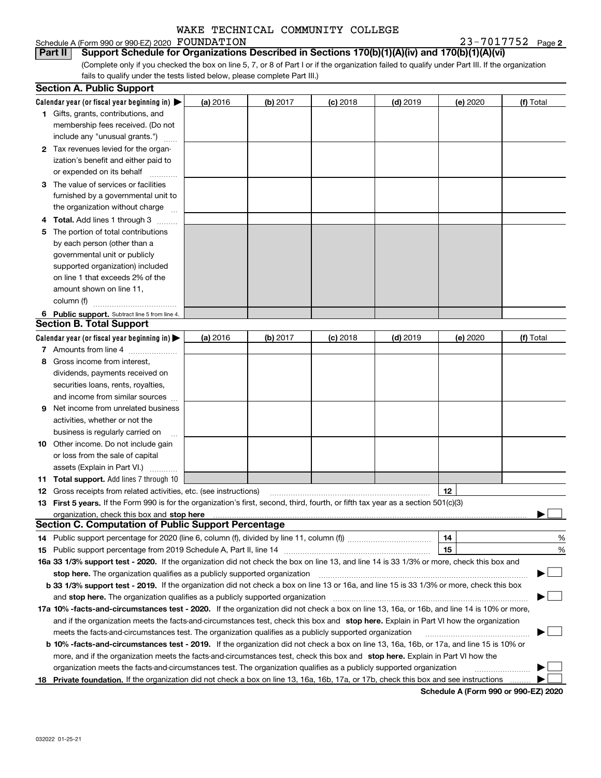### Schedule A (Form 990 or 990-EZ) 2020 Page FOUNDATION 23-7017752

**2**

(Complete only if you checked the box on line 5, 7, or 8 of Part I or if the organization failed to qualify under Part III. If the organization fails to qualify under the tests listed below, please complete Part III.) **Part II Support Schedule for Organizations Described in Sections 170(b)(1)(A)(iv) and 170(b)(1)(A)(vi)**

|    | <b>Section A. Public Support</b>                                                                                                               |          |            |            |            |          |           |
|----|------------------------------------------------------------------------------------------------------------------------------------------------|----------|------------|------------|------------|----------|-----------|
|    | Calendar year (or fiscal year beginning in) $\blacktriangleright$                                                                              | (a) 2016 | $(b)$ 2017 | $(c)$ 2018 | $(d)$ 2019 | (e) 2020 | (f) Total |
|    | <b>1</b> Gifts, grants, contributions, and                                                                                                     |          |            |            |            |          |           |
|    | membership fees received. (Do not                                                                                                              |          |            |            |            |          |           |
|    | include any "unusual grants.")                                                                                                                 |          |            |            |            |          |           |
|    | 2 Tax revenues levied for the organ-                                                                                                           |          |            |            |            |          |           |
|    | ization's benefit and either paid to                                                                                                           |          |            |            |            |          |           |
|    | or expended on its behalf                                                                                                                      |          |            |            |            |          |           |
|    | 3 The value of services or facilities                                                                                                          |          |            |            |            |          |           |
|    | furnished by a governmental unit to                                                                                                            |          |            |            |            |          |           |
|    | the organization without charge                                                                                                                |          |            |            |            |          |           |
|    | 4 Total. Add lines 1 through 3                                                                                                                 |          |            |            |            |          |           |
| 5. | The portion of total contributions                                                                                                             |          |            |            |            |          |           |
|    | by each person (other than a                                                                                                                   |          |            |            |            |          |           |
|    | governmental unit or publicly                                                                                                                  |          |            |            |            |          |           |
|    | supported organization) included                                                                                                               |          |            |            |            |          |           |
|    | on line 1 that exceeds 2% of the                                                                                                               |          |            |            |            |          |           |
|    | amount shown on line 11,                                                                                                                       |          |            |            |            |          |           |
|    | column (f)                                                                                                                                     |          |            |            |            |          |           |
|    | 6 Public support. Subtract line 5 from line 4.                                                                                                 |          |            |            |            |          |           |
|    | <b>Section B. Total Support</b>                                                                                                                |          |            |            |            |          |           |
|    | Calendar year (or fiscal year beginning in) $\blacktriangleright$                                                                              | (a) 2016 | (b) 2017   | $(c)$ 2018 | $(d)$ 2019 | (e) 2020 | (f) Total |
|    | 7 Amounts from line 4                                                                                                                          |          |            |            |            |          |           |
|    | 8 Gross income from interest,                                                                                                                  |          |            |            |            |          |           |
|    | dividends, payments received on                                                                                                                |          |            |            |            |          |           |
|    | securities loans, rents, royalties,                                                                                                            |          |            |            |            |          |           |
|    | and income from similar sources                                                                                                                |          |            |            |            |          |           |
| 9. | Net income from unrelated business                                                                                                             |          |            |            |            |          |           |
|    | activities, whether or not the                                                                                                                 |          |            |            |            |          |           |
|    | business is regularly carried on                                                                                                               |          |            |            |            |          |           |
|    | <b>10</b> Other income. Do not include gain                                                                                                    |          |            |            |            |          |           |
|    | or loss from the sale of capital                                                                                                               |          |            |            |            |          |           |
|    | assets (Explain in Part VI.)                                                                                                                   |          |            |            |            |          |           |
|    | <b>11 Total support.</b> Add lines 7 through 10                                                                                                |          |            |            |            |          |           |
|    | <b>12</b> Gross receipts from related activities, etc. (see instructions)                                                                      |          |            |            |            | 12       |           |
|    | 13 First 5 years. If the Form 990 is for the organization's first, second, third, fourth, or fifth tax year as a section 501(c)(3)             |          |            |            |            |          |           |
|    |                                                                                                                                                |          |            |            |            |          |           |
|    | <b>Section C. Computation of Public Support Percentage</b>                                                                                     |          |            |            |            |          |           |
|    | 14 Public support percentage for 2020 (line 6, column (f), divided by line 11, column (f) <i>mummumumum</i>                                    |          |            |            |            | 14       | %         |
|    |                                                                                                                                                |          |            |            |            | 15       | %         |
|    | 16a 33 1/3% support test - 2020. If the organization did not check the box on line 13, and line 14 is 33 1/3% or more, check this box and      |          |            |            |            |          |           |
|    | stop here. The organization qualifies as a publicly supported organization                                                                     |          |            |            |            |          | - 1       |
|    | b 33 1/3% support test - 2019. If the organization did not check a box on line 13 or 16a, and line 15 is 33 1/3% or more, check this box       |          |            |            |            |          |           |
|    | and stop here. The organization qualifies as a publicly supported organization                                                                 |          |            |            |            |          |           |
|    | 17a 10% -facts-and-circumstances test - 2020. If the organization did not check a box on line 13, 16a, or 16b, and line 14 is 10% or more,     |          |            |            |            |          |           |
|    | and if the organization meets the facts-and-circumstances test, check this box and stop here. Explain in Part VI how the organization          |          |            |            |            |          |           |
|    | meets the facts-and-circumstances test. The organization qualifies as a publicly supported organization                                        |          |            |            |            |          |           |
|    | <b>b 10% -facts-and-circumstances test - 2019.</b> If the organization did not check a box on line 13, 16a, 16b, or 17a, and line 15 is 10% or |          |            |            |            |          |           |
|    | more, and if the organization meets the facts-and-circumstances test, check this box and stop here. Explain in Part VI how the                 |          |            |            |            |          |           |
|    | organization meets the facts-and-circumstances test. The organization qualifies as a publicly supported organization                           |          |            |            |            |          |           |
| 18 | Private foundation. If the organization did not check a box on line 13, 16a, 16b, 17a, or 17b, check this box and see instructions             |          |            |            |            |          |           |

**Schedule A (Form 990 or 990-EZ) 2020**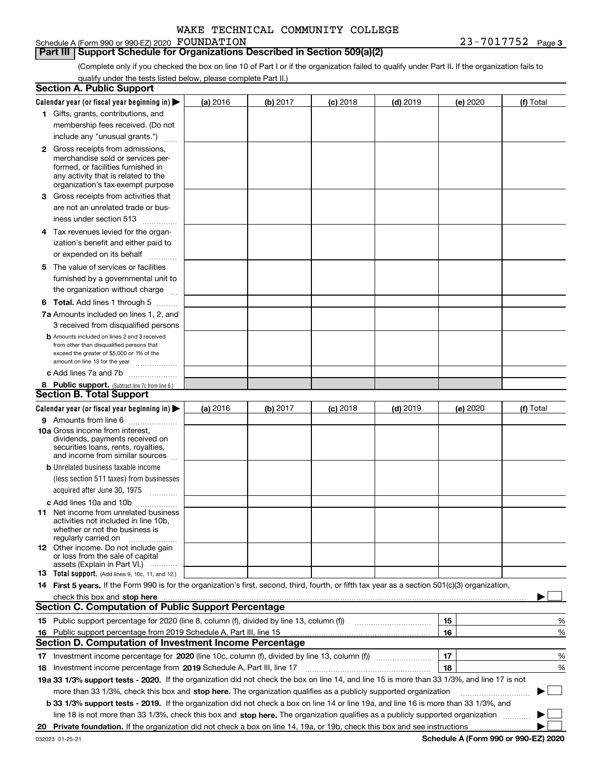### Schedule A (Form 990 or 990-EZ) 2020 FOUNDATION

### **Part III Support Schedule for Organizations Described in Section 509(a)(2)**

**3** FOUNDATION 23-7017752

(Complete only if you checked the box on line 10 of Part I or if the organization failed to qualify under Part II. If the organization fails to qualify under the tests listed below, please complete Part II.)

|    | <b>Section A. Public Support</b>                                                                                                                 |          |          |            |            |          |           |
|----|--------------------------------------------------------------------------------------------------------------------------------------------------|----------|----------|------------|------------|----------|-----------|
|    | Calendar year (or fiscal year beginning in) $\blacktriangleright$                                                                                | (a) 2016 | (b) 2017 | $(c)$ 2018 | $(d)$ 2019 | (e) 2020 | (f) Total |
|    | 1 Gifts, grants, contributions, and                                                                                                              |          |          |            |            |          |           |
|    | membership fees received. (Do not                                                                                                                |          |          |            |            |          |           |
|    | include any "unusual grants.")                                                                                                                   |          |          |            |            |          |           |
|    | <b>2</b> Gross receipts from admissions,                                                                                                         |          |          |            |            |          |           |
|    | merchandise sold or services per-                                                                                                                |          |          |            |            |          |           |
|    | formed, or facilities furnished in                                                                                                               |          |          |            |            |          |           |
|    | any activity that is related to the<br>organization's tax-exempt purpose                                                                         |          |          |            |            |          |           |
|    | 3 Gross receipts from activities that                                                                                                            |          |          |            |            |          |           |
|    | are not an unrelated trade or bus-                                                                                                               |          |          |            |            |          |           |
|    |                                                                                                                                                  |          |          |            |            |          |           |
|    | iness under section 513                                                                                                                          |          |          |            |            |          |           |
|    | 4 Tax revenues levied for the organ-                                                                                                             |          |          |            |            |          |           |
|    | ization's benefit and either paid to                                                                                                             |          |          |            |            |          |           |
|    | or expended on its behalf<br>.                                                                                                                   |          |          |            |            |          |           |
|    | 5 The value of services or facilities                                                                                                            |          |          |            |            |          |           |
|    | furnished by a governmental unit to                                                                                                              |          |          |            |            |          |           |
|    | the organization without charge                                                                                                                  |          |          |            |            |          |           |
|    | <b>6 Total.</b> Add lines 1 through 5                                                                                                            |          |          |            |            |          |           |
|    | 7a Amounts included on lines 1, 2, and                                                                                                           |          |          |            |            |          |           |
|    | 3 received from disqualified persons                                                                                                             |          |          |            |            |          |           |
|    | <b>b</b> Amounts included on lines 2 and 3 received                                                                                              |          |          |            |            |          |           |
|    | from other than disqualified persons that                                                                                                        |          |          |            |            |          |           |
|    | exceed the greater of \$5,000 or 1% of the<br>amount on line 13 for the year                                                                     |          |          |            |            |          |           |
|    | c Add lines 7a and 7b                                                                                                                            |          |          |            |            |          |           |
|    | 8 Public support. (Subtract line 7c from line 6.)                                                                                                |          |          |            |            |          |           |
|    | <b>Section B. Total Support</b>                                                                                                                  |          |          |            |            |          |           |
|    | Calendar year (or fiscal year beginning in)                                                                                                      | (a) 2016 | (b) 2017 | $(c)$ 2018 | $(d)$ 2019 | (e) 2020 | (f) Total |
|    | 9 Amounts from line 6                                                                                                                            |          |          |            |            |          |           |
|    | <b>10a</b> Gross income from interest,                                                                                                           |          |          |            |            |          |           |
|    | dividends, payments received on                                                                                                                  |          |          |            |            |          |           |
|    | securities loans, rents, royalties,<br>and income from similar sources                                                                           |          |          |            |            |          |           |
|    | <b>b</b> Unrelated business taxable income                                                                                                       |          |          |            |            |          |           |
|    | (less section 511 taxes) from businesses                                                                                                         |          |          |            |            |          |           |
|    | acquired after June 30, 1975                                                                                                                     |          |          |            |            |          |           |
|    |                                                                                                                                                  |          |          |            |            |          |           |
|    | c Add lines 10a and 10b<br>11 Net income from unrelated business                                                                                 |          |          |            |            |          |           |
|    | activities not included in line 10b,                                                                                                             |          |          |            |            |          |           |
|    | whether or not the business is                                                                                                                   |          |          |            |            |          |           |
|    | regularly carried on                                                                                                                             |          |          |            |            |          |           |
|    | <b>12</b> Other income. Do not include gain<br>or loss from the sale of capital                                                                  |          |          |            |            |          |           |
|    | assets (Explain in Part VI.)                                                                                                                     |          |          |            |            |          |           |
|    | <b>13</b> Total support. (Add lines 9, 10c, 11, and 12.)                                                                                         |          |          |            |            |          |           |
|    | 14 First 5 years. If the Form 990 is for the organization's first, second, third, fourth, or fifth tax year as a section 501(c)(3) organization, |          |          |            |            |          |           |
|    | check this box and stop here measurements are constructed as the state of the state of the state of the state o                                  |          |          |            |            |          |           |
|    | <b>Section C. Computation of Public Support Percentage</b>                                                                                       |          |          |            |            |          |           |
|    | 15 Public support percentage for 2020 (line 8, column (f), divided by line 13, column (f))                                                       |          |          |            |            | 15       | ℀         |
|    | 16 Public support percentage from 2019 Schedule A, Part III, line 15                                                                             |          |          |            |            | 16       | %         |
|    | <b>Section D. Computation of Investment Income Percentage</b>                                                                                    |          |          |            |            |          |           |
| 17 | Investment income percentage for 2020 (line 10c, column (f), divided by line 13, column (f))                                                     |          |          |            |            | 17       | %         |
|    | <b>18</b> Investment income percentage from <b>2019</b> Schedule A, Part III, line 17                                                            |          |          |            |            | 18       | %         |
|    | 19a 33 1/3% support tests - 2020. If the organization did not check the box on line 14, and line 15 is more than 33 1/3%, and line 17 is not     |          |          |            |            |          |           |
|    | more than 33 1/3%, check this box and stop here. The organization qualifies as a publicly supported organization                                 |          |          |            |            |          |           |
|    | b 33 1/3% support tests - 2019. If the organization did not check a box on line 14 or line 19a, and line 16 is more than 33 1/3%, and            |          |          |            |            |          |           |
|    | line 18 is not more than 33 1/3%, check this box and stop here. The organization qualifies as a publicly supported organization                  |          |          |            |            |          |           |
| 20 |                                                                                                                                                  |          |          |            |            |          |           |
|    |                                                                                                                                                  |          |          |            |            |          |           |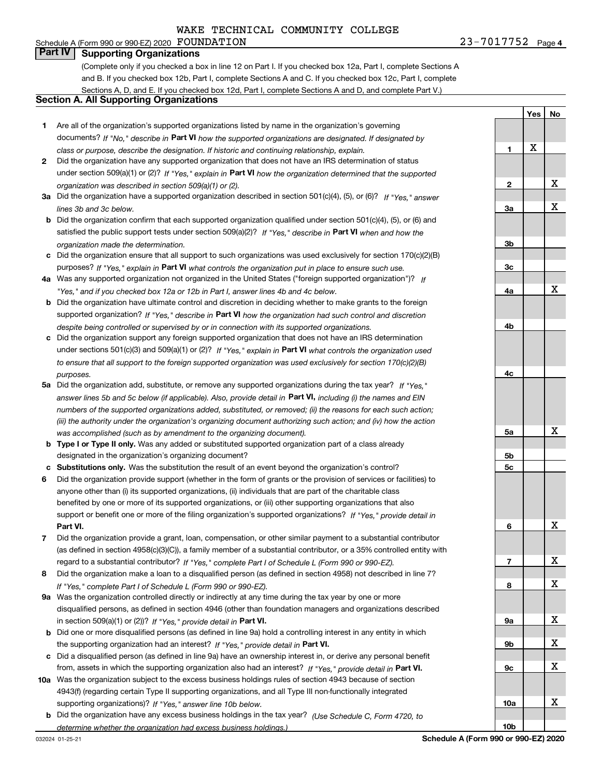### Schedule A (Form 990 or 990-EZ) 2020 Page FOUNDATION 23-7017752 **Part IV Supporting Organizations**

(Complete only if you checked a box in line 12 on Part I. If you checked box 12a, Part I, complete Sections A and B. If you checked box 12b, Part I, complete Sections A and C. If you checked box 12c, Part I, complete Sections A, D, and E. If you checked box 12d, Part I, complete Sections A and D, and complete Part V.)

### **Section A. All Supporting Organizations**

- **1** Are all of the organization's supported organizations listed by name in the organization's governing documents? If "No," describe in **Part VI** how the supported organizations are designated. If designated by *class or purpose, describe the designation. If historic and continuing relationship, explain.*
- **2** Did the organization have any supported organization that does not have an IRS determination of status under section 509(a)(1) or (2)? If "Yes," explain in Part VI how the organization determined that the supported *organization was described in section 509(a)(1) or (2).*
- **3a** Did the organization have a supported organization described in section 501(c)(4), (5), or (6)? If "Yes," answer *lines 3b and 3c below.*
- **b** Did the organization confirm that each supported organization qualified under section 501(c)(4), (5), or (6) and satisfied the public support tests under section 509(a)(2)? If "Yes," describe in **Part VI** when and how the *organization made the determination.*
- **c**Did the organization ensure that all support to such organizations was used exclusively for section 170(c)(2)(B) purposes? If "Yes," explain in **Part VI** what controls the organization put in place to ensure such use.
- **4a***If* Was any supported organization not organized in the United States ("foreign supported organization")? *"Yes," and if you checked box 12a or 12b in Part I, answer lines 4b and 4c below.*
- **b** Did the organization have ultimate control and discretion in deciding whether to make grants to the foreign supported organization? If "Yes," describe in **Part VI** how the organization had such control and discretion *despite being controlled or supervised by or in connection with its supported organizations.*
- **c** Did the organization support any foreign supported organization that does not have an IRS determination under sections 501(c)(3) and 509(a)(1) or (2)? If "Yes," explain in **Part VI** what controls the organization used *to ensure that all support to the foreign supported organization was used exclusively for section 170(c)(2)(B) purposes.*
- **5a***If "Yes,"* Did the organization add, substitute, or remove any supported organizations during the tax year? answer lines 5b and 5c below (if applicable). Also, provide detail in **Part VI,** including (i) the names and EIN *numbers of the supported organizations added, substituted, or removed; (ii) the reasons for each such action; (iii) the authority under the organization's organizing document authorizing such action; and (iv) how the action was accomplished (such as by amendment to the organizing document).*
- **b** Type I or Type II only. Was any added or substituted supported organization part of a class already designated in the organization's organizing document?
- **cSubstitutions only.**  Was the substitution the result of an event beyond the organization's control?
- **6** Did the organization provide support (whether in the form of grants or the provision of services or facilities) to **Part VI.** *If "Yes," provide detail in* support or benefit one or more of the filing organization's supported organizations? anyone other than (i) its supported organizations, (ii) individuals that are part of the charitable class benefited by one or more of its supported organizations, or (iii) other supporting organizations that also
- **7**Did the organization provide a grant, loan, compensation, or other similar payment to a substantial contributor *If "Yes," complete Part I of Schedule L (Form 990 or 990-EZ).* regard to a substantial contributor? (as defined in section 4958(c)(3)(C)), a family member of a substantial contributor, or a 35% controlled entity with
- **8** Did the organization make a loan to a disqualified person (as defined in section 4958) not described in line 7? *If "Yes," complete Part I of Schedule L (Form 990 or 990-EZ).*
- **9a** Was the organization controlled directly or indirectly at any time during the tax year by one or more in section 509(a)(1) or (2))? If "Yes," *provide detail in* <code>Part VI.</code> disqualified persons, as defined in section 4946 (other than foundation managers and organizations described
- **b** Did one or more disqualified persons (as defined in line 9a) hold a controlling interest in any entity in which the supporting organization had an interest? If "Yes," provide detail in P**art VI**.
- **c**Did a disqualified person (as defined in line 9a) have an ownership interest in, or derive any personal benefit from, assets in which the supporting organization also had an interest? If "Yes," provide detail in P**art VI.**
- **10a** Was the organization subject to the excess business holdings rules of section 4943 because of section supporting organizations)? If "Yes," answer line 10b below. 4943(f) (regarding certain Type II supporting organizations, and all Type III non-functionally integrated
- **b** Did the organization have any excess business holdings in the tax year? (Use Schedule C, Form 4720, to *determine whether the organization had excess business holdings.)*

**123a3b3c4a4b4c5a 5b5c6789a 9b9c10a**X X X X X X X X X X X X

**10b**

**Yes**

**No**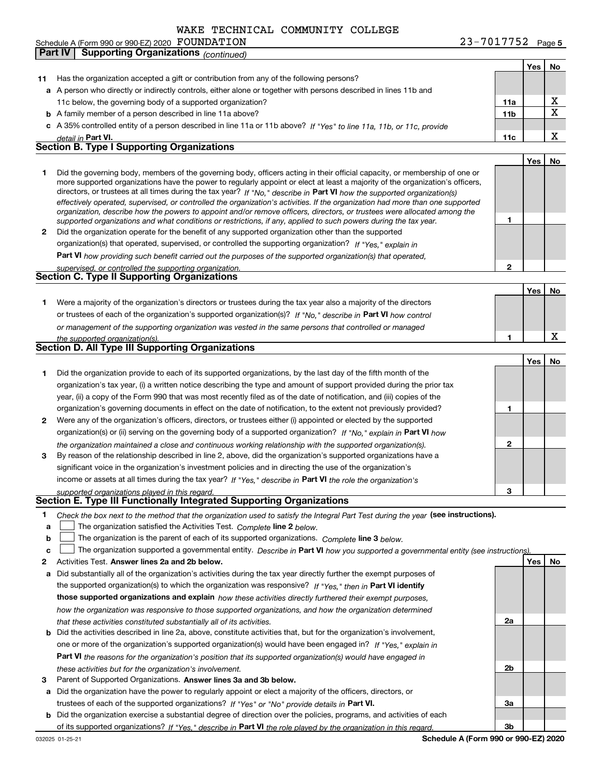**Part IV Supporting Organizations** *(continued)*

|      |                                                                                                                                                                                                                                                           |                 | Yes | No |
|------|-----------------------------------------------------------------------------------------------------------------------------------------------------------------------------------------------------------------------------------------------------------|-----------------|-----|----|
| 11 - | Has the organization accepted a gift or contribution from any of the following persons?                                                                                                                                                                   |                 |     |    |
|      | a A person who directly or indirectly controls, either alone or together with persons described in lines 11b and                                                                                                                                          |                 |     |    |
|      | 11c below, the governing body of a supported organization?                                                                                                                                                                                                | 11a             |     | х  |
|      | <b>b</b> A family member of a person described in line 11a above?                                                                                                                                                                                         | 11 <sub>b</sub> |     | X  |
|      | c A 35% controlled entity of a person described in line 11a or 11b above? If "Yes" to line 11a, 11b, or 11c, provide                                                                                                                                      |                 |     |    |
|      | detail in Part VI.                                                                                                                                                                                                                                        | 11c             |     | х  |
|      | <b>Section B. Type I Supporting Organizations</b>                                                                                                                                                                                                         |                 |     |    |
|      |                                                                                                                                                                                                                                                           |                 | Yes | No |
| 1    | Did the governing body, members of the governing body, officers acting in their official capacity, or membership of one or                                                                                                                                |                 |     |    |
|      | more supported organizations have the power to regularly appoint or elect at least a majority of the organization's officers,                                                                                                                             |                 |     |    |
|      | directors, or trustees at all times during the tax year? If "No," describe in Part VI how the supported organization(s)<br>effectively operated, supervised, or controlled the organization's activities. If the organization had more than one supported |                 |     |    |
|      | organization, describe how the powers to appoint and/or remove officers, directors, or trustees were allocated among the                                                                                                                                  |                 |     |    |
|      | supported organizations and what conditions or restrictions, if any, applied to such powers during the tax year.                                                                                                                                          | 1               |     |    |
| 2    | Did the organization operate for the benefit of any supported organization other than the supported                                                                                                                                                       |                 |     |    |
|      | organization(s) that operated, supervised, or controlled the supporting organization? If "Yes," explain in                                                                                                                                                |                 |     |    |
|      | Part VI how providing such benefit carried out the purposes of the supported organization(s) that operated,                                                                                                                                               |                 |     |    |
|      | supervised, or controlled the supporting organization.                                                                                                                                                                                                    | $\mathbf 2$     |     |    |
|      | <b>Section C. Type II Supporting Organizations</b>                                                                                                                                                                                                        |                 |     |    |
|      |                                                                                                                                                                                                                                                           |                 | Yes | No |
| 1.   | Were a majority of the organization's directors or trustees during the tax year also a majority of the directors                                                                                                                                          |                 |     |    |
|      | or trustees of each of the organization's supported organization(s)? If "No," describe in Part VI how control                                                                                                                                             |                 |     |    |
|      | or management of the supporting organization was vested in the same persons that controlled or managed                                                                                                                                                    |                 |     |    |
|      | the supported organization(s).                                                                                                                                                                                                                            | 1               |     | x  |
|      | Section D. All Type III Supporting Organizations                                                                                                                                                                                                          |                 |     |    |
|      |                                                                                                                                                                                                                                                           |                 | Yes | No |
| 1    | Did the organization provide to each of its supported organizations, by the last day of the fifth month of the                                                                                                                                            |                 |     |    |
|      | organization's tax year, (i) a written notice describing the type and amount of support provided during the prior tax                                                                                                                                     |                 |     |    |
|      | year, (ii) a copy of the Form 990 that was most recently filed as of the date of notification, and (iii) copies of the                                                                                                                                    |                 |     |    |
|      | organization's governing documents in effect on the date of notification, to the extent not previously provided?                                                                                                                                          | 1               |     |    |
| 2    | Were any of the organization's officers, directors, or trustees either (i) appointed or elected by the supported                                                                                                                                          |                 |     |    |
|      | organization(s) or (ii) serving on the governing body of a supported organization? If "No," explain in Part VI how                                                                                                                                        |                 |     |    |
|      | the organization maintained a close and continuous working relationship with the supported organization(s).                                                                                                                                               | $\mathbf{2}$    |     |    |
| 3    | By reason of the relationship described in line 2, above, did the organization's supported organizations have a                                                                                                                                           |                 |     |    |
|      | significant voice in the organization's investment policies and in directing the use of the organization's                                                                                                                                                |                 |     |    |
|      | income or assets at all times during the tax year? If "Yes," describe in Part VI the role the organization's                                                                                                                                              |                 |     |    |
|      | supported organizations played in this regard.                                                                                                                                                                                                            | З               |     |    |
|      | Section E. Type III Functionally Integrated Supporting Organizations                                                                                                                                                                                      |                 |     |    |
| 1    | Check the box next to the method that the organization used to satisfy the Integral Part Test during the year (see instructions).                                                                                                                         |                 |     |    |
| a    | The organization satisfied the Activities Test. Complete line 2 below.                                                                                                                                                                                    |                 |     |    |
| b    | The organization is the parent of each of its supported organizations. Complete line 3 below.                                                                                                                                                             |                 |     |    |
| c    | The organization supported a governmental entity. Describe in Part VI how you supported a governmental entity (see instructions).                                                                                                                         |                 |     |    |
| 2    | Activities Test. Answer lines 2a and 2b below.                                                                                                                                                                                                            |                 | Yes | No |
| а    | Did substantially all of the organization's activities during the tax year directly further the exempt purposes of                                                                                                                                        |                 |     |    |
|      | the supported organization(s) to which the organization was responsive? If "Yes," then in Part VI identify                                                                                                                                                |                 |     |    |
|      | those supported organizations and explain how these activities directly furthered their exempt purposes,                                                                                                                                                  |                 |     |    |
|      | how the organization was responsive to those supported organizations, and how the organization determined                                                                                                                                                 |                 |     |    |
|      | that these activities constituted substantially all of its activities.                                                                                                                                                                                    | 2a              |     |    |
| b    | Did the activities described in line 2a, above, constitute activities that, but for the organization's involvement,                                                                                                                                       |                 |     |    |
|      | one or more of the organization's supported organization(s) would have been engaged in? If "Yes," explain in                                                                                                                                              |                 |     |    |
|      | <b>Part VI</b> the reasons for the organization's position that its supported organization(s) would have engaged in                                                                                                                                       |                 |     |    |
|      | these activities but for the organization's involvement.                                                                                                                                                                                                  | 2b              |     |    |
| з    | Parent of Supported Organizations. Answer lines 3a and 3b below.                                                                                                                                                                                          |                 |     |    |
| а    | Did the organization have the power to regularly appoint or elect a majority of the officers, directors, or                                                                                                                                               |                 |     |    |
|      | trustees of each of the supported organizations? If "Yes" or "No" provide details in Part VI.                                                                                                                                                             | За              |     |    |
|      | <b>b</b> Did the organization exercise a substantial degree of direction over the policies, programs, and activities of each                                                                                                                              |                 |     |    |

**Schedule A (Form 990 or 990-EZ) 2020**

**3b**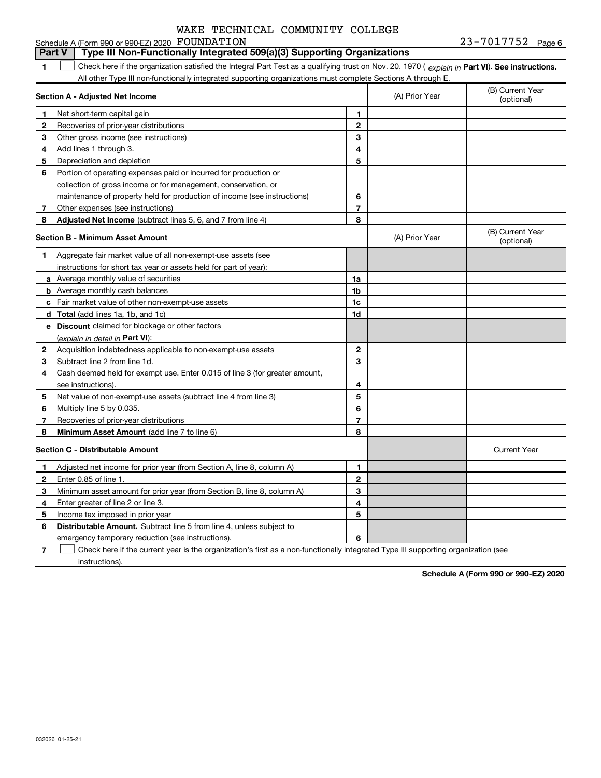#### **1Part VI** Check here if the organization satisfied the Integral Part Test as a qualifying trust on Nov. 20, 1970 ( explain in Part **VI**). See instructions. **Section A - Adjusted Net Income 123** Other gross income (see instructions) **4**Add lines 1 through 3. **56** Portion of operating expenses paid or incurred for production or **7** Other expenses (see instructions) **8** Adjusted Net Income (subtract lines 5, 6, and 7 from line 4) **8 8 1234567Section B - Minimum Asset Amount 1**Aggregate fair market value of all non-exempt-use assets (see **2**Acquisition indebtedness applicable to non-exempt-use assets **3** Subtract line 2 from line 1d. **4**Cash deemed held for exempt use. Enter 0.015 of line 3 (for greater amount, **5** Net value of non-exempt-use assets (subtract line 4 from line 3) **678a** Average monthly value of securities **b** Average monthly cash balances **c**Fair market value of other non-exempt-use assets **dTotal**  (add lines 1a, 1b, and 1c) **eDiscount** claimed for blockage or other factors **1a1b1c1d2345678**(explain in detail in Part VI): **Minimum Asset Amount**  (add line 7 to line 6) **Section C - Distributable Amount 123456123456Distributable Amount.** Subtract line 5 from line 4, unless subject to Schedule A (Form 990 or 990-EZ) 2020 Page FOUNDATION 23-7017752 All other Type III non-functionally integrated supporting organizations must complete Sections A through E. (B) Current Year (optional)(A) Prior Year Net short-term capital gain Recoveries of prior-year distributions Depreciation and depletion collection of gross income or for management, conservation, or maintenance of property held for production of income (see instructions) (B) Current Year (optional)(A) Prior Year instructions for short tax year or assets held for part of year): see instructions). Multiply line 5 by 0.035. Recoveries of prior-year distributions Current Year Adjusted net income for prior year (from Section A, line 8, column A) Enter 0.85 of line 1. Minimum asset amount for prior year (from Section B, line 8, column A) Enter greater of line 2 or line 3. Income tax imposed in prior year emergency temporary reduction (see instructions). **Part V Type III Non-Functionally Integrated 509(a)(3) Supporting Organizations**   $\mathcal{L}^{\text{max}}$

**7**Check here if the current year is the organization's first as a non-functionally integrated Type III supporting organization (see instructions). $\mathcal{L}^{\text{max}}$ 

**Schedule A (Form 990 or 990-EZ) 2020**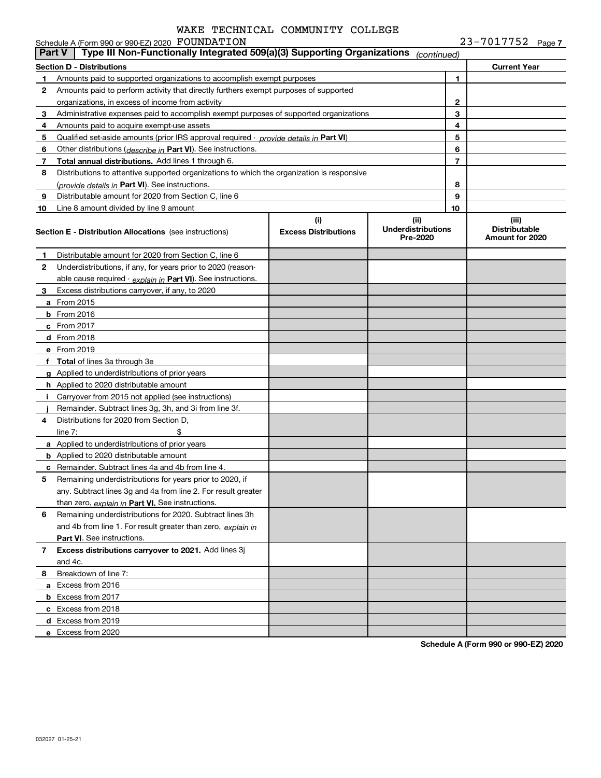|               | Schedule A (Form 990 or 990-EZ) 2020 FOUNDATION                                            |                                    |                                               |                | $23 - 7017752$ Page 7                            |
|---------------|--------------------------------------------------------------------------------------------|------------------------------------|-----------------------------------------------|----------------|--------------------------------------------------|
| <b>Part V</b> | Type III Non-Functionally Integrated 509(a)(3) Supporting Organizations                    |                                    | (continued)                                   |                |                                                  |
|               | Section D - Distributions                                                                  |                                    |                                               |                | <b>Current Year</b>                              |
| 1.            | Amounts paid to supported organizations to accomplish exempt purposes                      |                                    |                                               | 1              |                                                  |
| 2             | Amounts paid to perform activity that directly furthers exempt purposes of supported       |                                    |                                               |                |                                                  |
|               | organizations, in excess of income from activity                                           |                                    |                                               | 2              |                                                  |
| 3             | Administrative expenses paid to accomplish exempt purposes of supported organizations      |                                    |                                               | 3              |                                                  |
| 4             | Amounts paid to acquire exempt-use assets                                                  |                                    |                                               | 4              |                                                  |
| 5             | Qualified set-aside amounts (prior IRS approval required - provide details in Part VI)     |                                    |                                               | 5              |                                                  |
| 6             | Other distributions ( <i>describe in</i> Part VI). See instructions.                       |                                    |                                               | 6              |                                                  |
| 7             | Total annual distributions. Add lines 1 through 6.                                         |                                    |                                               | $\overline{7}$ |                                                  |
| 8             | Distributions to attentive supported organizations to which the organization is responsive |                                    |                                               |                |                                                  |
|               | (provide details in Part VI). See instructions.                                            |                                    |                                               | 8              |                                                  |
| 9             | Distributable amount for 2020 from Section C, line 6                                       |                                    |                                               | 9              |                                                  |
| 10            | Line 8 amount divided by line 9 amount                                                     |                                    |                                               | 10             |                                                  |
|               | <b>Section E - Distribution Allocations</b> (see instructions)                             | (i)<br><b>Excess Distributions</b> | (ii)<br><b>Underdistributions</b><br>Pre-2020 |                | (iii)<br><b>Distributable</b><br>Amount for 2020 |
| 1             | Distributable amount for 2020 from Section C, line 6                                       |                                    |                                               |                |                                                  |
| 2             | Underdistributions, if any, for years prior to 2020 (reason-                               |                                    |                                               |                |                                                  |
|               | able cause required - explain in Part VI). See instructions.                               |                                    |                                               |                |                                                  |
| 3             | Excess distributions carryover, if any, to 2020                                            |                                    |                                               |                |                                                  |
|               | <b>a</b> From 2015                                                                         |                                    |                                               |                |                                                  |
|               | <b>b</b> From 2016                                                                         |                                    |                                               |                |                                                  |
|               | <b>c</b> From 2017                                                                         |                                    |                                               |                |                                                  |
|               | d From 2018                                                                                |                                    |                                               |                |                                                  |
|               | e From 2019                                                                                |                                    |                                               |                |                                                  |
|               | f Total of lines 3a through 3e                                                             |                                    |                                               |                |                                                  |
|               | g Applied to underdistributions of prior years                                             |                                    |                                               |                |                                                  |
|               | <b>h</b> Applied to 2020 distributable amount                                              |                                    |                                               |                |                                                  |
| Ť.            | Carryover from 2015 not applied (see instructions)                                         |                                    |                                               |                |                                                  |
|               | Remainder. Subtract lines 3g, 3h, and 3i from line 3f.                                     |                                    |                                               |                |                                                  |
| 4             | Distributions for 2020 from Section D,                                                     |                                    |                                               |                |                                                  |
|               | \$<br>line $7:$                                                                            |                                    |                                               |                |                                                  |
|               | a Applied to underdistributions of prior years                                             |                                    |                                               |                |                                                  |
|               | <b>b</b> Applied to 2020 distributable amount                                              |                                    |                                               |                |                                                  |
|               | <b>c</b> Remainder. Subtract lines 4a and 4b from line 4.                                  |                                    |                                               |                |                                                  |
|               | Remaining underdistributions for years prior to 2020, if                                   |                                    |                                               |                |                                                  |
|               | any. Subtract lines 3g and 4a from line 2. For result greater                              |                                    |                                               |                |                                                  |
|               | than zero, explain in Part VI. See instructions.                                           |                                    |                                               |                |                                                  |
| 6             | Remaining underdistributions for 2020. Subtract lines 3h                                   |                                    |                                               |                |                                                  |
|               | and 4b from line 1. For result greater than zero, explain in                               |                                    |                                               |                |                                                  |
|               | <b>Part VI.</b> See instructions.                                                          |                                    |                                               |                |                                                  |
| 7             | Excess distributions carryover to 2021. Add lines 3j                                       |                                    |                                               |                |                                                  |
|               | and 4c.                                                                                    |                                    |                                               |                |                                                  |
| 8             | Breakdown of line 7:                                                                       |                                    |                                               |                |                                                  |
|               | a Excess from 2016                                                                         |                                    |                                               |                |                                                  |
|               | <b>b</b> Excess from 2017                                                                  |                                    |                                               |                |                                                  |
|               | c Excess from 2018                                                                         |                                    |                                               |                |                                                  |
|               | d Excess from 2019                                                                         |                                    |                                               |                |                                                  |
|               | e Excess from 2020                                                                         |                                    |                                               |                |                                                  |
|               |                                                                                            |                                    |                                               |                |                                                  |

**Schedule A (Form 990 or 990-EZ) 2020**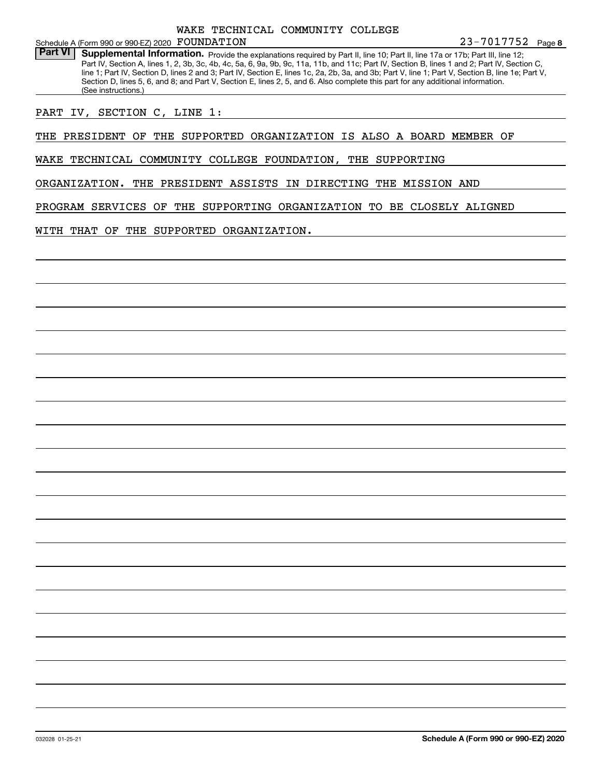### Schedule A (Form 990 or 990-EZ) 2020 Page FOUNDATION WAKE TECHNICAL COMMUNITY COLLEGE

Part VI | Supplemental Information. Provide the explanations required by Part II, line 10; Part II, line 17a or 17b; Part III, line 12; Part IV, Section A, lines 1, 2, 3b, 3c, 4b, 4c, 5a, 6, 9a, 9b, 9c, 11a, 11b, and 11c; Part IV, Section B, lines 1 and 2; Part IV, Section C, line 1; Part IV, Section D, lines 2 and 3; Part IV, Section E, lines 1c, 2a, 2b, 3a, and 3b; Part V, line 1; Part V, Section B, line 1e; Part V, Section D, lines 5, 6, and 8; and Part V, Section E, lines 2, 5, and 6. Also complete this part for any additional information. (See instructions.)

PART IV, SECTION C, LINE 1:

THE PRESIDENT OF THE SUPPORTED ORGANIZATION IS ALSO A BOARD MEMBER OF

WAKE TECHNICAL COMMUNITY COLLEGE FOUNDATION, THE SUPPORTING

ORGANIZATION. THE PRESIDENT ASSISTS IN DIRECTING THE MISSION AND

PROGRAM SERVICES OF THE SUPPORTING ORGANIZATION TO BE CLOSELY ALIGNED

WITH THAT OF THE SUPPORTED ORGANIZATION.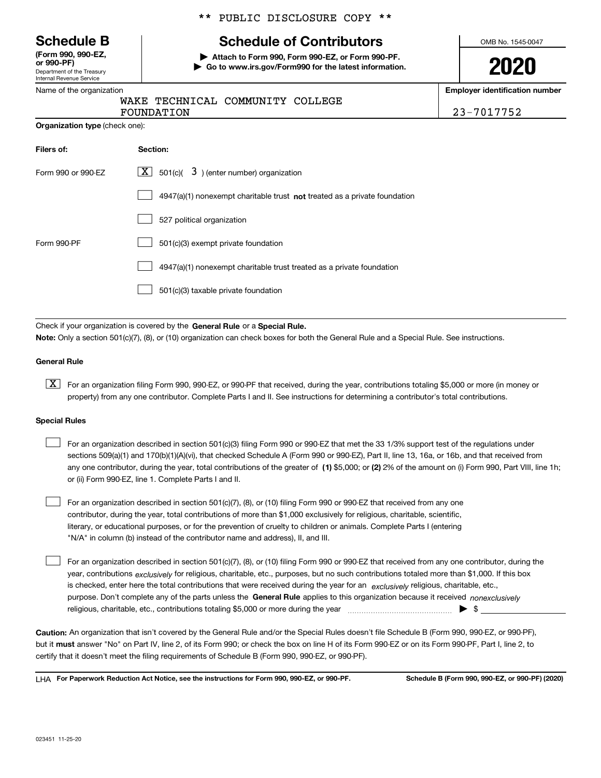Department of the Treasury Internal Revenue Service **(Form 990, 990-EZ, or 990-PF)**

### Name of the organization

**Organization type** (check one):

### \*\* PUBLIC DISCLOSURE COPY \*\*

## **Schedule B Schedule of Contributors**

**| Attach to Form 990, Form 990-EZ, or Form 990-PF. | Go to www.irs.gov/Form990 for the latest information.** OMB No. 1545-0047

**2020**

**Employer identification number**

|  |            | WAKE TECHNICAL COMMUNITY COLLEGE |  |
|--|------------|----------------------------------|--|
|  | FOUNDATION |                                  |  |

FOUNDATION 23-7017752

| Filers of:         | Section:                                                                  |
|--------------------|---------------------------------------------------------------------------|
| Form 990 or 990-EZ | $\lfloor x \rfloor$ 501(c)( 3) (enter number) organization                |
|                    | 4947(a)(1) nonexempt charitable trust not treated as a private foundation |
|                    | 527 political organization                                                |
| Form 990-PF        | 501(c)(3) exempt private foundation                                       |
|                    | 4947(a)(1) nonexempt charitable trust treated as a private foundation     |
|                    | 501(c)(3) taxable private foundation                                      |

Check if your organization is covered by the **General Rule** or a **Special Rule. Note:**  Only a section 501(c)(7), (8), or (10) organization can check boxes for both the General Rule and a Special Rule. See instructions.

### **General Rule**

 $\boxed{\textbf{X}}$  For an organization filing Form 990, 990-EZ, or 990-PF that received, during the year, contributions totaling \$5,000 or more (in money or property) from any one contributor. Complete Parts I and II. See instructions for determining a contributor's total contributions.

### **Special Rules**

| For an organization described in section 501(c)(3) filing Form 990 or 990-EZ that met the 33 1/3% support test of the regulations under               |
|-------------------------------------------------------------------------------------------------------------------------------------------------------|
| sections 509(a)(1) and 170(b)(1)(A)(vi), that checked Schedule A (Form 990 or 990-EZ), Part II, line 13, 16a, or 16b, and that received from          |
| any one contributor, during the year, total contributions of the greater of (1) \$5,000; or (2) 2% of the amount on (i) Form 990, Part VIII, line 1h; |
| or (ii) Form 990-EZ, line 1. Complete Parts I and II.                                                                                                 |

For an organization described in section 501(c)(7), (8), or (10) filing Form 990 or 990-EZ that received from any one contributor, during the year, total contributions of more than \$1,000 exclusively for religious, charitable, scientific, literary, or educational purposes, or for the prevention of cruelty to children or animals. Complete Parts I (entering "N/A" in column (b) instead of the contributor name and address), II, and III.  $\mathcal{L}^{\text{max}}$ 

purpose. Don't complete any of the parts unless the **General Rule** applies to this organization because it received *nonexclusively* year, contributions <sub>exclusively</sub> for religious, charitable, etc., purposes, but no such contributions totaled more than \$1,000. If this box is checked, enter here the total contributions that were received during the year for an  $\;$ exclusively religious, charitable, etc., For an organization described in section 501(c)(7), (8), or (10) filing Form 990 or 990-EZ that received from any one contributor, during the religious, charitable, etc., contributions totaling \$5,000 or more during the year  $\Box$ — $\Box$   $\Box$  $\mathcal{L}^{\text{max}}$ 

**Caution:**  An organization that isn't covered by the General Rule and/or the Special Rules doesn't file Schedule B (Form 990, 990-EZ, or 990-PF),  **must** but it answer "No" on Part IV, line 2, of its Form 990; or check the box on line H of its Form 990-EZ or on its Form 990-PF, Part I, line 2, to certify that it doesn't meet the filing requirements of Schedule B (Form 990, 990-EZ, or 990-PF).

**For Paperwork Reduction Act Notice, see the instructions for Form 990, 990-EZ, or 990-PF. Schedule B (Form 990, 990-EZ, or 990-PF) (2020)** LHA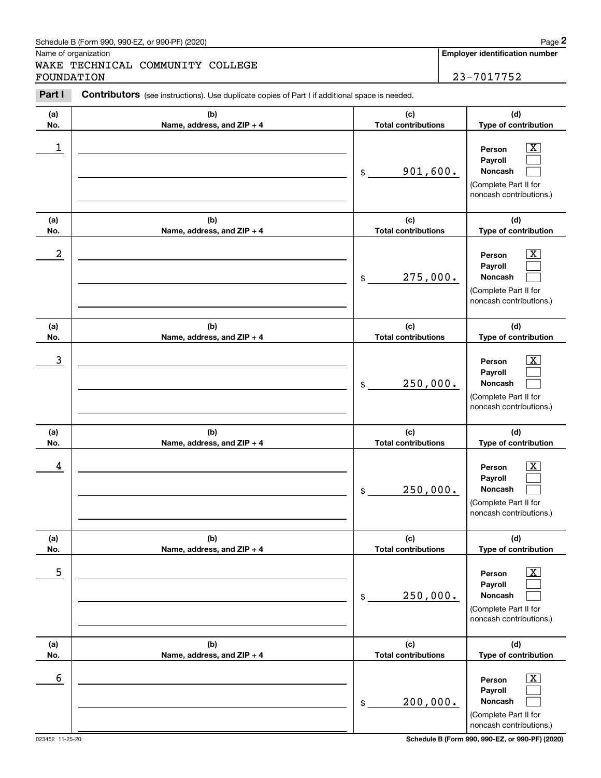Name of organization

WAKE TECHNICAL COMMUNITY COLLEGE FOUNDATION 23-7017752

**Employer identification number**

#### **(a)No.(b)Name, address, and ZIP + 4 (c)Total contributions (d)Type of contribution PersonPayrollNoncash (a)No.(b)Name, address, and ZIP + 4 (c)Total contributions (d)Type of contribution PersonPayrollNoncash (a)No.(b)Name, address, and ZIP + 4 (c)Total contributions (d)Type of contribution PersonPayrollNoncash (a) No.(b) Name, address, and ZIP + 4 (c) Total contributions (d) Type of contribution PersonPayrollNoncash(a) No.(b) Name, address, and ZIP + 4 (c) Total contributions (d) Type of contribution PersonPayrollNoncash (a) No.(b)Name, address, and ZIP + 4 (c) Total contributions (d) Type of contribution PersonPayrollNoncash Contributors** (see instructions). Use duplicate copies of Part I if additional space is needed. \$(Complete Part II for noncash contributions.) \$(Complete Part II for noncash contributions.) \$(Complete Part II for noncash contributions.) \$(Complete Part II for noncash contributions.) \$(Complete Part II for noncash contributions.) \$(Complete Part II for noncash contributions.) Chedule B (Form 990, 990-EZ, or 990-PF) (2020)<br> **2Part I 2Part I COMMUNITY COLLEGE**<br> **2Part I Contributors** (see instructions). Use duplicate copies of Part I if additional space is needed.<br> **Part I Contributors** (  $|X|$  $\mathcal{L}^{\text{max}}$  $\mathcal{L}^{\text{max}}$  $\boxed{\text{X}}$  $\mathcal{L}^{\text{max}}$  $\mathcal{L}^{\text{max}}$  $|X|$  $\mathcal{L}^{\text{max}}$  $\mathcal{L}^{\text{max}}$  $|X|$  $\mathcal{L}^{\text{max}}$  $\mathcal{L}^{\text{max}}$  $|X|$  $\mathcal{L}^{\text{max}}$  $\mathcal{L}^{\text{max}}$  $\boxed{\text{X}}$  $\mathcal{L}^{\text{max}}$  $\mathcal{L}^{\text{max}}$  $\begin{array}{c|c|c|c|c|c} 1 & \hspace{1.5cm} & \hspace{1.5cm} & \hspace{1.5cm} & \hspace{1.5cm} & \hspace{1.5cm} & \hspace{1.5cm} & \hspace{1.5cm} & \hspace{1.5cm} & \hspace{1.5cm} & \hspace{1.5cm} & \hspace{1.5cm} & \hspace{1.5cm} & \hspace{1.5cm} & \hspace{1.5cm} & \hspace{1.5cm} & \hspace{1.5cm} & \hspace{1.5cm} & \hspace{1.5cm} & \hspace{1.5cm} & \hspace{1.5cm} &$ 901,600.  $2$  | Person  $\overline{\text{X}}$ 275,000.  $\overline{3}$  | Person  $\overline{X}$ 250,000.  $4$  | Person  $\overline{\text{X}}$ 250,000.  $\sim$  5 | Person X 250,000.  $\sim$  6 | Person X 200,000.

023452 11-25-20 **Schedule B (Form 990, 990-EZ, or 990-PF) (2020)**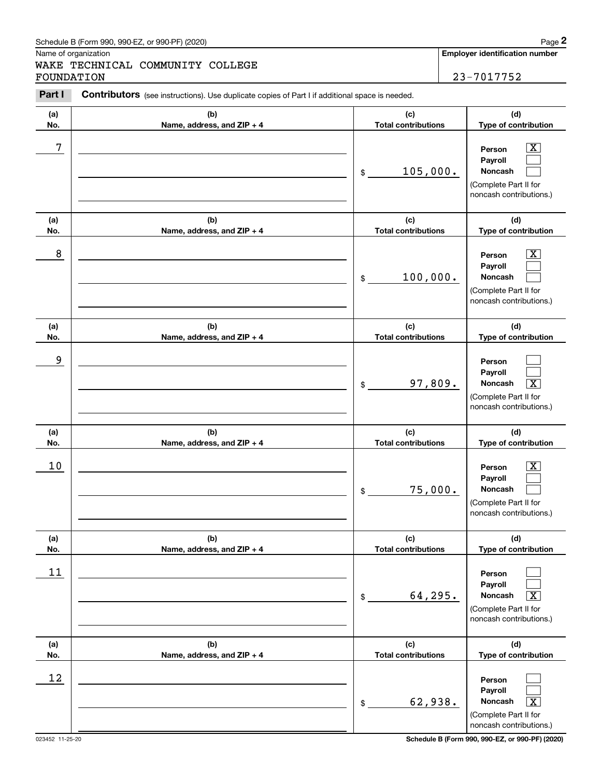Name of organization

WAKE TECHNICAL COMMUNITY COLLEGE FOUNDATION 23-7017752

**Employer identification number**

#### **(a)No.(b)Name, address, and ZIP + 4 (c)Total contributions (d)Type of contribution PersonPayrollNoncash (a)No.(b)Name, address, and ZIP + 4 (c)Total contributions (d)Type of contribution PersonPayrollNoncash (a)No.(b)Name, address, and ZIP + 4 (c)Total contributions (d)Type of contribution PersonPayrollNoncash (a) No.(b) Name, address, and ZIP + 4 (c) Total contributions (d) Type of contribution PersonPayrollNoncash (a) No.(b) Name, address, and ZIP + 4 (c) Total contributions (d) Type of contribution PersonPayrollNoncash (a) No.(b)Name, address, and ZIP + 4 (c) Total contributions (d)Type of contribution PersonPayrollNoncash Contributors** (see instructions). Use duplicate copies of Part I if additional space is needed. \$(Complete Part II for noncash contributions.) \$(Complete Part II for noncash contributions.) \$(Complete Part II for noncash contributions.) \$(Complete Part II for noncash contributions.) \$(Complete Part II for noncash contributions.) \$(Complete Part II for noncash contributions.) Chedule B (Form 990, 990-EZ, or 990-PF) (2020)<br> **2Part I 2Part I COMMUNITY COLLEGE**<br> **2Part I Contributors** (see instructions). Use duplicate copies of Part I if additional space is needed.<br> **Part I Contributors** (  $|X|$  $\mathcal{L}^{\text{max}}$  $\mathcal{L}^{\text{max}}$  $\boxed{\text{X}}$  $\mathcal{L}^{\text{max}}$  $\mathcal{L}^{\text{max}}$  $\mathcal{L}^{\text{max}}$  $\mathcal{L}^{\text{max}}$  $\boxed{\text{X}}$  $|X|$  $\mathcal{L}^{\text{max}}$  $\mathcal{L}^{\text{max}}$  $\mathcal{L}^{\text{max}}$  $\mathcal{L}^{\text{max}}$  $\sqrt{X}$  $\mathcal{L}^{\text{max}}$  $\mathcal{L}^{\text{max}}$  $\vert X \vert$ 7 X 105,000. 8 X 100,000. 9 97,809. X  $10$  Person  $\overline{\text{X}}$ 75,000. 11  $64,295$ . 12 62,938. X

023452 11-25-20 **Schedule B (Form 990, 990-EZ, or 990-PF) (2020)**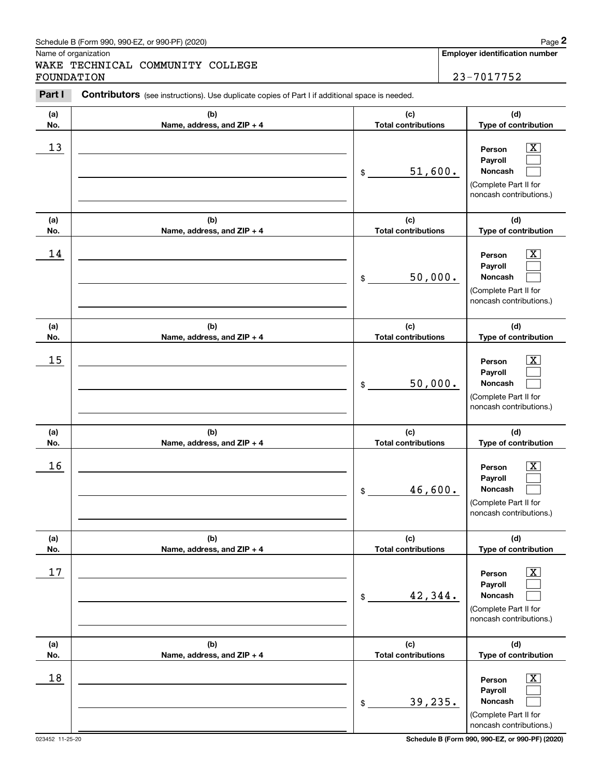Name of organization

WAKE TECHNICAL COMMUNITY COLLEGE FOUNDATION 23-7017752

**Employer identification number**

#### **(a)No.(b)Name, address, and ZIP + 4 (c)Total contributions (d)Type of contribution PersonPayrollNoncash (a)No.(b)Name, address, and ZIP + 4 (c)Total contributions (d)Type of contribution PersonPayrollNoncash (a)No.(b)Name, address, and ZIP + 4 (c)Total contributions (d)Type of contribution PersonPayrollNoncash (a) No.(b) Name, address, and ZIP + 4 (c) Total contributions (d) Type of contribution PersonPayrollNoncash (a) No.(b) Name, address, and ZIP + 4 (c) Total contributions (d) Type of contribution PersonPayrollNoncash (a) No.(b)Name, address, and ZIP + 4 (c) Total contributions (d) Type of contribution PersonPayrollNoncash Contributors** (see instructions). Use duplicate copies of Part I if additional space is needed. \$(Complete Part II for noncash contributions.) \$(Complete Part II for noncash contributions.) \$(Complete Part II for noncash contributions.) \$(Complete Part II for noncash contributions.) \$(Complete Part II for noncash contributions.) \$(Complete Part II for noncash contributions.) Chedule B (Form 990, 990-EZ, or 990-PF) (2020)<br> **2Part I 2Part I COMMUNITY COLLEGE**<br> **2Part I Contributors** (see instructions). Use duplicate copies of Part I if additional space is needed.<br> **Part I Contributors** (  $\lceil \text{X} \rceil$  $\mathcal{L}^{\text{max}}$  $\mathcal{L}^{\text{max}}$  $\boxed{\text{X}}$  $\mathcal{L}^{\text{max}}$  $\mathcal{L}^{\text{max}}$  $|X|$  $\mathcal{L}^{\text{max}}$  $\mathcal{L}^{\text{max}}$  $|X|$  $\mathcal{L}^{\text{max}}$  $\mathcal{L}^{\text{max}}$  $|X|$  $\mathcal{L}^{\text{max}}$  $\mathcal{L}^{\text{max}}$  $\boxed{\text{X}}$  $\mathcal{L}^{\text{max}}$  $\mathcal{L}^{\text{max}}$  $13$  Person X 51,600.  $14$  Person X 50,000.  $15$  Person X 50,000.  $16$  Person X 46,600.  $17$  | Person  $\overline{\text{X}}$ 42,344.  $18$  Person  $\overline{\text{X}}$ 39,235.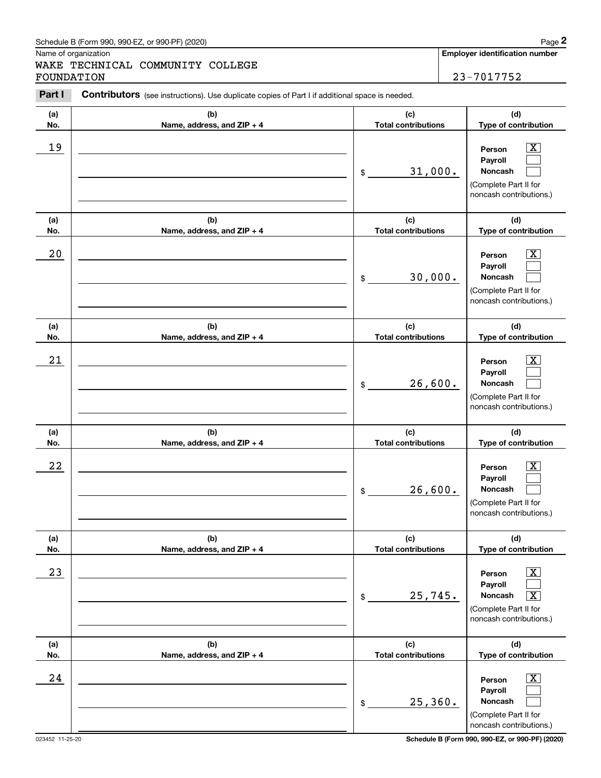Name of organization

WAKE TECHNICAL COMMUNITY COLLEGE FOUNDATION 23-7017752

**Employer identification number**

#### **(a)No.(b)Name, address, and ZIP + 4 (c)Total contributions (d)Type of contribution PersonPayrollNoncash (a)No.(b)Name, address, and ZIP + 4 (c)Total contributions (d)Type of contribution PersonPayrollNoncash (a)No.(b)Name, address, and ZIP + 4 (c)Total contributions (d)Type of contribution PersonPayrollNoncash (a) No.(b) Name, address, and ZIP + 4 (c) Total contributions (d) Type of contribution PersonPayrollNoncash (a) No.(b) Name, address, and ZIP + 4 (c) Total contributions (d) Type of contribution PersonPayrollNoncash (a) No.(b)Name, address, and ZIP + 4 (c) Total contributions (d) Type of contribution PersonPayrollNoncash Contributors** (see instructions). Use duplicate copies of Part I if additional space is needed. \$(Complete Part II for noncash contributions.) \$(Complete Part II for noncash contributions.) \$(Complete Part II for noncash contributions.) \$(Complete Part II for noncash contributions.) \$(Complete Part II for noncash contributions.) \$(Complete Part II for noncash contributions.) Chedule B (Form 990, 990-EZ, or 990-PF) (2020)<br> **2Part I 2Part I COMMUNITY COLLEGE**<br> **2Part I Contributors** (see instructions). Use duplicate copies of Part I if additional space is needed.<br> **Part I Contributors** (  $|X|$  $\mathcal{L}^{\text{max}}$  $\mathcal{L}^{\text{max}}$  $\boxed{\text{X}}$  $\mathcal{L}^{\text{max}}$  $\mathcal{L}^{\text{max}}$  $|X|$  $\mathcal{L}^{\text{max}}$  $\mathcal{L}^{\text{max}}$  $|X|$  $\mathcal{L}^{\text{max}}$  $\mathcal{L}^{\text{max}}$  $\boxed{\text{X}}$  $\mathcal{L}^{\text{max}}$  $\sqrt{X}$  $\boxed{\text{X}}$  $\mathcal{L}^{\text{max}}$  $\mathcal{L}^{\text{max}}$ 19 X 31,000.  $20$  | Person  $\overline{\text{X}}$ 30,000.  $21$  Person X 26,600.  $22$  | Person  $\overline{\text{X}}$ 26,600.  $23$  | Person  $\overline{\text{X}}$ 25,745. X  $24$  | Person  $\overline{\text{X}}$ 25,360.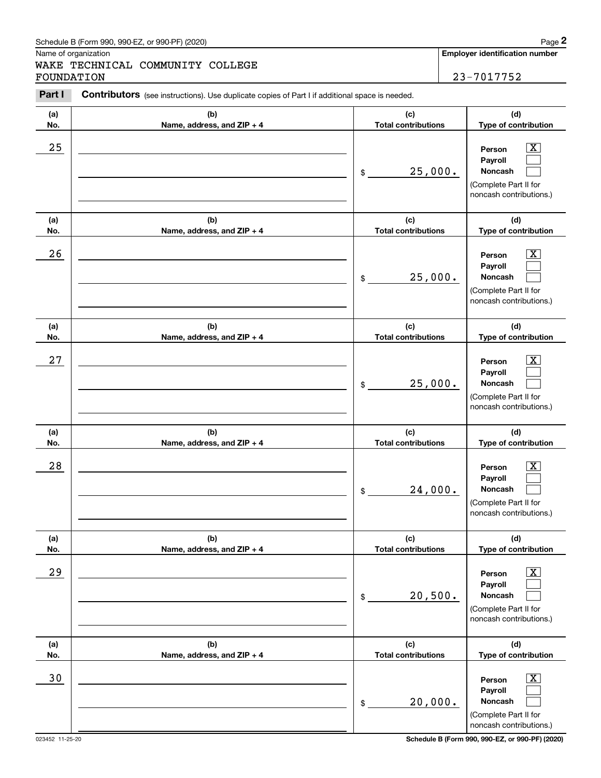Name of organization

WAKE TECHNICAL COMMUNITY COLLEGE FOUNDATION 23-7017752

**Employer identification number**

#### **(a)No.(b)Name, address, and ZIP + 4 (c)Total contributions (d)Type of contribution PersonPayrollNoncash (a)No.(b)Name, address, and ZIP + 4 (c)Total contributions (d)Type of contribution PersonPayrollNoncash (a)No.(b)Name, address, and ZIP + 4 (c)Total contributions (d)Type of contribution PersonPayrollNoncash (a) No.(b) Name, address, and ZIP + 4 (c) Total contributions (d) Type of contribution Person Payroll Noncash (a) No.(b) Name, address, and ZIP + 4 (c) Total contributions (d) Type of contribution PersonPayrollNoncash (a) No.(b)Name, address, and ZIP + 4 (c) Total contributions (d) Type of contribution PersonPayrollNoncash Contributors** (see instructions). Use duplicate copies of Part I if additional space is needed. \$(Complete Part II for noncash contributions.) \$(Complete Part II for noncash contributions.) \$(Complete Part II for noncash contributions.) \$(Complete Part II for noncash contributions.) \$(Complete Part II for noncash contributions.) \$(Complete Part II for noncash contributions.) Chedule B (Form 990, 990-EZ, or 990-PF) (2020)<br> **2Part I 2Part I COMMUNITY COLLEGE**<br> **2Part I Contributors** (see instructions). Use duplicate copies of Part I if additional space is needed.<br> **Part I Contributors** (  $\lceil \text{X} \rceil$  $\mathcal{L}^{\text{max}}$  $\mathcal{L}^{\text{max}}$  $\boxed{\text{X}}$  $\mathcal{L}^{\text{max}}$  $\mathcal{L}^{\text{max}}$  $|X|$  $\mathcal{L}^{\text{max}}$  $\mathcal{L}^{\text{max}}$  $|X|$  $\mathcal{L}^{\text{max}}$  $\mathcal{L}^{\text{max}}$  $|X|$  $\mathcal{L}^{\text{max}}$  $\mathcal{L}^{\text{max}}$  $\boxed{\text{X}}$  $\mathcal{L}^{\text{max}}$  $\mathcal{L}^{\text{max}}$  $25$  | Person  $\overline{\text{X}}$ 25,000.  $26$  Person  $\overline{\text{X}}$ 25,000.  $27$  | Person  $\overline{\text{X}}$ 25,000.  $28$  | Person  $\overline{\text{X}}$ 24,000.  $29$  | Person  $\overline{\text{X}}$ 20,500. 30 Person X 20,000.

023452 11-25-20 **Schedule B (Form 990, 990-EZ, or 990-PF) (2020)**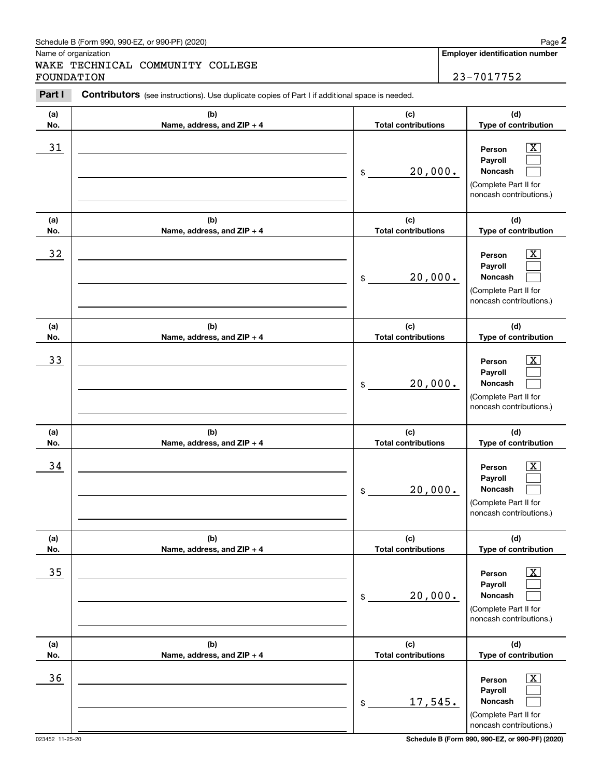Name of organization

WAKE TECHNICAL COMMUNITY COLLEGE FOUNDATION 23-7017752

**Employer identification number**

#### **(a)No.(b)Name, address, and ZIP + 4 (c)Total contributions (d)Type of contribution PersonPayrollNoncash (a)No.(b)Name, address, and ZIP + 4 (c)Total contributions (d)Type of contribution PersonPayrollNoncash (a)No.(b)Name, address, and ZIP + 4 (c)Total contributions (d)Type of contribution PersonPayrollNoncash (a) No.(b) Name, address, and ZIP + 4 (c) Total contributions (d) Type of contribution Person Payroll Noncash (a) No.(b) Name, address, and ZIP + 4 (c) Total contributions (d) Type of contribution PersonPayrollNoncash (a) No.(b)Name, address, and ZIP + 4 (c) Total contributions (d) Type of contribution PersonPayrollNoncash Contributors** (see instructions). Use duplicate copies of Part I if additional space is needed. \$(Complete Part II for noncash contributions.) \$(Complete Part II for noncash contributions.) \$(Complete Part II for noncash contributions.) \$(Complete Part II for noncash contributions.) \$(Complete Part II for noncash contributions.) \$(Complete Part II for noncash contributions.) Chedule B (Form 990, 990-EZ, or 990-PF) (2020)<br> **2Part I 2Part I COMMUNITY COLLEGE**<br> **2Part I Contributors** (see instructions). Use duplicate copies of Part I if additional space is needed.<br> **Part I Contributors** (  $\lceil \text{X} \rceil$  $\mathcal{L}^{\text{max}}$  $\mathcal{L}^{\text{max}}$  $\boxed{\text{X}}$  $\mathcal{L}^{\text{max}}$  $\mathcal{L}^{\text{max}}$  $|X|$  $\mathcal{L}^{\text{max}}$  $\mathcal{L}^{\text{max}}$  $|X|$  $\mathcal{L}^{\text{max}}$  $\mathcal{L}^{\text{max}}$  $|X|$  $\mathcal{L}^{\text{max}}$  $\mathcal{L}^{\text{max}}$  $\boxed{\text{X}}$  $\mathcal{L}^{\text{max}}$  $\mathcal{L}^{\text{max}}$  $31$  Person X 20,000.  $32$  | Person  $\overline{\text{X}}$ 20,000. 33 Person X 20,000.  $34$  | Person  $\overline{\text{X}}$ 20,000.  $35$  | Person  $\overline{\text{X}}$ 20,000.  $36$  Person X 17,545.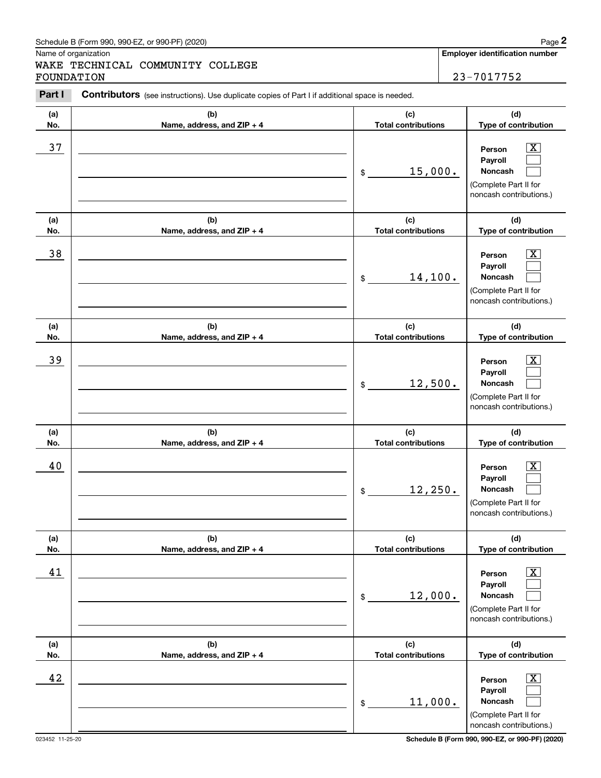Name of organization

WAKE TECHNICAL COMMUNITY COLLEGE FOUNDATION 23-7017752

**Employer identification number**

#### **(a)No.(b)Name, address, and ZIP + 4 (c)Total contributions (d)Type of contribution PersonPayrollNoncash (a)No.(b)Name, address, and ZIP + 4 (c)Total contributions (d)Type of contribution PersonPayrollNoncash (a)No.(b)Name, address, and ZIP + 4 (c)Total contributions (d)Type of contribution PersonPayrollNoncash (a) No.(b) Name, address, and ZIP + 4 (c) Total contributions (d) Type of contribution PersonPayrollNoncash (a) No.(b) Name, address, and ZIP + 4 (c) Total contributions (d) Type of contribution PersonPayrollNoncash (a) No.(b)Name, address, and ZIP + 4 (c) Total contributions (d) Type of contribution PersonPayrollNoncash Contributors** (see instructions). Use duplicate copies of Part I if additional space is needed. \$(Complete Part II for noncash contributions.) \$(Complete Part II for noncash contributions.) \$(Complete Part II for noncash contributions.) \$(Complete Part II for noncash contributions.) \$(Complete Part II for noncash contributions.) \$(Complete Part II for noncash contributions.) Chedule B (Form 990, 990-EZ, or 990-PF) (2020)<br> **2Part I 2Part I COMMUNITY COLLEGE**<br> **2Part I Contributors** (see instructions). Use duplicate copies of Part I if additional space is needed.<br> **Part I Contributors** (  $\lceil \text{X} \rceil$  $\mathcal{L}^{\text{max}}$  $\mathcal{L}^{\text{max}}$  $\boxed{\text{X}}$  $\mathcal{L}^{\text{max}}$  $\mathcal{L}^{\text{max}}$  $|X|$  $\mathcal{L}^{\text{max}}$  $\mathcal{L}^{\text{max}}$  $|X|$  $\mathcal{L}^{\text{max}}$  $\mathcal{L}^{\text{max}}$  $|X|$  $\mathcal{L}^{\text{max}}$  $\mathcal{L}^{\text{max}}$  $\boxed{\text{X}}$  $\mathcal{L}^{\text{max}}$  $\mathcal{L}^{\text{max}}$ 37 X 15,000. 38 X 14,100. 39 X 12,500. 40 Person X 12,250. 41 X 12,000. 42 Person X 11,000.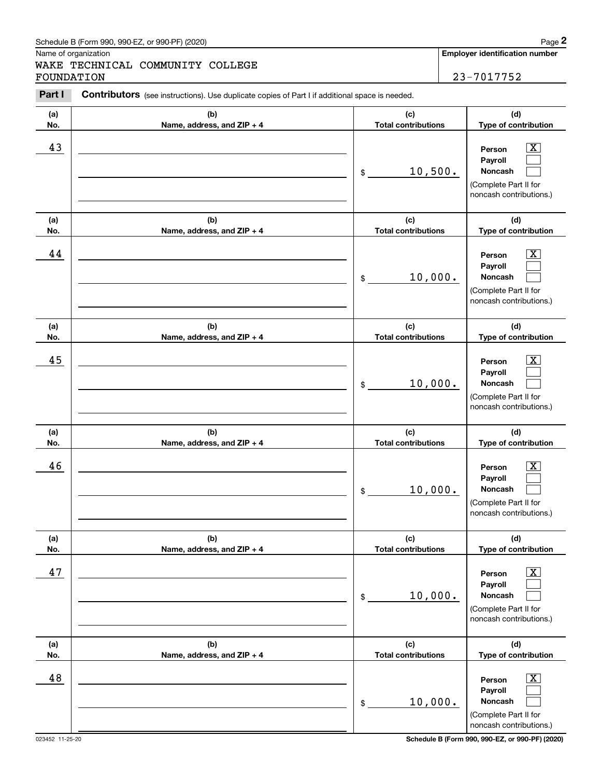Name of organization

WAKE TECHNICAL COMMUNITY COLLEGE FOUNDATION 23-7017752

**Employer identification number**

#### **(a)No.(b)Name, address, and ZIP + 4 (c)Total contributions (d)Type of contribution PersonPayrollNoncash (a)No.(b)Name, address, and ZIP + 4 (c)Total contributions (d)Type of contribution PersonPayrollNoncash (a)No.(b)Name, address, and ZIP + 4 (c)Total contributions (d)Type of contribution PersonPayrollNoncash (a) No.(b) Name, address, and ZIP + 4 (c) Total contributions (d) Type of contribution PersonPayrollNoncash (a) No.(b) Name, address, and ZIP + 4 (c) Total contributions (d) Type of contribution PersonPayrollNoncash (a) No.(b)Name, address, and ZIP + 4 (c) Total contributions (d) Type of contribution PersonPayrollNoncash Contributors** (see instructions). Use duplicate copies of Part I if additional space is needed. \$(Complete Part II for noncash contributions.) \$(Complete Part II for noncash contributions.) \$(Complete Part II for noncash contributions.) \$(Complete Part II for noncash contributions.) \$(Complete Part II for noncash contributions.) \$(Complete Part II for noncash contributions.) Chedule B (Form 990, 990-EZ, or 990-PF) (2020)<br> **2Part I 2Part I COMMUNITY COLLEGE**<br> **2Part I Contributors** (see instructions). Use duplicate copies of Part I if additional space is needed.<br> **Part I Contributors** (  $\lceil \text{X} \rceil$  $\mathcal{L}^{\text{max}}$  $\mathcal{L}^{\text{max}}$  $\boxed{\text{X}}$  $\mathcal{L}^{\text{max}}$  $\mathcal{L}^{\text{max}}$  $|X|$  $\mathcal{L}^{\text{max}}$  $\mathcal{L}^{\text{max}}$  $|X|$  $\mathcal{L}^{\text{max}}$  $\mathcal{L}^{\text{max}}$  $|X|$  $\mathcal{L}^{\text{max}}$  $\mathcal{L}^{\text{max}}$  $\boxed{\text{X}}$  $\mathcal{L}^{\text{max}}$  $\mathcal{L}^{\text{max}}$ 43 Person X 10,500. 44 X 10,000. 45 X 10,000. 46 X 10,000. 47 X 10,000. 48 X 10,000.

023452 11-25-20 **Schedule B (Form 990, 990-EZ, or 990-PF) (2020)**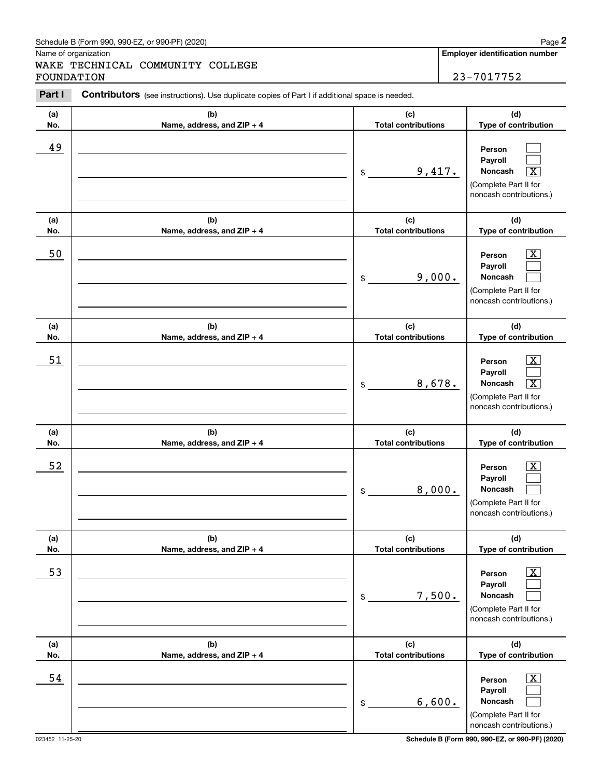Name of organization

WAKE TECHNICAL COMMUNITY COLLEGE FOUNDATION 23-7017752

**Employer identification number**

#### **(a)No.(b)Name, address, and ZIP + 4 (c)Total contributions (d)Type of contribution PersonPayrollNoncash (a)No.(b)Name, address, and ZIP + 4 (c)Total contributions (d)Type of contribution PersonPayrollNoncash (a)No.(b)Name, address, and ZIP + 4 (c)Total contributions (d)Type of contribution PersonPayrollNoncash (a) No.(b) Name, address, and ZIP + 4 (c) Total contributions (d) Type of contribution PersonPayrollNoncash (a) No.(b) Name, address, and ZIP + 4 (c) Total contributions (d) Type of contribution PersonPayrollNoncash (a) No.(b)Name, address, and ZIP + 4 (c) Total contributions (d) Type of contribution PersonPayrollNoncash Contributors** (see instructions). Use duplicate copies of Part I if additional space is needed. \$(Complete Part II for noncash contributions.) \$(Complete Part II for noncash contributions.) \$(Complete Part II for noncash contributions.) \$(Complete Part II for noncash contributions.) \$(Complete Part II for noncash contributions.) \$(Complete Part II for noncash contributions.) Chedule B (Form 990, 990-EZ, or 990-PF) (2020)<br> **2Part I 2Part I COMMUNITY COLLEGE**<br> **2Part I Contributors** (see instructions). Use duplicate copies of Part I if additional space is needed.<br> **Part I Contributors** (  $\mathcal{L}^{\text{max}}$  $\mathcal{L}^{\text{max}}$  $\boxed{\text{X}}$  $\boxed{\text{X}}$  $\mathcal{L}^{\text{max}}$  $\mathcal{L}^{\text{max}}$  $|X|$  $\mathcal{L}^{\text{max}}$  $\boxed{\text{X}}$  $|X|$  $\mathcal{L}^{\text{max}}$  $\mathcal{L}^{\text{max}}$  $|X|$  $\mathcal{L}^{\text{max}}$  $\mathcal{L}^{\text{max}}$  $\boxed{\text{X}}$  $\mathcal{L}^{\text{max}}$  $\mathcal{L}^{\text{max}}$ 49  $9,417.$ 50 Person X 9,000. 51 X 8,678. X 52 | Person X 8,000. 53 | Person X 7,500. 54 X 6,600.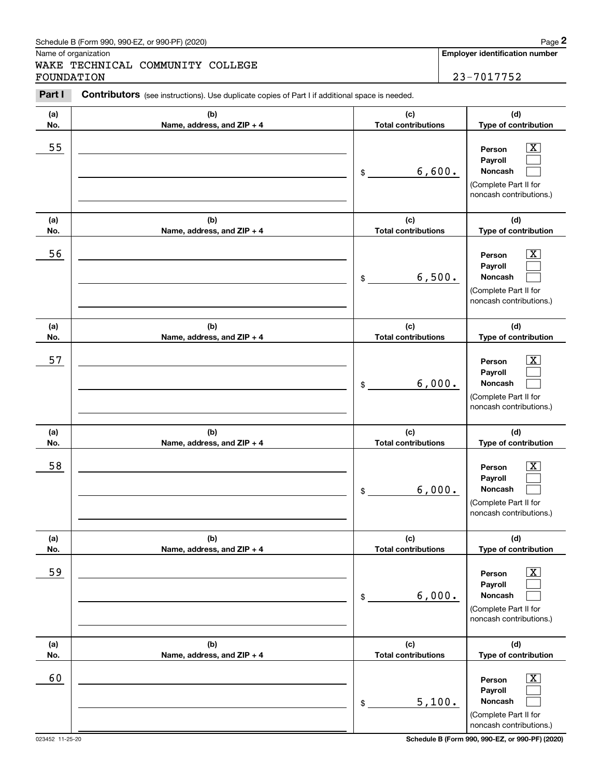Name of organization

WAKE TECHNICAL COMMUNITY COLLEGE FOUNDATION 23-7017752

**Employer identification number**

#### **(a)No.(b)Name, address, and ZIP + 4 (c)Total contributions (d)Type of contribution PersonPayrollNoncash (a)No.(b)Name, address, and ZIP + 4 (c)Total contributions (d)Type of contribution PersonPayrollNoncash (a)No.(b)Name, address, and ZIP + 4 (c)Total contributions (d)Type of contribution PersonPayrollNoncash (a) No.(b) Name, address, and ZIP + 4 (c) Total contributions (d) Type of contribution PersonPayrollNoncash (a) No.(b) Name, address, and ZIP + 4 (c) Total contributions (d) Type of contribution PersonPayrollNoncash (a) No.(b)Name, address, and ZIP + 4 (c) Total contributions (d) Type of contribution PersonPayrollNoncash Contributors** (see instructions). Use duplicate copies of Part I if additional space is needed. \$(Complete Part II for noncash contributions.) \$(Complete Part II for noncash contributions.) \$(Complete Part II for noncash contributions.) \$(Complete Part II for noncash contributions.) \$(Complete Part II for noncash contributions.) \$(Complete Part II for noncash contributions.) Chedule B (Form 990, 990-EZ, or 990-PF) (2020)<br> **2Part I 2Part I COMMUNITY COLLEGE**<br> **2Part I Contributors** (see instructions). Use duplicate copies of Part I if additional space is needed.<br> **Part I Contributors** (  $|X|$  $\mathcal{L}^{\text{max}}$  $\mathcal{L}^{\text{max}}$  $\boxed{\text{X}}$  $\mathcal{L}^{\text{max}}$  $\mathcal{L}^{\text{max}}$  $|X|$  $\mathcal{L}^{\text{max}}$  $\mathcal{L}^{\text{max}}$  $|X|$  $\mathcal{L}^{\text{max}}$  $\mathcal{L}^{\text{max}}$  $|X|$  $\mathcal{L}^{\text{max}}$  $\mathcal{L}^{\text{max}}$  $\boxed{\text{X}}$  $\mathcal{L}^{\text{max}}$  $\mathcal{L}^{\text{max}}$ 55 | Person X 6,600. 56 | Person X 6,500. 57 X 6,000. 58 X 6,000. 59 X 6,000. 60 Person X 5,100.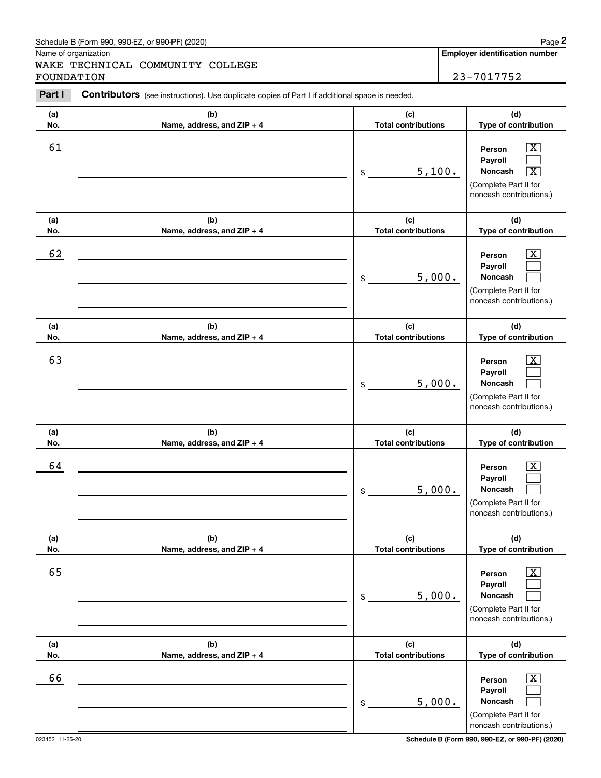Name of organization

WAKE TECHNICAL COMMUNITY COLLEGE FOUNDATION 23-7017752

**Employer identification number**

#### **(a)No.(b)Name, address, and ZIP + 4 (c)Total contributions (d)Type of contribution PersonPayrollNoncash (a)No.(b)Name, address, and ZIP + 4 (c)Total contributions (d)Type of contribution PersonPayrollNoncash (a)No.(b)Name, address, and ZIP + 4 (c)Total contributions (d)Type of contribution PersonPayrollNoncash (a) No.(b) Name, address, and ZIP + 4 (c) Total contributions (d) Type of contribution PersonPayrollNoncash (a) No.(b) Name, address, and ZIP + 4 (c) Total contributions (d) Type of contribution PersonPayrollNoncash (a) No.(b)Name, address, and ZIP + 4 (c) Total contributions (d) Type of contribution PersonPayrollNoncash Contributors** (see instructions). Use duplicate copies of Part I if additional space is needed. \$(Complete Part II for noncash contributions.) \$(Complete Part II for noncash contributions.) \$(Complete Part II for noncash contributions.) \$(Complete Part II for noncash contributions.) \$(Complete Part II for noncash contributions.) \$(Complete Part II for noncash contributions.) Chedule B (Form 990, 990-EZ, or 990-PF) (2020)<br> **2Part I 2Part I COMMUNITY COLLEGE**<br> **2Part I Contributors** (see instructions). Use duplicate copies of Part I if additional space is needed.<br> **Part I Contributors** (  $|X|$  $\mathcal{L}^{\text{max}}$  $\boxed{\text{X}}$  $\boxed{\text{X}}$  $\mathcal{L}^{\text{max}}$  $\mathcal{L}^{\text{max}}$  $|X|$  $\mathcal{L}^{\text{max}}$  $\mathcal{L}^{\text{max}}$  $|X|$  $\mathcal{L}^{\text{max}}$  $\mathcal{L}^{\text{max}}$  $|X|$  $\mathcal{L}^{\text{max}}$  $\mathcal{L}^{\text{max}}$  $\boxed{\text{X}}$  $\mathcal{L}^{\text{max}}$  $\mathcal{L}^{\text{max}}$ 61 X  $5,100.$ 62 X 5,000. 63 | Person X 5,000. 64 X 5,000. 65 X 5,000. 66 X 5,000.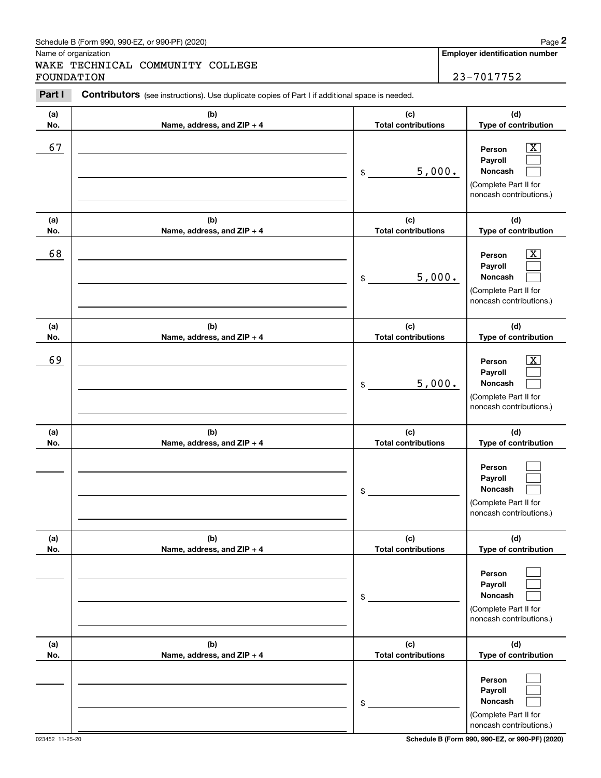Name of organization

WAKE TECHNICAL COMMUNITY COLLEGE FOUNDATION 23-7017752

**Employer identification number**

### **(a)No.(b)Name, address, and ZIP + 4 (c)Total contributions (d)Type of contribution PersonPayrollNoncash (a)No.(b)Name, address, and ZIP + 4 (c)Total contributions (d)Type of contribution PersonPayrollNoncash (a)No.(b)Name, address, and ZIP + 4 (c)Total contributions (d)Type of contribution PersonPayrollNoncash (a) No.(b) Name, address, and ZIP + 4 (c) Total contributions (d) Type of contribution PersonPayrollNoncash(a) No.(b) Name, address, and ZIP + 4 (c) Total contributions (d) Type of contribution PersonPayrollNoncash (a) No.(b)Name, address, and ZIP + 4 (c) Total contributions (d) Type of contribution PersonPayrollNoncash Contributors** (see instructions). Use duplicate copies of Part I if additional space is needed. \$(Complete Part II for noncash contributions.) \$(Complete Part II for noncash contributions.) \$(Complete Part II for noncash contributions.) \$(Complete Part II for noncash contributions.) \$(Complete Part II for noncash contributions.) \$(Complete Part II for noncash contributions.) Chedule B (Form 990, 990-EZ, or 990-PF) (2020)<br> **2Part I 2Part I COMMUNITY COLLEGE**<br> **2Part I Contributors** (see instructions). Use duplicate copies of Part I if additional space is needed.<br> **Part I Contributors** (  $\lceil \text{X} \rceil$  $\mathcal{L}^{\text{max}}$  $\mathcal{L}^{\text{max}}$  $\boxed{\text{X}}$  $\mathcal{L}^{\text{max}}$  $\mathcal{L}^{\text{max}}$  $|X|$  $\mathcal{L}^{\text{max}}$  $\mathcal{L}^{\text{max}}$  $\mathcal{L}^{\text{max}}$  $\mathcal{L}^{\text{max}}$  $\mathcal{L}^{\text{max}}$  $\mathcal{L}^{\text{max}}$  $\mathcal{L}^{\text{max}}$  $\mathcal{L}^{\text{max}}$  $\mathcal{L}^{\text{max}}$  $\mathcal{L}^{\text{max}}$  $\mathcal{L}^{\text{max}}$ 67 X 5,000. 68 X 5,000. 69 X 5,000.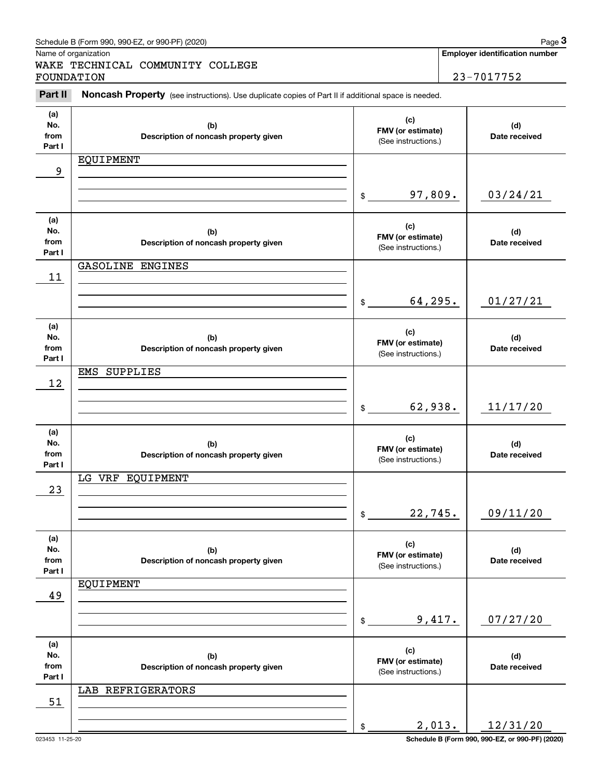|                              | Schedule B (Form 990, 990-EZ, or 990-PF) (2020)                                                     |                                                 |        | Page 3                                              |
|------------------------------|-----------------------------------------------------------------------------------------------------|-------------------------------------------------|--------|-----------------------------------------------------|
| FOUNDATION                   | Name of organization<br>WAKE TECHNICAL COMMUNITY COLLEGE                                            |                                                 |        | <b>Employer identification number</b><br>23-7017752 |
| Part II                      | Noncash Property (see instructions). Use duplicate copies of Part II if additional space is needed. |                                                 |        |                                                     |
| (a)<br>No.<br>from<br>Part I | (b)<br>Description of noncash property given                                                        | (c)<br>FMV (or estimate)<br>(See instructions.) |        | (d)<br>Date received                                |
| 9                            | EQUIPMENT                                                                                           |                                                 |        |                                                     |
|                              |                                                                                                     | 97,809.<br>\$                                   |        | 03/24/21                                            |
| (a)<br>No.<br>from<br>Part I | (b)<br>Description of noncash property given                                                        | (c)<br>FMV (or estimate)<br>(See instructions.) |        | (d)<br>Date received                                |
| 11                           | GASOLINE ENGINES                                                                                    |                                                 |        |                                                     |
|                              |                                                                                                     | 64,295.<br>\$                                   |        | 01/27/21                                            |
| (a)<br>No.<br>from<br>Part I | (b)<br>Description of noncash property given                                                        | (c)<br>FMV (or estimate)<br>(See instructions.) |        | (d)<br>Date received                                |
| 12                           | EMS SUPPLIES                                                                                        |                                                 |        |                                                     |
|                              |                                                                                                     | 62,938.<br>\$                                   |        | 11/17/20                                            |
| (a)<br>No.<br>from<br>Part I | (b)<br>Description of noncash property given                                                        | (c)<br>FMV (or estimate)<br>(See instructions.) |        | (d)<br>Date received                                |
| 23                           | LG VRF EQUIPMENT                                                                                    |                                                 |        |                                                     |
|                              |                                                                                                     | 22,745.<br>\$                                   |        | 09/11/20                                            |
| (a)<br>No.<br>from<br>Part I | (b)<br>Description of noncash property given                                                        | (c)<br>FMV (or estimate)<br>(See instructions.) |        | (d)<br>Date received                                |
| 49                           | <b>EQUIPMENT</b>                                                                                    |                                                 |        |                                                     |
|                              |                                                                                                     | \$                                              | 9,417. | 07/27/20                                            |
| (a)<br>No.<br>from<br>Part I | (b)<br>Description of noncash property given                                                        | (c)<br>FMV (or estimate)<br>(See instructions.) |        | (d)<br>Date received                                |
| 51                           | LAB REFRIGERATORS                                                                                   |                                                 |        |                                                     |
|                              |                                                                                                     | \$                                              | 2,013. | 12/31/20                                            |

023453 11-25-20 **Schedule B (Form 990, 990-EZ, or 990-PF) (2020)**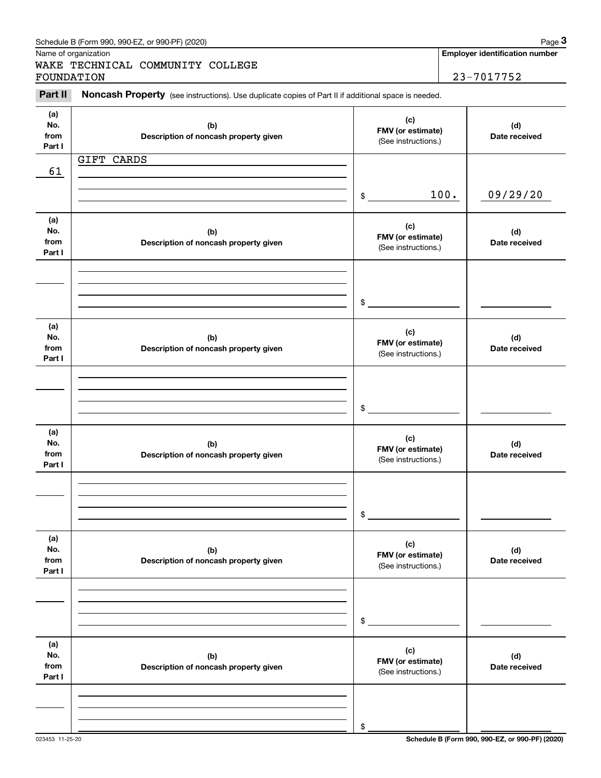|                              | Schedule B (Form 990, 990-EZ, or 990-PF) (2020)                                                     |                                                 |      | Page 3                                |
|------------------------------|-----------------------------------------------------------------------------------------------------|-------------------------------------------------|------|---------------------------------------|
|                              | Name of organization<br>WAKE TECHNICAL COMMUNITY COLLEGE                                            |                                                 |      | <b>Employer identification number</b> |
| FOUNDATION                   |                                                                                                     | 23-7017752                                      |      |                                       |
| Part II                      | Noncash Property (see instructions). Use duplicate copies of Part II if additional space is needed. |                                                 |      |                                       |
| (a)<br>No.<br>from<br>Part I | (b)<br>Description of noncash property given                                                        | (c)<br>FMV (or estimate)<br>(See instructions.) |      | (d)<br>Date received                  |
|                              | GIFT CARDS                                                                                          |                                                 |      |                                       |
| 61                           |                                                                                                     |                                                 |      |                                       |
|                              |                                                                                                     | \$                                              | 100. | 09/29/20                              |
| (a)<br>No.<br>from<br>Part I | (b)<br>Description of noncash property given                                                        | (c)<br>FMV (or estimate)<br>(See instructions.) |      | (d)<br>Date received                  |
|                              |                                                                                                     | \$                                              |      |                                       |
| (a)<br>No.<br>from<br>Part I | (b)<br>Description of noncash property given                                                        | (c)<br>FMV (or estimate)<br>(See instructions.) |      | (d)<br>Date received                  |
|                              |                                                                                                     | \$                                              |      |                                       |
| (a)<br>No.<br>from<br>Part I | (b)<br>Description of noncash property given                                                        | (c)<br>FMV (or estimate)<br>(See instructions.) |      | (d)<br>Date received                  |
|                              |                                                                                                     | \$                                              |      |                                       |
| (a)<br>No.<br>from<br>Part I | (b)<br>Description of noncash property given                                                        | (c)<br>FMV (or estimate)<br>(See instructions.) |      | (d)<br>Date received                  |
|                              |                                                                                                     | \$                                              |      |                                       |
| (a)<br>No.<br>from<br>Part I | (b)<br>Description of noncash property given                                                        | (c)<br>FMV (or estimate)<br>(See instructions.) |      | (d)<br>Date received                  |
|                              |                                                                                                     |                                                 |      |                                       |
|                              |                                                                                                     | \$                                              |      |                                       |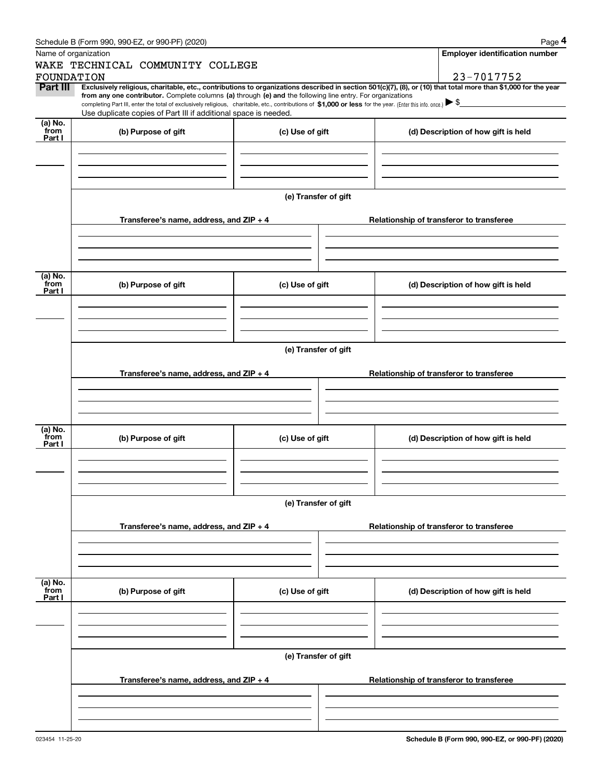|                      | Schedule B (Form 990, 990-EZ, or 990-PF) (2020)                                                                                                                                                                                                      |                                          | Page 4                                                                                                                                                         |  |  |  |  |
|----------------------|------------------------------------------------------------------------------------------------------------------------------------------------------------------------------------------------------------------------------------------------------|------------------------------------------|----------------------------------------------------------------------------------------------------------------------------------------------------------------|--|--|--|--|
| Name of organization |                                                                                                                                                                                                                                                      |                                          | <b>Employer identification number</b>                                                                                                                          |  |  |  |  |
|                      | WAKE TECHNICAL COMMUNITY COLLEGE                                                                                                                                                                                                                     |                                          |                                                                                                                                                                |  |  |  |  |
| FOUNDATION           |                                                                                                                                                                                                                                                      |                                          | 23-7017752                                                                                                                                                     |  |  |  |  |
| Part III             | from any one contributor. Complete columns (a) through (e) and the following line entry. For organizations                                                                                                                                           |                                          | Exclusively religious, charitable, etc., contributions to organizations described in section 501(c)(7), (8), or (10) that total more than \$1,000 for the year |  |  |  |  |
|                      | completing Part III, enter the total of exclusively religious, charitable, etc., contributions of \$1,000 or less for the year. (Enter this info. once.) $\blacktriangleright$ \$<br>Use duplicate copies of Part III if additional space is needed. |                                          |                                                                                                                                                                |  |  |  |  |
| (a) No.              |                                                                                                                                                                                                                                                      |                                          |                                                                                                                                                                |  |  |  |  |
| from<br>Part I       | (b) Purpose of gift                                                                                                                                                                                                                                  | (c) Use of gift                          | (d) Description of how gift is held                                                                                                                            |  |  |  |  |
|                      |                                                                                                                                                                                                                                                      |                                          |                                                                                                                                                                |  |  |  |  |
|                      |                                                                                                                                                                                                                                                      |                                          |                                                                                                                                                                |  |  |  |  |
|                      |                                                                                                                                                                                                                                                      |                                          |                                                                                                                                                                |  |  |  |  |
|                      |                                                                                                                                                                                                                                                      |                                          |                                                                                                                                                                |  |  |  |  |
|                      |                                                                                                                                                                                                                                                      | (e) Transfer of gift                     |                                                                                                                                                                |  |  |  |  |
|                      |                                                                                                                                                                                                                                                      |                                          |                                                                                                                                                                |  |  |  |  |
|                      | Transferee's name, address, and ZIP + 4                                                                                                                                                                                                              |                                          | Relationship of transferor to transferee                                                                                                                       |  |  |  |  |
|                      |                                                                                                                                                                                                                                                      |                                          |                                                                                                                                                                |  |  |  |  |
|                      |                                                                                                                                                                                                                                                      |                                          |                                                                                                                                                                |  |  |  |  |
|                      |                                                                                                                                                                                                                                                      |                                          |                                                                                                                                                                |  |  |  |  |
|                      |                                                                                                                                                                                                                                                      |                                          |                                                                                                                                                                |  |  |  |  |
| (a) No.<br>from      | (b) Purpose of gift                                                                                                                                                                                                                                  | (c) Use of gift                          | (d) Description of how gift is held                                                                                                                            |  |  |  |  |
| Part I               |                                                                                                                                                                                                                                                      |                                          |                                                                                                                                                                |  |  |  |  |
|                      |                                                                                                                                                                                                                                                      |                                          |                                                                                                                                                                |  |  |  |  |
|                      |                                                                                                                                                                                                                                                      |                                          |                                                                                                                                                                |  |  |  |  |
|                      |                                                                                                                                                                                                                                                      |                                          |                                                                                                                                                                |  |  |  |  |
|                      |                                                                                                                                                                                                                                                      |                                          |                                                                                                                                                                |  |  |  |  |
|                      | (e) Transfer of gift                                                                                                                                                                                                                                 |                                          |                                                                                                                                                                |  |  |  |  |
|                      |                                                                                                                                                                                                                                                      | Relationship of transferor to transferee |                                                                                                                                                                |  |  |  |  |
|                      | Transferee's name, address, and ZIP + 4                                                                                                                                                                                                              |                                          |                                                                                                                                                                |  |  |  |  |
|                      |                                                                                                                                                                                                                                                      |                                          |                                                                                                                                                                |  |  |  |  |
|                      |                                                                                                                                                                                                                                                      |                                          |                                                                                                                                                                |  |  |  |  |
|                      |                                                                                                                                                                                                                                                      |                                          |                                                                                                                                                                |  |  |  |  |
| (a) No.<br>from      |                                                                                                                                                                                                                                                      |                                          |                                                                                                                                                                |  |  |  |  |
| Part I               | (b) Purpose of gift                                                                                                                                                                                                                                  | (c) Use of gift                          | (d) Description of how gift is held                                                                                                                            |  |  |  |  |
|                      |                                                                                                                                                                                                                                                      |                                          |                                                                                                                                                                |  |  |  |  |
|                      |                                                                                                                                                                                                                                                      |                                          |                                                                                                                                                                |  |  |  |  |
|                      |                                                                                                                                                                                                                                                      |                                          |                                                                                                                                                                |  |  |  |  |
|                      |                                                                                                                                                                                                                                                      |                                          |                                                                                                                                                                |  |  |  |  |
|                      |                                                                                                                                                                                                                                                      | (e) Transfer of gift                     |                                                                                                                                                                |  |  |  |  |
|                      | Transferee's name, address, and ZIP + 4                                                                                                                                                                                                              |                                          | Relationship of transferor to transferee                                                                                                                       |  |  |  |  |
|                      |                                                                                                                                                                                                                                                      |                                          |                                                                                                                                                                |  |  |  |  |
|                      |                                                                                                                                                                                                                                                      |                                          |                                                                                                                                                                |  |  |  |  |
|                      |                                                                                                                                                                                                                                                      |                                          |                                                                                                                                                                |  |  |  |  |
|                      |                                                                                                                                                                                                                                                      |                                          |                                                                                                                                                                |  |  |  |  |
| (a) No.<br>from      |                                                                                                                                                                                                                                                      |                                          |                                                                                                                                                                |  |  |  |  |
| Part I               | (b) Purpose of gift                                                                                                                                                                                                                                  | (c) Use of gift                          | (d) Description of how gift is held                                                                                                                            |  |  |  |  |
|                      |                                                                                                                                                                                                                                                      |                                          |                                                                                                                                                                |  |  |  |  |
|                      |                                                                                                                                                                                                                                                      |                                          |                                                                                                                                                                |  |  |  |  |
|                      |                                                                                                                                                                                                                                                      |                                          |                                                                                                                                                                |  |  |  |  |
|                      |                                                                                                                                                                                                                                                      |                                          |                                                                                                                                                                |  |  |  |  |
|                      |                                                                                                                                                                                                                                                      | (e) Transfer of gift                     |                                                                                                                                                                |  |  |  |  |
|                      |                                                                                                                                                                                                                                                      |                                          |                                                                                                                                                                |  |  |  |  |
|                      | Transferee's name, address, and $ZIP + 4$                                                                                                                                                                                                            |                                          | Relationship of transferor to transferee                                                                                                                       |  |  |  |  |
|                      |                                                                                                                                                                                                                                                      |                                          |                                                                                                                                                                |  |  |  |  |
|                      |                                                                                                                                                                                                                                                      |                                          |                                                                                                                                                                |  |  |  |  |
|                      |                                                                                                                                                                                                                                                      |                                          |                                                                                                                                                                |  |  |  |  |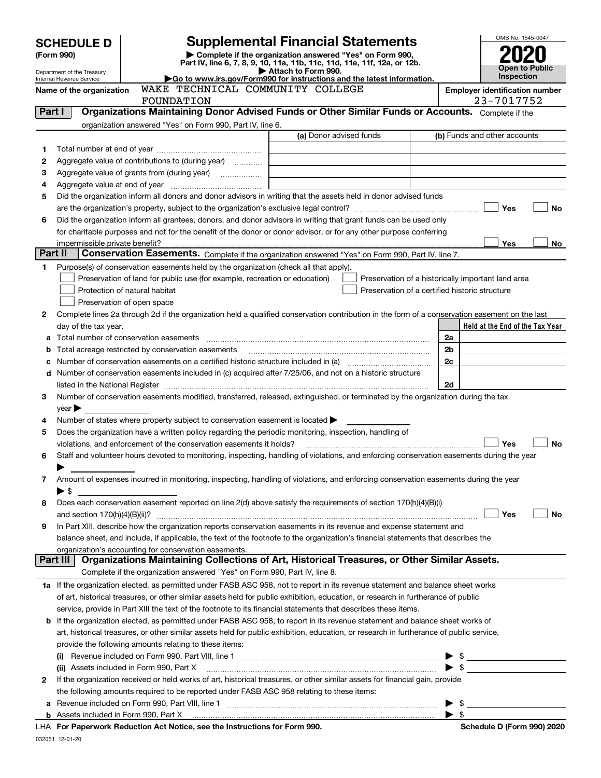|                                                               |                                                                                                                                                         |                                                                                                                                                                                         |                                                                                                                                                                                                                                                        |                         | OMB No. 1545-0047                          |           |
|---------------------------------------------------------------|---------------------------------------------------------------------------------------------------------------------------------------------------------|-----------------------------------------------------------------------------------------------------------------------------------------------------------------------------------------|--------------------------------------------------------------------------------------------------------------------------------------------------------------------------------------------------------------------------------------------------------|-------------------------|--------------------------------------------|-----------|
| <b>Supplemental Financial Statements</b><br><b>SCHEDULE D</b> |                                                                                                                                                         |                                                                                                                                                                                         |                                                                                                                                                                                                                                                        |                         |                                            |           |
|                                                               | Complete if the organization answered "Yes" on Form 990,<br>(Form 990)<br>Part IV, line 6, 7, 8, 9, 10, 11a, 11b, 11c, 11d, 11e, 11f, 12a, or 12b.      |                                                                                                                                                                                         |                                                                                                                                                                                                                                                        |                         |                                            |           |
|                                                               | Attach to Form 990.<br>Department of the Treasury<br>Go to www.irs.gov/Form990 for instructions and the latest information.<br>Internal Revenue Service |                                                                                                                                                                                         |                                                                                                                                                                                                                                                        |                         | <b>Open to Public</b><br><b>Inspection</b> |           |
|                                                               | Name of the organization                                                                                                                                | WAKE TECHNICAL COMMUNITY COLLEGE                                                                                                                                                        |                                                                                                                                                                                                                                                        |                         | <b>Employer identification number</b>      |           |
|                                                               |                                                                                                                                                         | FOUNDATION                                                                                                                                                                              |                                                                                                                                                                                                                                                        |                         | 23-7017752                                 |           |
| Part I                                                        |                                                                                                                                                         |                                                                                                                                                                                         | Organizations Maintaining Donor Advised Funds or Other Similar Funds or Accounts. Complete if the                                                                                                                                                      |                         |                                            |           |
|                                                               |                                                                                                                                                         | organization answered "Yes" on Form 990, Part IV, line 6.                                                                                                                               |                                                                                                                                                                                                                                                        |                         |                                            |           |
|                                                               |                                                                                                                                                         |                                                                                                                                                                                         | (a) Donor advised funds                                                                                                                                                                                                                                |                         | (b) Funds and other accounts               |           |
| 1                                                             |                                                                                                                                                         |                                                                                                                                                                                         |                                                                                                                                                                                                                                                        |                         |                                            |           |
| 2                                                             |                                                                                                                                                         | Aggregate value of contributions to (during year)                                                                                                                                       |                                                                                                                                                                                                                                                        |                         |                                            |           |
| з                                                             |                                                                                                                                                         |                                                                                                                                                                                         |                                                                                                                                                                                                                                                        |                         |                                            |           |
| 4                                                             |                                                                                                                                                         |                                                                                                                                                                                         |                                                                                                                                                                                                                                                        |                         |                                            |           |
| 5                                                             |                                                                                                                                                         |                                                                                                                                                                                         | Did the organization inform all donors and donor advisors in writing that the assets held in donor advised funds                                                                                                                                       |                         |                                            |           |
|                                                               |                                                                                                                                                         |                                                                                                                                                                                         |                                                                                                                                                                                                                                                        |                         | Yes                                        | <b>No</b> |
| 6                                                             |                                                                                                                                                         |                                                                                                                                                                                         | Did the organization inform all grantees, donors, and donor advisors in writing that grant funds can be used only                                                                                                                                      |                         |                                            |           |
|                                                               | impermissible private benefit?                                                                                                                          |                                                                                                                                                                                         | for charitable purposes and not for the benefit of the donor or donor advisor, or for any other purpose conferring                                                                                                                                     |                         | Yes                                        | No        |
| Part II                                                       |                                                                                                                                                         |                                                                                                                                                                                         | Conservation Easements. Complete if the organization answered "Yes" on Form 990, Part IV, line 7.                                                                                                                                                      |                         |                                            |           |
| 1                                                             |                                                                                                                                                         | Purpose(s) of conservation easements held by the organization (check all that apply).                                                                                                   |                                                                                                                                                                                                                                                        |                         |                                            |           |
|                                                               |                                                                                                                                                         | Preservation of land for public use (for example, recreation or education)                                                                                                              | Preservation of a historically important land area                                                                                                                                                                                                     |                         |                                            |           |
|                                                               |                                                                                                                                                         | Protection of natural habitat                                                                                                                                                           | Preservation of a certified historic structure                                                                                                                                                                                                         |                         |                                            |           |
|                                                               |                                                                                                                                                         | Preservation of open space                                                                                                                                                              |                                                                                                                                                                                                                                                        |                         |                                            |           |
| 2                                                             |                                                                                                                                                         |                                                                                                                                                                                         | Complete lines 2a through 2d if the organization held a qualified conservation contribution in the form of a conservation easement on the last                                                                                                         |                         |                                            |           |
|                                                               | day of the tax year.                                                                                                                                    |                                                                                                                                                                                         |                                                                                                                                                                                                                                                        |                         | Held at the End of the Tax Year            |           |
|                                                               |                                                                                                                                                         |                                                                                                                                                                                         |                                                                                                                                                                                                                                                        | 2a                      |                                            |           |
|                                                               |                                                                                                                                                         | <b>b</b> Total acreage restricted by conservation easements                                                                                                                             |                                                                                                                                                                                                                                                        | 2b                      |                                            |           |
|                                                               |                                                                                                                                                         |                                                                                                                                                                                         | c Number of conservation easements on a certified historic structure included in (a) manufacture of conservation                                                                                                                                       | 2c                      |                                            |           |
|                                                               |                                                                                                                                                         |                                                                                                                                                                                         | d Number of conservation easements included in (c) acquired after 7/25/06, and not on a historic structure                                                                                                                                             |                         |                                            |           |
|                                                               |                                                                                                                                                         |                                                                                                                                                                                         | listed in the National Register [111] Marshall Register [11] Marshall Register [11] Marshall Register [11] Marshall Register [11] Marshall Register [11] Marshall Register [11] Marshall Register [11] Marshall Register [11]                          | 2d                      |                                            |           |
| 3.                                                            |                                                                                                                                                         |                                                                                                                                                                                         | Number of conservation easements modified, transferred, released, extinguished, or terminated by the organization during the tax                                                                                                                       |                         |                                            |           |
|                                                               | $year \blacktriangleright$                                                                                                                              |                                                                                                                                                                                         |                                                                                                                                                                                                                                                        |                         |                                            |           |
| 4<br>5                                                        |                                                                                                                                                         | Number of states where property subject to conservation easement is located ><br>Does the organization have a written policy regarding the periodic monitoring, inspection, handling of |                                                                                                                                                                                                                                                        |                         |                                            |           |
|                                                               |                                                                                                                                                         | violations, and enforcement of the conservation easements it holds?                                                                                                                     |                                                                                                                                                                                                                                                        |                         | Yes                                        | <b>No</b> |
| 6                                                             |                                                                                                                                                         |                                                                                                                                                                                         | Staff and volunteer hours devoted to monitoring, inspecting, handling of violations, and enforcing conservation easements during the year                                                                                                              |                         |                                            |           |
|                                                               |                                                                                                                                                         |                                                                                                                                                                                         |                                                                                                                                                                                                                                                        |                         |                                            |           |
| 7                                                             |                                                                                                                                                         |                                                                                                                                                                                         | Amount of expenses incurred in monitoring, inspecting, handling of violations, and enforcing conservation easements during the year                                                                                                                    |                         |                                            |           |
|                                                               | $\blacktriangleright$ \$                                                                                                                                |                                                                                                                                                                                         |                                                                                                                                                                                                                                                        |                         |                                            |           |
| 8                                                             |                                                                                                                                                         |                                                                                                                                                                                         | Does each conservation easement reported on line 2(d) above satisfy the requirements of section 170(h)(4)(B)(i)                                                                                                                                        |                         |                                            |           |
|                                                               |                                                                                                                                                         |                                                                                                                                                                                         |                                                                                                                                                                                                                                                        |                         | Yes                                        | No        |
| 9                                                             |                                                                                                                                                         |                                                                                                                                                                                         | In Part XIII, describe how the organization reports conservation easements in its revenue and expense statement and                                                                                                                                    |                         |                                            |           |
|                                                               |                                                                                                                                                         |                                                                                                                                                                                         | balance sheet, and include, if applicable, the text of the footnote to the organization's financial statements that describes the                                                                                                                      |                         |                                            |           |
|                                                               |                                                                                                                                                         | organization's accounting for conservation easements.                                                                                                                                   |                                                                                                                                                                                                                                                        |                         |                                            |           |
|                                                               | Part III                                                                                                                                                |                                                                                                                                                                                         | Organizations Maintaining Collections of Art, Historical Treasures, or Other Similar Assets.                                                                                                                                                           |                         |                                            |           |
|                                                               |                                                                                                                                                         | Complete if the organization answered "Yes" on Form 990, Part IV, line 8.                                                                                                               |                                                                                                                                                                                                                                                        |                         |                                            |           |
|                                                               |                                                                                                                                                         |                                                                                                                                                                                         | 1a If the organization elected, as permitted under FASB ASC 958, not to report in its revenue statement and balance sheet works                                                                                                                        |                         |                                            |           |
|                                                               |                                                                                                                                                         |                                                                                                                                                                                         | of art, historical treasures, or other similar assets held for public exhibition, education, or research in furtherance of public                                                                                                                      |                         |                                            |           |
|                                                               |                                                                                                                                                         |                                                                                                                                                                                         | service, provide in Part XIII the text of the footnote to its financial statements that describes these items.<br><b>b</b> If the organization elected, as permitted under FASB ASC 958, to report in its revenue statement and balance sheet works of |                         |                                            |           |
|                                                               |                                                                                                                                                         |                                                                                                                                                                                         | art, historical treasures, or other similar assets held for public exhibition, education, or research in furtherance of public service,                                                                                                                |                         |                                            |           |
|                                                               |                                                                                                                                                         | provide the following amounts relating to these items:                                                                                                                                  |                                                                                                                                                                                                                                                        |                         |                                            |           |
|                                                               | (i)                                                                                                                                                     |                                                                                                                                                                                         |                                                                                                                                                                                                                                                        |                         | $\frac{1}{2}$                              |           |
|                                                               |                                                                                                                                                         |                                                                                                                                                                                         | (ii) Assets included in Form 990, Part X [11] [2000] [2010] Assets included in Form 990, Part X [11] [11] [200                                                                                                                                         |                         |                                            |           |
| 2                                                             |                                                                                                                                                         |                                                                                                                                                                                         | If the organization received or held works of art, historical treasures, or other similar assets for financial gain, provide                                                                                                                           |                         |                                            |           |
|                                                               |                                                                                                                                                         | the following amounts required to be reported under FASB ASC 958 relating to these items:                                                                                               |                                                                                                                                                                                                                                                        |                         |                                            |           |
| а                                                             |                                                                                                                                                         |                                                                                                                                                                                         |                                                                                                                                                                                                                                                        |                         | $\blacktriangleright$ \$                   |           |
|                                                               |                                                                                                                                                         |                                                                                                                                                                                         |                                                                                                                                                                                                                                                        | $\blacktriangleright$ s |                                            |           |

| LHA For Paperwork Reduction Act Notice, see the Instructions for Form 990. |  |
|----------------------------------------------------------------------------|--|
| 032051 12-01-20                                                            |  |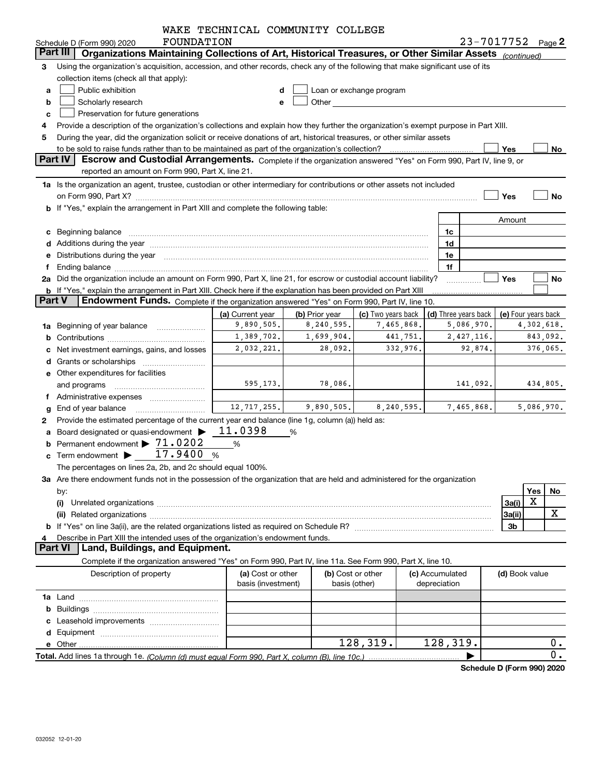|               |                                                                                                                                                                                                                                                           | WAKE TECHNICAL COMMUNITY COLLEGE |                |                    |          |                      |                            |                     |     |            |
|---------------|-----------------------------------------------------------------------------------------------------------------------------------------------------------------------------------------------------------------------------------------------------------|----------------------------------|----------------|--------------------|----------|----------------------|----------------------------|---------------------|-----|------------|
|               | <b>FOUNDATION</b><br>Schedule D (Form 990) 2020                                                                                                                                                                                                           |                                  |                |                    |          |                      |                            | 23-7017752 Page 2   |     |            |
|               | Organizations Maintaining Collections of Art, Historical Treasures, or Other Similar Assets (continued)<br>Part III                                                                                                                                       |                                  |                |                    |          |                      |                            |                     |     |            |
| 3             | Using the organization's acquisition, accession, and other records, check any of the following that make significant use of its                                                                                                                           |                                  |                |                    |          |                      |                            |                     |     |            |
|               | collection items (check all that apply):                                                                                                                                                                                                                  |                                  |                |                    |          |                      |                            |                     |     |            |
| a             | Public exhibition<br>Loan or exchange program<br>d                                                                                                                                                                                                        |                                  |                |                    |          |                      |                            |                     |     |            |
| b             | Other and the control of the control of the control of the control of the control of the control of the control of the control of the control of the control of the control of the control of the control of the control of th<br>Scholarly research<br>е |                                  |                |                    |          |                      |                            |                     |     |            |
| c             | Preservation for future generations                                                                                                                                                                                                                       |                                  |                |                    |          |                      |                            |                     |     |            |
|               | Provide a description of the organization's collections and explain how they further the organization's exempt purpose in Part XIII.                                                                                                                      |                                  |                |                    |          |                      |                            |                     |     |            |
| 5             | During the year, did the organization solicit or receive donations of art, historical treasures, or other similar assets                                                                                                                                  |                                  |                |                    |          |                      |                            |                     |     |            |
|               | to be sold to raise funds rather than to be maintained as part of the organization's collection?<br>Yes<br>No                                                                                                                                             |                                  |                |                    |          |                      |                            |                     |     |            |
|               | Part IV<br>Escrow and Custodial Arrangements. Complete if the organization answered "Yes" on Form 990, Part IV, line 9, or                                                                                                                                |                                  |                |                    |          |                      |                            |                     |     |            |
|               | reported an amount on Form 990, Part X, line 21.                                                                                                                                                                                                          |                                  |                |                    |          |                      |                            |                     |     |            |
|               | 1a Is the organization an agent, trustee, custodian or other intermediary for contributions or other assets not included                                                                                                                                  |                                  |                |                    |          |                      |                            |                     |     |            |
|               | on Form 990, Part X? <b>Process Constructs Constructs Constructs</b> Constructs Constructs Constructs Constructs Const                                                                                                                                    |                                  |                |                    |          |                      |                            | Yes                 |     | No         |
|               | b If "Yes," explain the arrangement in Part XIII and complete the following table:                                                                                                                                                                        |                                  |                |                    |          |                      |                            |                     |     |            |
|               |                                                                                                                                                                                                                                                           |                                  |                |                    |          |                      |                            | Amount              |     |            |
| c             | Beginning balance manufactured and contact the contract of the contract of the contract of the contract of the                                                                                                                                            |                                  |                |                    |          | 1c                   |                            |                     |     |            |
|               |                                                                                                                                                                                                                                                           |                                  |                |                    |          | 1d                   |                            |                     |     |            |
|               | Distributions during the year manufactured and continuum and contact the year manufactured and contact the year                                                                                                                                           |                                  |                |                    |          | 1e                   |                            |                     |     |            |
|               |                                                                                                                                                                                                                                                           |                                  |                |                    |          | 1f                   |                            |                     |     |            |
|               | 2a Did the organization include an amount on Form 990, Part X, line 21, for escrow or custodial account liability?                                                                                                                                        |                                  |                |                    |          |                      |                            | Yes                 |     | No         |
|               | <b>b</b> If "Yes," explain the arrangement in Part XIII. Check here if the explanation has been provided on Part XIII                                                                                                                                     |                                  |                |                    |          |                      |                            |                     |     |            |
| <b>Part V</b> | Endowment Funds. Complete if the organization answered "Yes" on Form 990, Part IV, line 10.                                                                                                                                                               |                                  |                |                    |          |                      |                            |                     |     |            |
|               |                                                                                                                                                                                                                                                           | (a) Current year                 | (b) Prior year | (c) Two years back |          | (d) Three years back |                            | (e) Four years back |     |            |
| 1a            | Beginning of year balance                                                                                                                                                                                                                                 | 9,890,505.                       | 8,240,595.     | 7,465,868.         |          |                      | 5,086,970.                 |                     |     | 4,302,618. |
|               |                                                                                                                                                                                                                                                           | 1,389,702.                       | 1,699,904.     |                    | 441,751. |                      | 2,427,116.                 |                     |     | 843,092.   |
|               | Net investment earnings, gains, and losses                                                                                                                                                                                                                | 2,032,221.                       | 28,092.        |                    | 332,976. |                      | 92,874.                    |                     |     | 376,065.   |
|               |                                                                                                                                                                                                                                                           |                                  |                |                    |          |                      |                            |                     |     |            |
|               | e Other expenditures for facilities                                                                                                                                                                                                                       |                                  |                |                    |          |                      |                            |                     |     |            |
|               | and programs                                                                                                                                                                                                                                              | 595,173.                         | 78,086.        |                    |          |                      | 141,092.                   |                     |     | 434,805.   |
| f             | Administrative expenses                                                                                                                                                                                                                                   |                                  |                |                    |          |                      |                            |                     |     |            |
|               | End of year balance                                                                                                                                                                                                                                       | 12, 717, 255.                    | 9,890,505.     | 8, 240, 595.       |          |                      | 7,465,868.                 |                     |     | 5,086,970. |
| 2             | Provide the estimated percentage of the current year end balance (line 1g, column (a)) held as:                                                                                                                                                           |                                  |                |                    |          |                      |                            |                     |     |            |
| a             | Board designated or quasi-endowment >                                                                                                                                                                                                                     | 11.0398                          | %              |                    |          |                      |                            |                     |     |            |
|               | Permanent endowment > 71.0202                                                                                                                                                                                                                             | %                                |                |                    |          |                      |                            |                     |     |            |
|               | c Term endowment $\blacktriangleright$ 17.9400                                                                                                                                                                                                            | %                                |                |                    |          |                      |                            |                     |     |            |
|               | The percentages on lines 2a, 2b, and 2c should equal 100%.                                                                                                                                                                                                |                                  |                |                    |          |                      |                            |                     |     |            |
|               | 3a Are there endowment funds not in the possession of the organization that are held and administered for the organization                                                                                                                                |                                  |                |                    |          |                      |                            |                     |     |            |
|               | by:                                                                                                                                                                                                                                                       |                                  |                |                    |          |                      |                            |                     | Yes | No         |
|               | (i)                                                                                                                                                                                                                                                       |                                  |                |                    |          |                      |                            | 3a(i)               | X   |            |
|               |                                                                                                                                                                                                                                                           |                                  |                |                    |          |                      |                            | 3a(ii)              |     | X          |
|               |                                                                                                                                                                                                                                                           |                                  |                |                    |          |                      |                            | 3b                  |     |            |
| 4             | Describe in Part XIII the intended uses of the organization's endowment funds.                                                                                                                                                                            |                                  |                |                    |          |                      |                            |                     |     |            |
|               | Land, Buildings, and Equipment.<br><b>Part VI</b>                                                                                                                                                                                                         |                                  |                |                    |          |                      |                            |                     |     |            |
|               | Complete if the organization answered "Yes" on Form 990, Part IV, line 11a. See Form 990, Part X, line 10.                                                                                                                                                |                                  |                |                    |          |                      |                            |                     |     |            |
|               | Description of property                                                                                                                                                                                                                                   | (a) Cost or other                |                | (b) Cost or other  |          | (c) Accumulated      |                            | (d) Book value      |     |            |
|               |                                                                                                                                                                                                                                                           | basis (investment)               |                | basis (other)      |          | depreciation         |                            |                     |     |            |
|               |                                                                                                                                                                                                                                                           |                                  |                |                    |          |                      |                            |                     |     |            |
| b             |                                                                                                                                                                                                                                                           |                                  |                |                    |          |                      |                            |                     |     |            |
|               |                                                                                                                                                                                                                                                           |                                  |                |                    |          |                      |                            |                     |     |            |
|               |                                                                                                                                                                                                                                                           |                                  |                |                    |          |                      |                            |                     |     |            |
|               |                                                                                                                                                                                                                                                           |                                  |                | 128,319.           |          | 128,319.             |                            |                     |     | $0$ .      |
|               |                                                                                                                                                                                                                                                           |                                  |                |                    |          |                      |                            |                     |     | 0.         |
|               |                                                                                                                                                                                                                                                           |                                  |                |                    |          |                      | Schedule D (Form 990) 2020 |                     |     |            |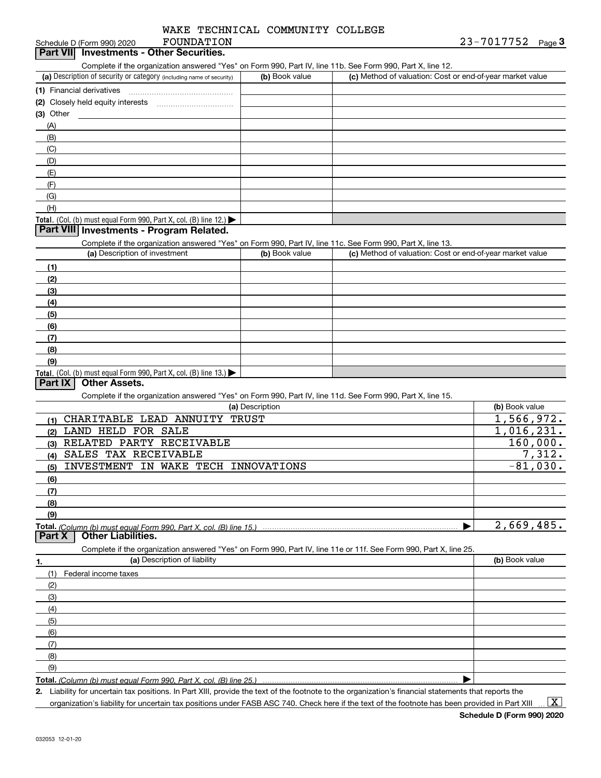| WAKE TECHNICAL COMMUNITY COLLEGE |  |
|----------------------------------|--|
|----------------------------------|--|

| Schedule D (Form 990) 2020 | FOUNDATION                        | 23-7017752 | Page |
|----------------------------|-----------------------------------|------------|------|
| <b>Part VII</b>            | ' Investments - Other Securities. |            |      |

Complete if the organization answered "Yes" on Form 990, Part IV, line 11b. See Form 990, Part X, line 12.

| (a) Description of security or category (including name of security)       | (b) Book value | (c) Method of valuation: Cost or end-of-year market value |
|----------------------------------------------------------------------------|----------------|-----------------------------------------------------------|
| (1) Financial derivatives                                                  |                |                                                           |
| (2) Closely held equity interests                                          |                |                                                           |
| $(3)$ Other                                                                |                |                                                           |
| (A)                                                                        |                |                                                           |
| (B)                                                                        |                |                                                           |
| (C)                                                                        |                |                                                           |
| (D)                                                                        |                |                                                           |
| (E)                                                                        |                |                                                           |
| (F)                                                                        |                |                                                           |
| (G)                                                                        |                |                                                           |
| (H)                                                                        |                |                                                           |
| <b>Total.</b> (Col. (b) must equal Form 990, Part X, col. (B) line $12$ .) |                |                                                           |

### **Part VIII Investments - Program Related.**

Complete if the organization answered "Yes" on Form 990, Part IV, line 11c. See Form 990, Part X, line 13.

| (a) Description of investment                                                          | (b) Book value | (c) Method of valuation: Cost or end-of-year market value |
|----------------------------------------------------------------------------------------|----------------|-----------------------------------------------------------|
| (1)                                                                                    |                |                                                           |
| (2)                                                                                    |                |                                                           |
| $\frac{1}{2}$                                                                          |                |                                                           |
| (4)                                                                                    |                |                                                           |
| (5)                                                                                    |                |                                                           |
| (6)                                                                                    |                |                                                           |
| (7)                                                                                    |                |                                                           |
| (8)                                                                                    |                |                                                           |
| (9)                                                                                    |                |                                                           |
| Total. (Col. (b) must equal Form 990, Part X, col. (B) line 13.) $\blacktriangleright$ |                |                                                           |

### **Part IX Other Assets.**

Complete if the organization answered "Yes" on Form 990, Part IV, line 11d. See Form 990, Part X, line 15.

|        | (a) Description                                                                                                   | (b) Book value |
|--------|-------------------------------------------------------------------------------------------------------------------|----------------|
| (1)    | CHARITABLE LEAD ANNUITY TRUST                                                                                     | 1,566,972.     |
| (2)    | LAND HELD FOR SALE                                                                                                | 1,016,231.     |
| (3)    | RELATED PARTY RECEIVABLE                                                                                          | 160,000.       |
| (4)    | SALES TAX RECEIVABLE                                                                                              | 7,312.         |
| (5)    | INVESTMENT IN WAKE TECH INNOVATIONS                                                                               | $-81,030.$     |
| (6)    |                                                                                                                   |                |
| (7)    |                                                                                                                   |                |
| (8)    |                                                                                                                   |                |
| (9)    |                                                                                                                   |                |
|        |                                                                                                                   | 2,669,485.     |
| Part X | <b>Other Liabilities.</b>                                                                                         |                |
|        | Complete if the organization answered "Yes" on Form 990, Part IV, line 11e or 11f. See Form 990, Part X, line 25. |                |
| 1.     | (a) Description of liability                                                                                      | (b) Book value |
| (1)    | Federal income taxes                                                                                              |                |
| (2)    |                                                                                                                   |                |

| (3) |  |
|-----|--|
| (4) |  |
| (5) |  |
| (6) |  |
| (7) |  |
| (8) |  |
| (9) |  |
|     |  |

**Total.**  *(Column (b) must equal Form 990, Part X, col. (B) line 25.)* 

**2.** Liability for uncertain tax positions. In Part XIII, provide the text of the footnote to the organization's financial statements that reports the

organization's liability for uncertain tax positions under FASB ASC 740. Check here if the text of the footnote has been provided in Part XIII

 $\vert$  X  $\vert$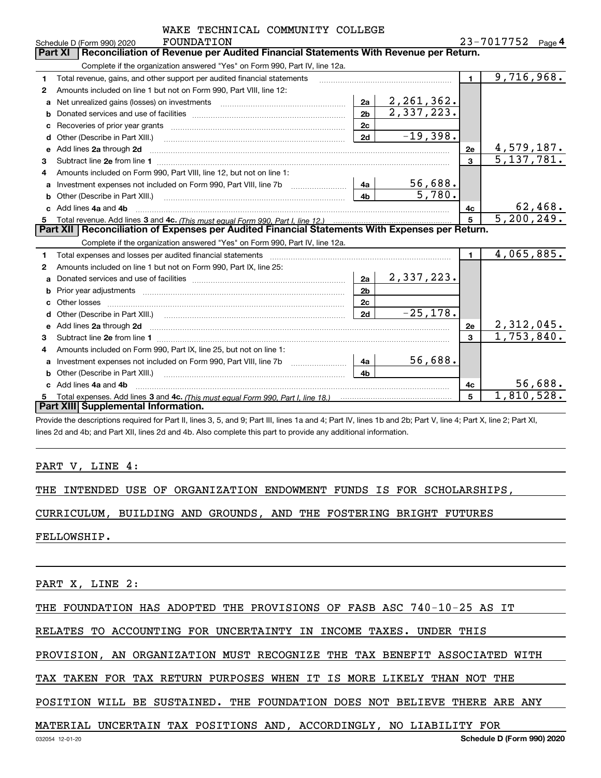|   | WAKE TECHNICAL COMMUNITY COLLEGE                                                                                         |                |              |                |                          |
|---|--------------------------------------------------------------------------------------------------------------------------|----------------|--------------|----------------|--------------------------|
|   | FOUNDATION<br>Schedule D (Form 990) 2020                                                                                 |                |              |                | 23-7017752<br>Page 4     |
|   | Reconciliation of Revenue per Audited Financial Statements With Revenue per Return.<br>Part XI                           |                |              |                |                          |
|   | Complete if the organization answered "Yes" on Form 990, Part IV, line 12a.                                              |                |              |                |                          |
| 1 | Total revenue, gains, and other support per audited financial statements                                                 |                |              | $\blacksquare$ | $\overline{9,716,968}$ . |
| 2 | Amounts included on line 1 but not on Form 990, Part VIII, line 12:                                                      |                |              |                |                          |
| a |                                                                                                                          | 2a             | 2, 261, 362. |                |                          |
| b |                                                                                                                          | 2 <sub>b</sub> | 2,337,223.   |                |                          |
| с |                                                                                                                          | 2 <sub>c</sub> |              |                |                          |
|   |                                                                                                                          | 2d             | $-19,398.$   |                |                          |
| e | Add lines 2a through 2d                                                                                                  |                |              | 2e             | 4,579,187.               |
| 3 |                                                                                                                          |                |              | 3              | $\overline{5,137,781}$ . |
| 4 | Amounts included on Form 990, Part VIII, line 12, but not on line 1:                                                     |                |              |                |                          |
| a |                                                                                                                          | 4a             | 56,688.      |                |                          |
| b |                                                                                                                          | 4b             | 5,780.       |                |                          |
|   | Add lines 4a and 4b                                                                                                      |                |              | 4с             | 62,468.                  |
| 5 |                                                                                                                          |                |              | 5              | 5, 200, 249.             |
|   | Part XII   Reconciliation of Expenses per Audited Financial Statements With Expenses per Return.                         |                |              |                |                          |
|   | Complete if the organization answered "Yes" on Form 990, Part IV, line 12a.                                              |                |              |                |                          |
| 1 |                                                                                                                          |                |              | $\blacksquare$ | 4,065,885.               |
| 2 | Amounts included on line 1 but not on Form 990, Part IX, line 25:                                                        |                |              |                |                          |
| a |                                                                                                                          | 2a             | 2,337,223.   |                |                          |
|   |                                                                                                                          | 2 <sub>b</sub> |              |                |                          |
|   | Other losses                                                                                                             | 2c             |              |                |                          |
| d |                                                                                                                          | 2d             | $-25, 178.$  |                |                          |
| е | Add lines 2a through 2d <b>must be a constructed as the constant of the constant of the constant of the construction</b> |                |              | 2е             | 2,312,045.               |
| 3 |                                                                                                                          |                |              | 3              | $\overline{1,753},840.$  |
| 4 | Amounts included on Form 990, Part IX, line 25, but not on line 1:                                                       |                |              |                |                          |
| a |                                                                                                                          | 4a             | 56,688.      |                |                          |
| b |                                                                                                                          | 4b             |              |                |                          |
|   | Add lines 4a and 4b                                                                                                      |                |              | 4с             | 56,688.                  |
| 5 |                                                                                                                          |                |              | 5              | 1,810,528.               |
|   | Part XIII Supplemental Information.                                                                                      |                |              |                |                          |

Provide the descriptions required for Part II, lines 3, 5, and 9; Part III, lines 1a and 4; Part IV, lines 1b and 2b; Part V, line 4; Part X, line 2; Part XI, lines 2d and 4b; and Part XII, lines 2d and 4b. Also complete this part to provide any additional information.

### PART V, LINE 4:

|  |  |  |  |  |  |  |  |  | THE INTENDED USE OF ORGANIZATION ENDOWMENT FUNDS IS FOR SCHOLARSHIPS, |
|--|--|--|--|--|--|--|--|--|-----------------------------------------------------------------------|
|--|--|--|--|--|--|--|--|--|-----------------------------------------------------------------------|

CURRICULUM, BUILDING AND GROUNDS, AND THE FOSTERING BRIGHT FUTURES

FELLOWSHIP.

PART X, LINE 2:

THE FOUNDATION HAS ADOPTED THE PROVISIONS OF FASB ASC 740-10-25 AS IT

RELATES TO ACCOUNTING FOR UNCERTAINTY IN INCOME TAXES. UNDER THIS

PROVISION, AN ORGANIZATION MUST RECOGNIZE THE TAX BENEFIT ASSOCIATED WITH

TAX TAKEN FOR TAX RETURN PURPOSES WHEN IT IS MORE LIKELY THAN NOT THE

POSITION WILL BE SUSTAINED. THE FOUNDATION DOES NOT BELIEVE THERE ARE ANY

## MATERIAL UNCERTAIN TAX POSITIONS AND, ACCORDINGLY, NO LIABILITY FOR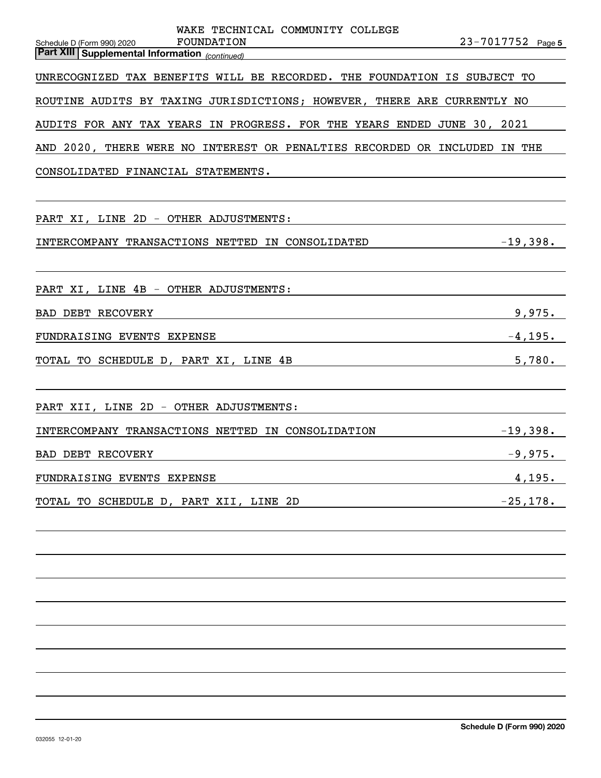| WAKE TECHNICAL COMMUNITY COLLEGE                                                           |                   |
|--------------------------------------------------------------------------------------------|-------------------|
| FOUNDATION<br>Schedule D (Form 990) 2020<br>Part XIII Supplemental Information (continued) | 23-7017752 Page 5 |
| UNRECOGNIZED TAX BENEFITS WILL BE RECORDED. THE FOUNDATION IS SUBJECT TO                   |                   |
|                                                                                            |                   |
| ROUTINE AUDITS BY TAXING JURISDICTIONS; HOWEVER, THERE ARE CURRENTLY NO                    |                   |
| AUDITS FOR ANY TAX YEARS IN PROGRESS. FOR THE YEARS ENDED JUNE 30, 2021                    |                   |
| AND 2020, THERE WERE NO INTEREST OR PENALTIES RECORDED OR INCLUDED IN THE                  |                   |
| CONSOLIDATED FINANCIAL STATEMENTS.                                                         |                   |
|                                                                                            |                   |
| PART XI, LINE 2D - OTHER ADJUSTMENTS:                                                      |                   |
| INTERCOMPANY TRANSACTIONS NETTED IN CONSOLIDATED                                           | $-19,398.$        |
|                                                                                            |                   |
| PART XI, LINE 4B - OTHER ADJUSTMENTS:                                                      |                   |
| BAD DEBT RECOVERY                                                                          | 9,975.            |
| FUNDRAISING EVENTS EXPENSE                                                                 | $-4, 195.$        |
| TOTAL TO SCHEDULE D, PART XI, LINE 4B                                                      | 5,780.            |
|                                                                                            |                   |
|                                                                                            |                   |
| PART XII, LINE 2D - OTHER ADJUSTMENTS:                                                     |                   |
| INTERCOMPANY TRANSACTIONS NETTED IN CONSOLIDATION                                          | $-19,398.$        |
| BAD DEBT RECOVERY                                                                          | $-9,975.$         |
| FUNDRAISING EVENTS EXPENSE                                                                 | 4,195.            |
| TOTAL TO SCHEDULE D, PART XII, LINE 2D                                                     | $-25, 178.$       |
|                                                                                            |                   |
|                                                                                            |                   |
|                                                                                            |                   |
|                                                                                            |                   |
|                                                                                            |                   |
|                                                                                            |                   |
|                                                                                            |                   |
|                                                                                            |                   |
|                                                                                            |                   |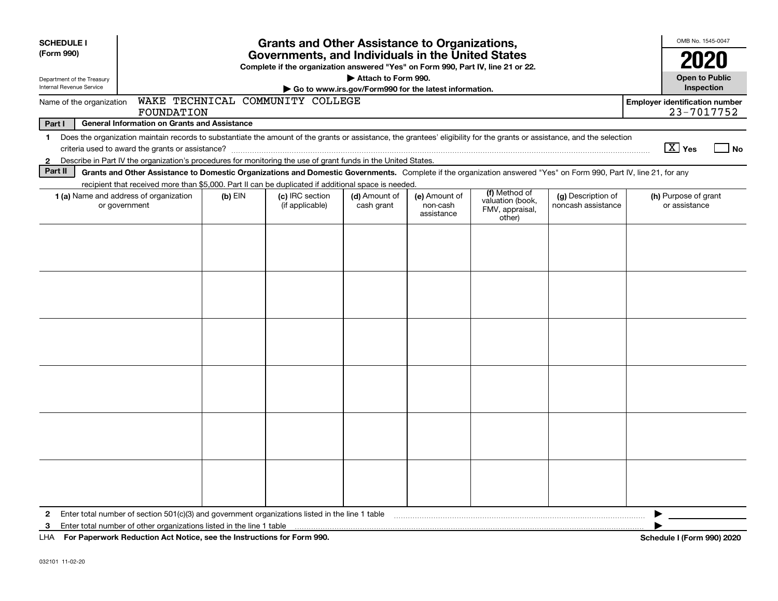| <b>SCHEDULE I</b>                                      |                                                                                                                                                                          |           | <b>Grants and Other Assistance to Organizations,</b>                                                                                  |                                                       |                                         |                                               |                                          |                                       | OMB No. 1545-0047                   |
|--------------------------------------------------------|--------------------------------------------------------------------------------------------------------------------------------------------------------------------------|-----------|---------------------------------------------------------------------------------------------------------------------------------------|-------------------------------------------------------|-----------------------------------------|-----------------------------------------------|------------------------------------------|---------------------------------------|-------------------------------------|
| (Form 990)                                             |                                                                                                                                                                          |           | Governments, and Individuals in the United States<br>Complete if the organization answered "Yes" on Form 990, Part IV, line 21 or 22. |                                                       |                                         |                                               |                                          |                                       | 2020                                |
| Department of the Treasury<br>Internal Revenue Service |                                                                                                                                                                          |           |                                                                                                                                       | Attach to Form 990.                                   |                                         |                                               |                                          |                                       | <b>Open to Public</b><br>Inspection |
|                                                        |                                                                                                                                                                          |           |                                                                                                                                       | Go to www.irs.gov/Form990 for the latest information. |                                         |                                               |                                          |                                       |                                     |
| Name of the organization                               | FOUNDATION                                                                                                                                                               |           | WAKE TECHNICAL COMMUNITY COLLEGE                                                                                                      |                                                       |                                         |                                               |                                          | <b>Employer identification number</b> | 23-7017752                          |
| Part I                                                 | <b>General Information on Grants and Assistance</b>                                                                                                                      |           |                                                                                                                                       |                                                       |                                         |                                               |                                          |                                       |                                     |
| $\mathbf 1$                                            | Does the organization maintain records to substantiate the amount of the grants or assistance, the grantees' eligibility for the grants or assistance, and the selection |           |                                                                                                                                       |                                                       |                                         |                                               |                                          |                                       |                                     |
|                                                        |                                                                                                                                                                          |           |                                                                                                                                       |                                                       |                                         |                                               |                                          | $\boxed{\text{X}}$ Yes                | No                                  |
| $\mathbf{2}$                                           | Describe in Part IV the organization's procedures for monitoring the use of grant funds in the United States.                                                            |           |                                                                                                                                       |                                                       |                                         |                                               |                                          |                                       |                                     |
| Part II                                                | Grants and Other Assistance to Domestic Organizations and Domestic Governments. Complete if the organization answered "Yes" on Form 990, Part IV, line 21, for any       |           |                                                                                                                                       |                                                       |                                         |                                               |                                          |                                       |                                     |
|                                                        | recipient that received more than \$5,000. Part II can be duplicated if additional space is needed.                                                                      |           |                                                                                                                                       |                                                       |                                         | (f) Method of                                 |                                          |                                       |                                     |
|                                                        | 1 (a) Name and address of organization<br>or government                                                                                                                  | $(b)$ EIN | (c) IRC section<br>(if applicable)                                                                                                    | (d) Amount of<br>cash grant                           | (e) Amount of<br>non-cash<br>assistance | valuation (book,<br>FMV, appraisal,<br>other) | (g) Description of<br>noncash assistance | (h) Purpose of grant<br>or assistance |                                     |
|                                                        |                                                                                                                                                                          |           |                                                                                                                                       |                                                       |                                         |                                               |                                          |                                       |                                     |
|                                                        |                                                                                                                                                                          |           |                                                                                                                                       |                                                       |                                         |                                               |                                          |                                       |                                     |
|                                                        |                                                                                                                                                                          |           |                                                                                                                                       |                                                       |                                         |                                               |                                          |                                       |                                     |
|                                                        |                                                                                                                                                                          |           |                                                                                                                                       |                                                       |                                         |                                               |                                          |                                       |                                     |
|                                                        |                                                                                                                                                                          |           |                                                                                                                                       |                                                       |                                         |                                               |                                          |                                       |                                     |
|                                                        |                                                                                                                                                                          |           |                                                                                                                                       |                                                       |                                         |                                               |                                          |                                       |                                     |
|                                                        |                                                                                                                                                                          |           |                                                                                                                                       |                                                       |                                         |                                               |                                          |                                       |                                     |
|                                                        |                                                                                                                                                                          |           |                                                                                                                                       |                                                       |                                         |                                               |                                          |                                       |                                     |
|                                                        |                                                                                                                                                                          |           |                                                                                                                                       |                                                       |                                         |                                               |                                          |                                       |                                     |
|                                                        |                                                                                                                                                                          |           |                                                                                                                                       |                                                       |                                         |                                               |                                          |                                       |                                     |
|                                                        |                                                                                                                                                                          |           |                                                                                                                                       |                                                       |                                         |                                               |                                          |                                       |                                     |
|                                                        |                                                                                                                                                                          |           |                                                                                                                                       |                                                       |                                         |                                               |                                          |                                       |                                     |
|                                                        |                                                                                                                                                                          |           |                                                                                                                                       |                                                       |                                         |                                               |                                          |                                       |                                     |
|                                                        |                                                                                                                                                                          |           |                                                                                                                                       |                                                       |                                         |                                               |                                          |                                       |                                     |
|                                                        |                                                                                                                                                                          |           |                                                                                                                                       |                                                       |                                         |                                               |                                          |                                       |                                     |
|                                                        |                                                                                                                                                                          |           |                                                                                                                                       |                                                       |                                         |                                               |                                          |                                       |                                     |
|                                                        |                                                                                                                                                                          |           |                                                                                                                                       |                                                       |                                         |                                               |                                          |                                       |                                     |
|                                                        |                                                                                                                                                                          |           |                                                                                                                                       |                                                       |                                         |                                               |                                          |                                       |                                     |
| $\mathbf{2}$                                           | Enter total number of section $501(c)(3)$ and government organizations listed in the line 1 table                                                                        |           |                                                                                                                                       |                                                       |                                         |                                               |                                          |                                       |                                     |
| 3                                                      | Enter total number of other organizations listed in the line 1 table                                                                                                     |           |                                                                                                                                       |                                                       |                                         |                                               |                                          |                                       |                                     |
|                                                        | LHA For Paperwork Reduction Act Notice, see the Instructions for Form 990.                                                                                               |           |                                                                                                                                       |                                                       |                                         |                                               |                                          | Schedule I (Form 990) 2020            |                                     |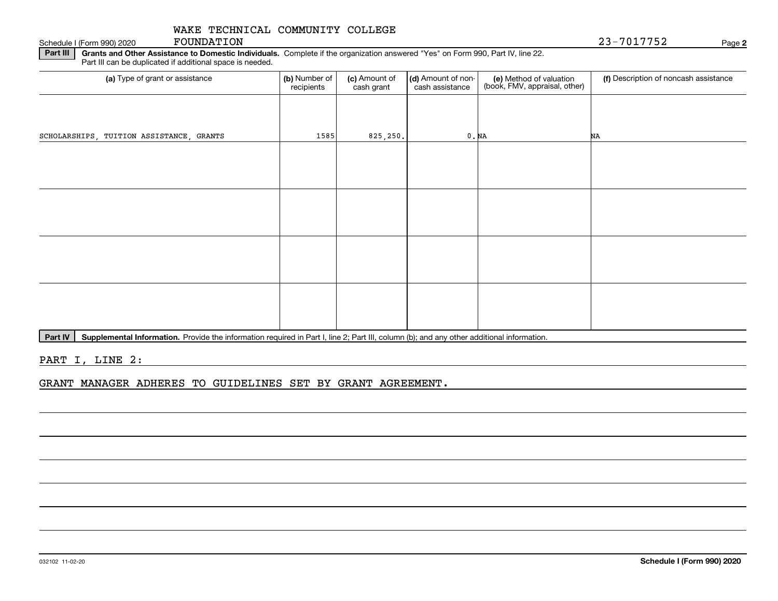Schedule I (Form 990) 2020 FOUNDATION

**Part III | Grants and Other Assistance to Domestic Individuals. Complete if the organization answered "Yes" on Form 990, Part IV, line 22.** Part III can be duplicated if additional space is needed.

| (b) Number of<br>recipients | (c) Amount of<br>cash grant | (d) Amount of non-<br>cash assistance | (e) Method of valuation<br>(book, FMV, appraisal, other) | (f) Description of noncash assistance |
|-----------------------------|-----------------------------|---------------------------------------|----------------------------------------------------------|---------------------------------------|
|                             |                             |                                       |                                                          |                                       |
| 1585                        |                             |                                       |                                                          | NA                                    |
|                             |                             |                                       |                                                          |                                       |
|                             |                             |                                       |                                                          |                                       |
|                             |                             |                                       |                                                          |                                       |
|                             |                             |                                       |                                                          |                                       |
|                             |                             |                                       |                                                          |                                       |
|                             |                             |                                       |                                                          |                                       |
|                             |                             |                                       |                                                          |                                       |
|                             |                             |                                       |                                                          |                                       |
|                             |                             |                                       | 825, 250.                                                | 0. N <sub>A</sub>                     |

Part IV | Supplemental Information. Provide the information required in Part I, line 2; Part III, column (b); and any other additional information.

PART I, LINE 2:

GRANT MANAGER ADHERES TO GUIDELINES SET BY GRANT AGREEMENT.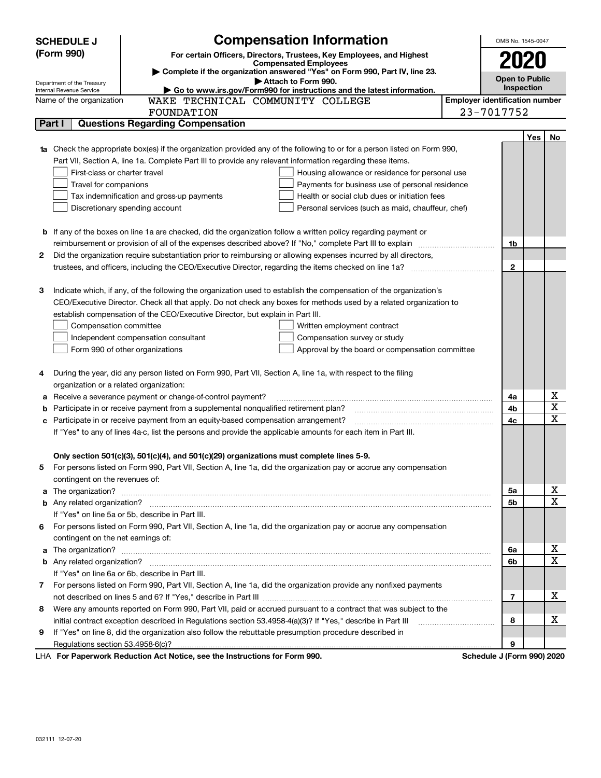|    | <b>Compensation Information</b><br><b>SCHEDULE J</b>                                                                            |                                       | OMB No. 1545-0047     |     |                  |
|----|---------------------------------------------------------------------------------------------------------------------------------|---------------------------------------|-----------------------|-----|------------------|
|    | (Form 990)<br>For certain Officers, Directors, Trustees, Key Employees, and Highest                                             |                                       |                       |     |                  |
|    | <b>Compensated Employees</b>                                                                                                    |                                       | 2020                  |     |                  |
|    | Complete if the organization answered "Yes" on Form 990, Part IV, line 23.<br>Attach to Form 990.<br>Department of the Treasury |                                       | <b>Open to Public</b> |     |                  |
|    | Go to www.irs.gov/Form990 for instructions and the latest information.<br>Internal Revenue Service                              |                                       | Inspection            |     |                  |
|    | WAKE TECHNICAL COMMUNITY COLLEGE<br>Name of the organization                                                                    | <b>Employer identification number</b> |                       |     |                  |
|    | FOUNDATION                                                                                                                      | 23-7017752                            |                       |     |                  |
|    | <b>Questions Regarding Compensation</b><br>Part I                                                                               |                                       |                       |     |                  |
|    |                                                                                                                                 |                                       |                       | Yes | No               |
|    | Check the appropriate box(es) if the organization provided any of the following to or for a person listed on Form 990,          |                                       |                       |     |                  |
|    | Part VII, Section A, line 1a. Complete Part III to provide any relevant information regarding these items.                      |                                       |                       |     |                  |
|    | First-class or charter travel<br>Housing allowance or residence for personal use                                                |                                       |                       |     |                  |
|    | Travel for companions<br>Payments for business use of personal residence                                                        |                                       |                       |     |                  |
|    | Health or social club dues or initiation fees<br>Tax indemnification and gross-up payments                                      |                                       |                       |     |                  |
|    | Discretionary spending account<br>Personal services (such as maid, chauffeur, chef)                                             |                                       |                       |     |                  |
|    | <b>b</b> If any of the boxes on line 1a are checked, did the organization follow a written policy regarding payment or          |                                       |                       |     |                  |
|    |                                                                                                                                 |                                       |                       |     |                  |
|    | Did the organization require substantiation prior to reimbursing or allowing expenses incurred by all directors,                |                                       | 1b                    |     |                  |
| 2  |                                                                                                                                 |                                       | $\mathbf{2}$          |     |                  |
|    |                                                                                                                                 |                                       |                       |     |                  |
| з  | Indicate which, if any, of the following the organization used to establish the compensation of the organization's              |                                       |                       |     |                  |
|    | CEO/Executive Director. Check all that apply. Do not check any boxes for methods used by a related organization to              |                                       |                       |     |                  |
|    | establish compensation of the CEO/Executive Director, but explain in Part III.                                                  |                                       |                       |     |                  |
|    | Compensation committee<br>Written employment contract                                                                           |                                       |                       |     |                  |
|    | Compensation survey or study<br>Independent compensation consultant                                                             |                                       |                       |     |                  |
|    | Form 990 of other organizations<br>Approval by the board or compensation committee                                              |                                       |                       |     |                  |
|    |                                                                                                                                 |                                       |                       |     |                  |
| 4  | During the year, did any person listed on Form 990, Part VII, Section A, line 1a, with respect to the filing                    |                                       |                       |     |                  |
|    | organization or a related organization:                                                                                         |                                       |                       |     |                  |
| а  | Receive a severance payment or change-of-control payment?                                                                       |                                       | 4a                    |     | х                |
|    | Participate in or receive payment from a supplemental nonqualified retirement plan?                                             |                                       | 4b                    |     | $\mathbf X$      |
|    | Participate in or receive payment from an equity-based compensation arrangement?                                                |                                       | 4с                    |     | X                |
|    | If "Yes" to any of lines 4a-c, list the persons and provide the applicable amounts for each item in Part III.                   |                                       |                       |     |                  |
|    |                                                                                                                                 |                                       |                       |     |                  |
|    | Only section 501(c)(3), 501(c)(4), and 501(c)(29) organizations must complete lines 5-9.                                        |                                       |                       |     |                  |
| 5  | For persons listed on Form 990, Part VII, Section A, line 1a, did the organization pay or accrue any compensation               |                                       |                       |     |                  |
|    | contingent on the revenues of:                                                                                                  |                                       |                       |     |                  |
| a  |                                                                                                                                 |                                       | 5а                    |     | х<br>$\mathbf X$ |
|    |                                                                                                                                 |                                       | 5b                    |     |                  |
|    | If "Yes" on line 5a or 5b, describe in Part III.                                                                                |                                       |                       |     |                  |
| 6. | For persons listed on Form 990, Part VII, Section A, line 1a, did the organization pay or accrue any compensation               |                                       |                       |     |                  |
|    | contingent on the net earnings of:                                                                                              |                                       |                       |     | х                |
| a  |                                                                                                                                 |                                       | 6a<br>6b              |     | $\mathbf X$      |
|    | If "Yes" on line 6a or 6b, describe in Part III.                                                                                |                                       |                       |     |                  |
|    | 7 For persons listed on Form 990, Part VII, Section A, line 1a, did the organization provide any nonfixed payments              |                                       |                       |     |                  |
|    |                                                                                                                                 |                                       | 7                     |     | х                |
| 8  | Were any amounts reported on Form 990, Part VII, paid or accrued pursuant to a contract that was subject to the                 |                                       |                       |     |                  |
|    | initial contract exception described in Regulations section 53.4958-4(a)(3)? If "Yes," describe in Part III                     |                                       | 8                     |     | х                |
| 9  | If "Yes" on line 8, did the organization also follow the rebuttable presumption procedure described in                          |                                       |                       |     |                  |
|    |                                                                                                                                 |                                       | 9                     |     |                  |
|    | LHA For Penerwork Poduction Act Notice, see the Instructions for Form 000                                                       | Schodule I (Form 000) 2020            |                       |     |                  |

LHA For Paperwork Reduction Act Notice, see the Instructions for Form 990. Schedule J (Form 990) 2020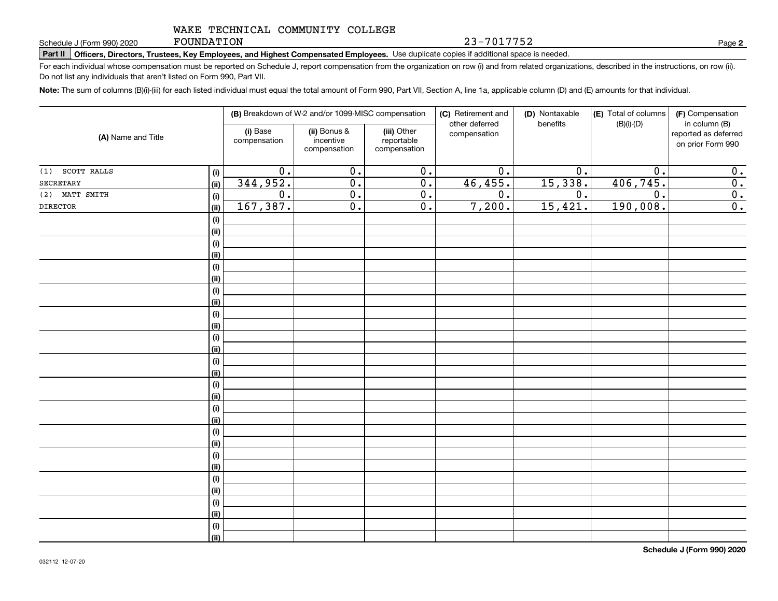FOUNDATION

23-7017752

**2**

**Part II Officers, Directors, Trustees, Key Employees, and Highest Compensated Employees.**  Schedule J (Form 990) 2020 Page Use duplicate copies if additional space is needed.

For each individual whose compensation must be reported on Schedule J, report compensation from the organization on row (i) and from related organizations, described in the instructions, on row (ii). Do not list any individuals that aren't listed on Form 990, Part VII.

**Note:**  The sum of columns (B)(i)-(iii) for each listed individual must equal the total amount of Form 990, Part VII, Section A, line 1a, applicable column (D) and (E) amounts for that individual.

|                    |                    |                          | (B) Breakdown of W-2 and/or 1099-MISC compensation |                                           | (C) Retirement and<br>other deferred | (D) Nontaxable<br>benefits | (E) Total of columns<br>$(B)(i)-(D)$ | (F) Compensation<br>in column (B)         |
|--------------------|--------------------|--------------------------|----------------------------------------------------|-------------------------------------------|--------------------------------------|----------------------------|--------------------------------------|-------------------------------------------|
| (A) Name and Title |                    | (i) Base<br>compensation | (ii) Bonus &<br>incentive<br>compensation          | (iii) Other<br>reportable<br>compensation | compensation                         |                            |                                      | reported as deferred<br>on prior Form 990 |
| SCOTT RALLS<br>(1) | (i)                | 0.                       | 0.                                                 | 0.                                        | 0.                                   | 0.                         | 0.                                   | 0.                                        |
| SECRETARY          | <u>(ii)</u>        | 344,952.                 | $\overline{0}$ .                                   | $\overline{0}$ .                          | 46,455.                              | 15,338.                    | 406,745.                             | 0.                                        |
| (2) MATT SMITH     | (i)                | 0.                       | $\overline{0}$ .                                   | 0.                                        | 0.                                   | 0.                         | $\overline{0}$ .                     | 0.                                        |
| <b>DIRECTOR</b>    | (ii)               | 167,387.                 | $\overline{0}$ .                                   | $\overline{0}$ .                          | 7,200.                               | 15,421.                    | 190,008.                             | 0.                                        |
|                    | (i)                |                          |                                                    |                                           |                                      |                            |                                      |                                           |
|                    | <u>(ii)</u>        |                          |                                                    |                                           |                                      |                            |                                      |                                           |
|                    | (i)                |                          |                                                    |                                           |                                      |                            |                                      |                                           |
|                    | <u>(ii)</u>        |                          |                                                    |                                           |                                      |                            |                                      |                                           |
|                    | (i)                |                          |                                                    |                                           |                                      |                            |                                      |                                           |
|                    | <u>(ii)</u>        |                          |                                                    |                                           |                                      |                            |                                      |                                           |
|                    | (i)                |                          |                                                    |                                           |                                      |                            |                                      |                                           |
|                    | <u>(ii)</u>        |                          |                                                    |                                           |                                      |                            |                                      |                                           |
|                    | (i)                |                          |                                                    |                                           |                                      |                            |                                      |                                           |
|                    | <u>(ii)</u>        |                          |                                                    |                                           |                                      |                            |                                      |                                           |
|                    | (i)                |                          |                                                    |                                           |                                      |                            |                                      |                                           |
|                    | <u>(ii)</u>        |                          |                                                    |                                           |                                      |                            |                                      |                                           |
|                    | (i)                |                          |                                                    |                                           |                                      |                            |                                      |                                           |
|                    | <u>(ii)</u>        |                          |                                                    |                                           |                                      |                            |                                      |                                           |
|                    | (i)<br><u>(ii)</u> |                          |                                                    |                                           |                                      |                            |                                      |                                           |
|                    | (i)                |                          |                                                    |                                           |                                      |                            |                                      |                                           |
|                    | <u>(ii)</u>        |                          |                                                    |                                           |                                      |                            |                                      |                                           |
|                    | (i)                |                          |                                                    |                                           |                                      |                            |                                      |                                           |
|                    | <u>(ii)</u>        |                          |                                                    |                                           |                                      |                            |                                      |                                           |
|                    | (i)                |                          |                                                    |                                           |                                      |                            |                                      |                                           |
|                    | <u>(ii)</u>        |                          |                                                    |                                           |                                      |                            |                                      |                                           |
|                    | (i)                |                          |                                                    |                                           |                                      |                            |                                      |                                           |
|                    | <u>(ii)</u>        |                          |                                                    |                                           |                                      |                            |                                      |                                           |
|                    | (i)                |                          |                                                    |                                           |                                      |                            |                                      |                                           |
|                    | <u>(ii)</u>        |                          |                                                    |                                           |                                      |                            |                                      |                                           |
|                    | (i)                |                          |                                                    |                                           |                                      |                            |                                      |                                           |
|                    | $\overline{}}$     |                          |                                                    |                                           |                                      |                            |                                      |                                           |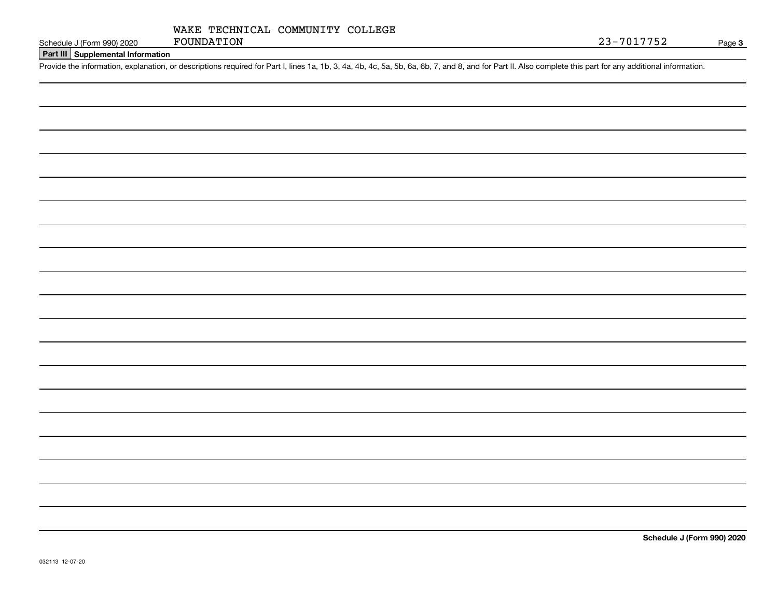**Part III Supplemental Information**

Schedule J (Form 990) 2020 FOUNDATION<br>Part III Supplemental Information<br>Provide the information, explanation, or descriptions required for Part I, lines 1a, 1b, 3, 4a, 4b, 4c, 5a, 5b, 6a, 6b, 7, and 8, and for Part II. Als

**Schedule J (Form 990) 2020**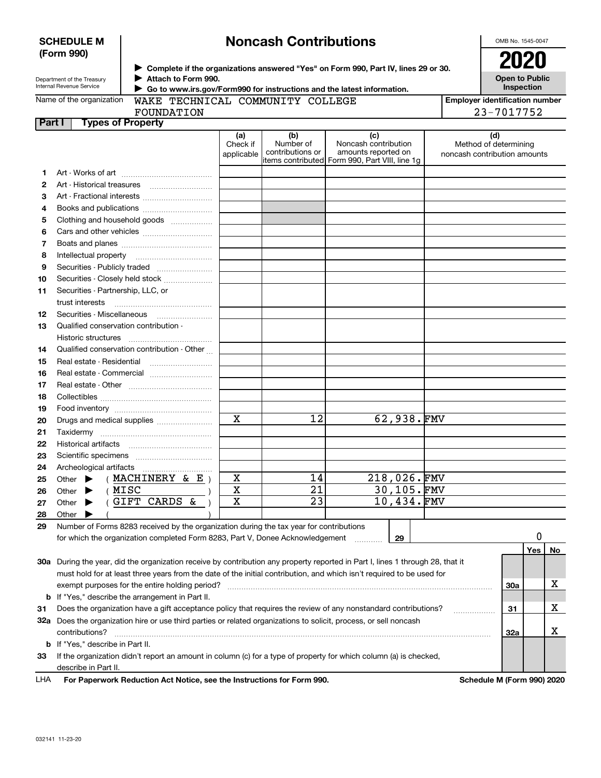| <b>SCHEDULE M</b> |  |
|-------------------|--|
| (Form 990)        |  |

# **Noncash Contributions**

OMB No. 1545-0047

| Department of the Treasury |  |
|----------------------------|--|

**Complete if the organizations answered "Yes" on Form 990, Part IV, lines 29 or 30.** <sup>J</sup>**2020 Attach to Form 990.** J  **Go to www.irs.gov/Form990 for instructions and the latest information.**

**Open to Public Inspection**

| (a)<br>Check if<br>applicable<br>Art - Fractional interests<br>Books and publications <i></i><br>Clothing and household goods<br>Securities - Publicly traded<br>Securities - Closely held stock | WAKE TECHNICAL COMMUNITY COLLEGE<br>(b)<br>Number of<br>contributions or | (c)<br>Noncash contribution<br>amounts reported on<br>items contributed  Form 990, Part VIII, line 1g |                                                                                                                                                                                | <b>Employer identification number</b><br>23-7017752<br>(d)<br>Method of determining<br>noncash contribution amounts                                              |
|--------------------------------------------------------------------------------------------------------------------------------------------------------------------------------------------------|--------------------------------------------------------------------------|-------------------------------------------------------------------------------------------------------|--------------------------------------------------------------------------------------------------------------------------------------------------------------------------------|------------------------------------------------------------------------------------------------------------------------------------------------------------------|
|                                                                                                                                                                                                  |                                                                          |                                                                                                       |                                                                                                                                                                                |                                                                                                                                                                  |
|                                                                                                                                                                                                  |                                                                          |                                                                                                       |                                                                                                                                                                                |                                                                                                                                                                  |
|                                                                                                                                                                                                  |                                                                          |                                                                                                       |                                                                                                                                                                                |                                                                                                                                                                  |
|                                                                                                                                                                                                  |                                                                          |                                                                                                       |                                                                                                                                                                                |                                                                                                                                                                  |
|                                                                                                                                                                                                  |                                                                          |                                                                                                       |                                                                                                                                                                                |                                                                                                                                                                  |
|                                                                                                                                                                                                  |                                                                          |                                                                                                       |                                                                                                                                                                                |                                                                                                                                                                  |
|                                                                                                                                                                                                  |                                                                          |                                                                                                       |                                                                                                                                                                                |                                                                                                                                                                  |
|                                                                                                                                                                                                  |                                                                          |                                                                                                       |                                                                                                                                                                                |                                                                                                                                                                  |
|                                                                                                                                                                                                  |                                                                          |                                                                                                       |                                                                                                                                                                                |                                                                                                                                                                  |
|                                                                                                                                                                                                  |                                                                          |                                                                                                       |                                                                                                                                                                                |                                                                                                                                                                  |
|                                                                                                                                                                                                  |                                                                          |                                                                                                       |                                                                                                                                                                                |                                                                                                                                                                  |
|                                                                                                                                                                                                  |                                                                          |                                                                                                       |                                                                                                                                                                                |                                                                                                                                                                  |
|                                                                                                                                                                                                  |                                                                          |                                                                                                       |                                                                                                                                                                                |                                                                                                                                                                  |
|                                                                                                                                                                                                  |                                                                          |                                                                                                       |                                                                                                                                                                                |                                                                                                                                                                  |
|                                                                                                                                                                                                  |                                                                          |                                                                                                       |                                                                                                                                                                                |                                                                                                                                                                  |
|                                                                                                                                                                                                  |                                                                          |                                                                                                       |                                                                                                                                                                                |                                                                                                                                                                  |
|                                                                                                                                                                                                  |                                                                          |                                                                                                       |                                                                                                                                                                                |                                                                                                                                                                  |
|                                                                                                                                                                                                  |                                                                          |                                                                                                       |                                                                                                                                                                                |                                                                                                                                                                  |
|                                                                                                                                                                                                  |                                                                          |                                                                                                       |                                                                                                                                                                                |                                                                                                                                                                  |
| Qualified conservation contribution - Other                                                                                                                                                      |                                                                          |                                                                                                       |                                                                                                                                                                                |                                                                                                                                                                  |
| Real estate - Residential                                                                                                                                                                        |                                                                          |                                                                                                       |                                                                                                                                                                                |                                                                                                                                                                  |
| Real estate - Commercial                                                                                                                                                                         |                                                                          |                                                                                                       |                                                                                                                                                                                |                                                                                                                                                                  |
|                                                                                                                                                                                                  |                                                                          |                                                                                                       |                                                                                                                                                                                |                                                                                                                                                                  |
|                                                                                                                                                                                                  |                                                                          |                                                                                                       |                                                                                                                                                                                |                                                                                                                                                                  |
|                                                                                                                                                                                                  |                                                                          |                                                                                                       |                                                                                                                                                                                |                                                                                                                                                                  |
| $\overline{\mathbf{x}}$<br>Drugs and medical supplies                                                                                                                                            | $\overline{12}$                                                          | 62,938.FMV                                                                                            |                                                                                                                                                                                |                                                                                                                                                                  |
|                                                                                                                                                                                                  |                                                                          |                                                                                                       |                                                                                                                                                                                |                                                                                                                                                                  |
|                                                                                                                                                                                                  |                                                                          |                                                                                                       |                                                                                                                                                                                |                                                                                                                                                                  |
|                                                                                                                                                                                                  |                                                                          |                                                                                                       |                                                                                                                                                                                |                                                                                                                                                                  |
|                                                                                                                                                                                                  |                                                                          |                                                                                                       |                                                                                                                                                                                |                                                                                                                                                                  |
| (MACHINERY & E)                                                                                                                                                                                  |                                                                          |                                                                                                       |                                                                                                                                                                                |                                                                                                                                                                  |
|                                                                                                                                                                                                  |                                                                          |                                                                                                       |                                                                                                                                                                                |                                                                                                                                                                  |
|                                                                                                                                                                                                  |                                                                          |                                                                                                       |                                                                                                                                                                                |                                                                                                                                                                  |
|                                                                                                                                                                                                  |                                                                          |                                                                                                       |                                                                                                                                                                                |                                                                                                                                                                  |
|                                                                                                                                                                                                  |                                                                          |                                                                                                       |                                                                                                                                                                                |                                                                                                                                                                  |
|                                                                                                                                                                                                  |                                                                          |                                                                                                       |                                                                                                                                                                                | 0                                                                                                                                                                |
|                                                                                                                                                                                                  |                                                                          | .                                                                                                     |                                                                                                                                                                                | Yes<br>No                                                                                                                                                        |
| GIFT CARDS &                                                                                                                                                                                     |                                                                          |                                                                                                       | Number of Forms 8283 received by the organization during the tax year for contributions<br>for which the organization completed Form 8283, Part V, Donee Acknowledgement<br>29 | 30a During the year, did the organization receive by contribution any property reported in Part I, lines 1 through 28, that it                                   |
|                                                                                                                                                                                                  | $\mathbf X$<br>$\overline{\mathbf{x}}$<br>$\mathbf X$                    | 14<br>$\overline{21}$<br>$\overline{23}$                                                              |                                                                                                                                                                                | 218,026.FMV<br>30,105.FMV<br>10,434.FMV<br>must hold for at least three years from the date of the initial contribution, and which isn't required to be used for |

**31**Does the organization have a gift acceptance policy that requires the review of any nonstandard contributions? ~~~~~~**b** If "Yes," describe the arrangement in Part II.

**32a** Does the organization hire or use third parties or related organizations to solicit, process, or sell noncash **33**If the organization didn't report an amount in column (c) for a type of property for which column (a) is checked, **b** If "Yes," describe in Part II. . . . . . . . . . . . . . . . . . . . . contributions? ~~~~~~~~~~~~~~~~~~~~~~~~~~~~~~~~~~~~~~~~~~~~~~~~~~~~~~ describe in Part II.

**For Paperwork Reduction Act Notice, see the Instructions for Form 990. Schedule M (Form 990) 2020** LHA

**31**

X

X

**32a**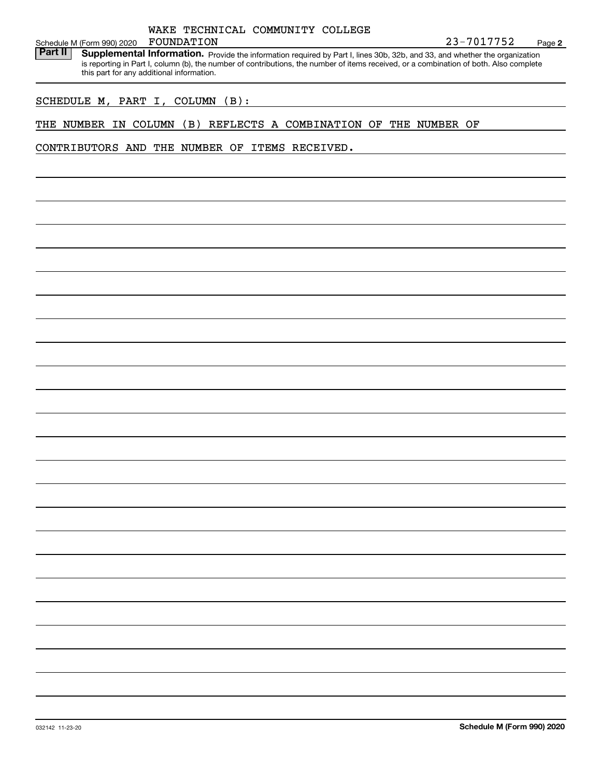|            | WAKE TECHNICAL COMMUNITY COLLEGE |  |
|------------|----------------------------------|--|
| FOUNDATION |                                  |  |

**2**

Schedule M (Form 990) 2020 FOUNDATION 23-7017752<br>**Part II** Supplemental Information. Provide the information required by Part Llines 30b, 32b, and 33, and whether the organization. Part II | Supplemental Information. Provide the information required by Part I, lines 30b, 32b, and 33, and whether the organization is reporting in Part I, column (b), the number of contributions, the number of items received, or a combination of both. Also complete this part for any additional information.

### SCHEDULE M, PART I, COLUMN (B):

### THE NUMBER IN COLUMN (B) REFLECTS A COMBINATION OF THE NUMBER OF

### CONTRIBUTORS AND THE NUMBER OF ITEMS RECEIVED.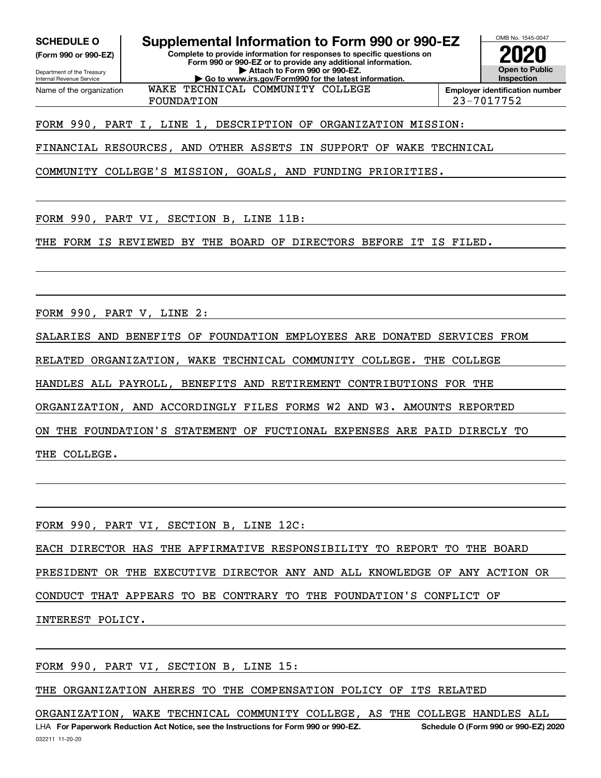**(Form 990 or 990-EZ)**

Department of the Treasury Internal Revenue Service Name of the organization

**SCHEDULE O Supplemental Information to Form 990 or 990-EZ**

**Complete to provide information for responses to specific questions on Form 990 or 990-EZ or to provide any additional information. | Attach to Form 990 or 990-EZ. | Go to www.irs.gov/Form990 for the latest information.**



FOUNDATION 23-7017752

FORM 990, PART I, LINE 1, DESCRIPTION OF ORGANIZATION MISSION:

WAKE TECHNICAL COMMUNITY COLLEGE

FINANCIAL RESOURCES, AND OTHER ASSETS IN SUPPORT OF WAKE TECHNICAL

COMMUNITY COLLEGE'S MISSION, GOALS, AND FUNDING PRIORITIES.

FORM 990, PART VI, SECTION B, LINE 11B:

THE FORM IS REVIEWED BY THE BOARD OF DIRECTORS BEFORE IT IS FILED.

FORM 990, PART V, LINE 2:

SALARIES AND BENEFITS OF FOUNDATION EMPLOYEES ARE DONATED SERVICES FROM

RELATED ORGANIZATION, WAKE TECHNICAL COMMUNITY COLLEGE. THE COLLEGE

HANDLES ALL PAYROLL, BENEFITS AND RETIREMENT CONTRIBUTIONS FOR THE

ORGANIZATION, AND ACCORDINGLY FILES FORMS W2 AND W3. AMOUNTS REPORTED

ON THE FOUNDATION'S STATEMENT OF FUCTIONAL EXPENSES ARE PAID DIRECLY TO

THE COLLEGE.

FORM 990, PART VI, SECTION B, LINE 12C:

EACH DIRECTOR HAS THE AFFIRMATIVE RESPONSIBILITY TO REPORT TO THE BOARD

PRESIDENT OR THE EXECUTIVE DIRECTOR ANY AND ALL KNOWLEDGE OF ANY ACTION OR

CONDUCT THAT APPEARS TO BE CONTRARY TO THE FOUNDATION'S CONFLICT OF

INTEREST POLICY.

FORM 990, PART VI, SECTION B, LINE 15:

THE ORGANIZATION AHERES TO THE COMPENSATION POLICY OF ITS RELATED

LHA For Paperwork Reduction Act Notice, see the Instructions for Form 990 or 990-EZ. Schedule O (Form 990 or 990-EZ) 2020 ORGANIZATION, WAKE TECHNICAL COMMUNITY COLLEGE, AS THE COLLEGE HANDLES ALL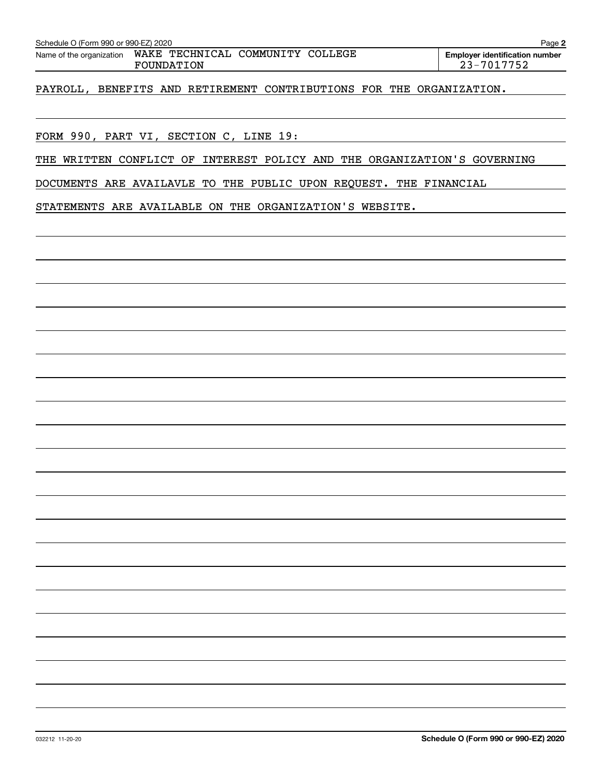| 032212 11-20-20 | Schedule O (Form 990 or 990-EZ) 2020 |
|-----------------|--------------------------------------|

PAYROLL, BENEFITS AND RETIREMENT CONTRIBUTIONS FOR THE ORGANIZATION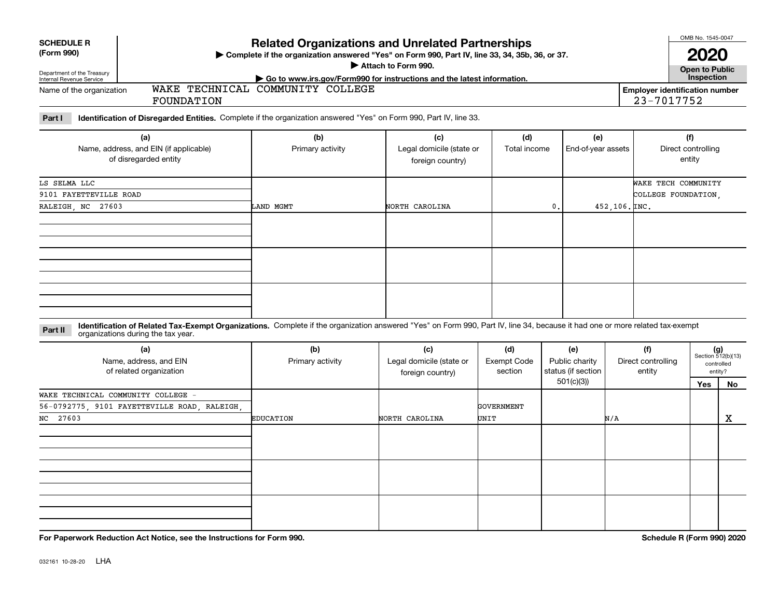| <b>SCHEDULE R</b><br>(Form 990)                        |                                                                                                                                                                                                                    | <b>Related Organizations and Unrelated Partnerships</b><br>> Complete if the organization answered "Yes" on Form 990, Part IV, line 33, 34, 35b, 36, or 37. | Attach to Form 990.                                                        |                                      |                |                                             |                           |                                                     | OMB No. 1545-0047<br><b>Open to Public</b> |                                                      |                                     |  |  |
|--------------------------------------------------------|--------------------------------------------------------------------------------------------------------------------------------------------------------------------------------------------------------------------|-------------------------------------------------------------------------------------------------------------------------------------------------------------|----------------------------------------------------------------------------|--------------------------------------|----------------|---------------------------------------------|---------------------------|-----------------------------------------------------|--------------------------------------------|------------------------------------------------------|-------------------------------------|--|--|
| Department of the Treasury<br>Internal Revenue Service |                                                                                                                                                                                                                    |                                                                                                                                                             | Go to www.irs.gov/Form990 for instructions and the latest information.     |                                      |                |                                             |                           |                                                     | Inspection                                 |                                                      |                                     |  |  |
| Name of the organization                               | FOUNDATION                                                                                                                                                                                                         | WAKE TECHNICAL COMMUNITY COLLEGE                                                                                                                            |                                                                            |                                      |                |                                             |                           | <b>Employer identification number</b><br>23-7017752 |                                            |                                                      |                                     |  |  |
| Part I                                                 | Identification of Disregarded Entities. Complete if the organization answered "Yes" on Form 990, Part IV, line 33.                                                                                                 |                                                                                                                                                             |                                                                            |                                      |                |                                             |                           |                                                     |                                            |                                                      |                                     |  |  |
|                                                        | (a)<br>Name, address, and EIN (if applicable)<br>of disregarded entity                                                                                                                                             | (b)<br>Primary activity                                                                                                                                     | (c)<br>(d)<br>Legal domicile (state or<br>Total income<br>foreign country) |                                      |                |                                             | (e)<br>End-of-year assets |                                                     |                                            |                                                      | (f)<br>Direct controlling<br>entity |  |  |
| LS SELMA LLC                                           |                                                                                                                                                                                                                    |                                                                                                                                                             |                                                                            |                                      |                |                                             |                           | WAKE TECH COMMUNITY                                 |                                            |                                                      |                                     |  |  |
| 9101 FAYETTEVILLE ROAD                                 |                                                                                                                                                                                                                    |                                                                                                                                                             |                                                                            |                                      |                |                                             |                           | COLLEGE FOUNDATION.                                 |                                            |                                                      |                                     |  |  |
| RALEIGH, NC 27603                                      |                                                                                                                                                                                                                    | LAND MGMT                                                                                                                                                   | NORTH CAROLINA                                                             |                                      | $\mathbf{0}$ . |                                             | $452, 106,$ $ INC$ .      |                                                     |                                            |                                                      |                                     |  |  |
|                                                        |                                                                                                                                                                                                                    |                                                                                                                                                             |                                                                            |                                      |                |                                             |                           |                                                     |                                            |                                                      |                                     |  |  |
|                                                        |                                                                                                                                                                                                                    |                                                                                                                                                             |                                                                            |                                      |                |                                             |                           |                                                     |                                            |                                                      |                                     |  |  |
|                                                        |                                                                                                                                                                                                                    |                                                                                                                                                             |                                                                            |                                      |                |                                             |                           |                                                     |                                            |                                                      |                                     |  |  |
| Part II                                                | Identification of Related Tax-Exempt Organizations. Complete if the organization answered "Yes" on Form 990, Part IV, line 34, because it had one or more related tax-exempt<br>organizations during the tax year. |                                                                                                                                                             |                                                                            |                                      |                |                                             |                           |                                                     |                                            |                                                      |                                     |  |  |
|                                                        | (a)<br>Name, address, and EIN<br>of related organization                                                                                                                                                           | (b)<br>Primary activity                                                                                                                                     | (c)<br>Legal domicile (state or<br>foreign country)                        | (d)<br><b>Exempt Code</b><br>section |                | (e)<br>Public charity<br>status (if section |                           | (f)<br>Direct controlling<br>entity                 |                                            | $(g)$<br>Section 512(b)(13)<br>controlled<br>entity? |                                     |  |  |
|                                                        |                                                                                                                                                                                                                    |                                                                                                                                                             |                                                                            |                                      |                | 501(c)(3)                                   |                           |                                                     | Yes                                        | No                                                   |                                     |  |  |
| WAKE TECHNICAL COMMUNITY COLLEGE                       |                                                                                                                                                                                                                    |                                                                                                                                                             |                                                                            |                                      |                |                                             |                           |                                                     |                                            |                                                      |                                     |  |  |
| NC 27603                                               | 56-0792775 9101 FAYETTEVILLE ROAD RALEIGH                                                                                                                                                                          | <b>EDUCATION</b>                                                                                                                                            | NORTH CAROLINA                                                             | GOVERNMENT<br>UNIT                   |                |                                             | N/A                       |                                                     |                                            | $\mathbf X$                                          |                                     |  |  |
|                                                        |                                                                                                                                                                                                                    |                                                                                                                                                             |                                                                            |                                      |                |                                             |                           |                                                     |                                            |                                                      |                                     |  |  |
|                                                        |                                                                                                                                                                                                                    |                                                                                                                                                             |                                                                            |                                      |                |                                             |                           |                                                     |                                            |                                                      |                                     |  |  |
|                                                        |                                                                                                                                                                                                                    |                                                                                                                                                             |                                                                            |                                      |                |                                             |                           |                                                     |                                            |                                                      |                                     |  |  |
|                                                        |                                                                                                                                                                                                                    |                                                                                                                                                             |                                                                            |                                      |                |                                             |                           |                                                     |                                            |                                                      |                                     |  |  |
|                                                        |                                                                                                                                                                                                                    |                                                                                                                                                             |                                                                            |                                      |                |                                             |                           |                                                     |                                            |                                                      |                                     |  |  |

**For Paperwork Reduction Act Notice, see the Instructions for Form 990. Schedule R (Form 990) 2020**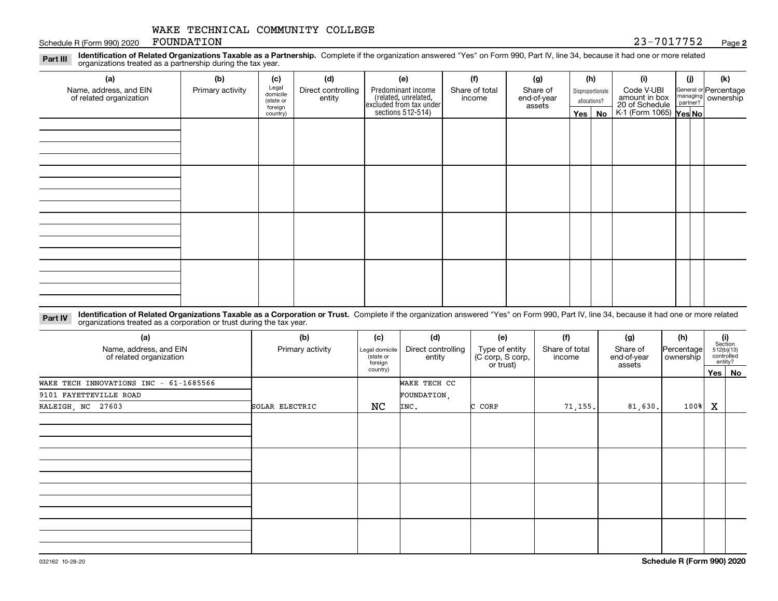#### Schedule R (Form 990) 2020 FOUNDATION 23 - 70 AM SCHEDULE 23 - 70 AM SCHEDULE 23 - 70 AM SCHEDULE 23 FOUNDATION

### **2**

**Identification of Related Organizations Taxable as a Partnership.** Complete if the organization answered "Yes" on Form 990, Part IV, line 34, because it had one or more related **Part III** organizations treated as a partnership during the tax year.

| (a)                                               | (b)              | (c)                  | (d)                          | (e)                                                                 | (f)            | (g)                   |         | (h)              | (i)                                      | (i) | (k)                                                     |
|---------------------------------------------------|------------------|----------------------|------------------------------|---------------------------------------------------------------------|----------------|-----------------------|---------|------------------|------------------------------------------|-----|---------------------------------------------------------|
| Name, address, and EIN<br>of related organization | Primary activity | Legal<br>domicile    | Direct controlling<br>entity | Predominant income                                                  | Share of total | Share of              |         | Disproportionate | Code V-UBI<br>amount in box              |     | General or Percentage<br>managing ownership<br>partner? |
|                                                   |                  | (state or<br>foreign |                              | related, unrelated,<br>excluded from tax under<br>sections 512-514) | income         | end-of-year<br>assets |         | allocations?     |                                          |     |                                                         |
|                                                   |                  | country)             |                              |                                                                     |                |                       | Yes $ $ | No               | 20 of Schedule<br>K-1 (Form 1065) Yes No |     |                                                         |
|                                                   |                  |                      |                              |                                                                     |                |                       |         |                  |                                          |     |                                                         |
|                                                   |                  |                      |                              |                                                                     |                |                       |         |                  |                                          |     |                                                         |
|                                                   |                  |                      |                              |                                                                     |                |                       |         |                  |                                          |     |                                                         |
|                                                   |                  |                      |                              |                                                                     |                |                       |         |                  |                                          |     |                                                         |
|                                                   |                  |                      |                              |                                                                     |                |                       |         |                  |                                          |     |                                                         |
|                                                   |                  |                      |                              |                                                                     |                |                       |         |                  |                                          |     |                                                         |
|                                                   |                  |                      |                              |                                                                     |                |                       |         |                  |                                          |     |                                                         |
|                                                   |                  |                      |                              |                                                                     |                |                       |         |                  |                                          |     |                                                         |
|                                                   |                  |                      |                              |                                                                     |                |                       |         |                  |                                          |     |                                                         |
|                                                   |                  |                      |                              |                                                                     |                |                       |         |                  |                                          |     |                                                         |
|                                                   |                  |                      |                              |                                                                     |                |                       |         |                  |                                          |     |                                                         |
|                                                   |                  |                      |                              |                                                                     |                |                       |         |                  |                                          |     |                                                         |
|                                                   |                  |                      |                              |                                                                     |                |                       |         |                  |                                          |     |                                                         |
|                                                   |                  |                      |                              |                                                                     |                |                       |         |                  |                                          |     |                                                         |
|                                                   |                  |                      |                              |                                                                     |                |                       |         |                  |                                          |     |                                                         |
|                                                   |                  |                      |                              |                                                                     |                |                       |         |                  |                                          |     |                                                         |
|                                                   |                  |                      |                              |                                                                     |                |                       |         |                  |                                          |     |                                                         |

**Identification of Related Organizations Taxable as a Corporation or Trust.** Complete if the organization answered "Yes" on Form 990, Part IV, line 34, because it had one or more related **Part IV** organizations treated as a corporation or trust during the tax year.

| (a)<br>Name, address, and EIN<br>of related organization | (b)<br>Primary activity | (c)<br>Legal domicile<br>(state or<br>foreign | (d)<br>Direct controlling<br>entity | (e)<br>Type of entity<br>(C corp, S corp,<br>or trust) | (f)<br>Share of total<br>income | (g)<br>Share of<br>end-of-year<br>assets | (h)<br>Percentage<br>ownership |   | (i)<br>Section<br>512(b)(13)<br>controlled<br>entity? |
|----------------------------------------------------------|-------------------------|-----------------------------------------------|-------------------------------------|--------------------------------------------------------|---------------------------------|------------------------------------------|--------------------------------|---|-------------------------------------------------------|
|                                                          |                         | country)                                      |                                     |                                                        |                                 |                                          |                                |   | Yes No                                                |
| WAKE TECH INNOVATIONS INC - 61-1685566                   |                         |                                               | WAKE TECH CC                        |                                                        |                                 |                                          |                                |   |                                                       |
| 9101 FAYETTEVILLE ROAD                                   |                         |                                               | FOUNDATION,                         |                                                        |                                 |                                          |                                |   |                                                       |
| RALEIGH, NC 27603                                        | SOLAR ELECTRIC          | NC                                            | INC.                                | C CORP                                                 | 71, 155.                        | 81,630.                                  | 100%                           | Х |                                                       |
|                                                          |                         |                                               |                                     |                                                        |                                 |                                          |                                |   |                                                       |
|                                                          |                         |                                               |                                     |                                                        |                                 |                                          |                                |   |                                                       |
|                                                          |                         |                                               |                                     |                                                        |                                 |                                          |                                |   |                                                       |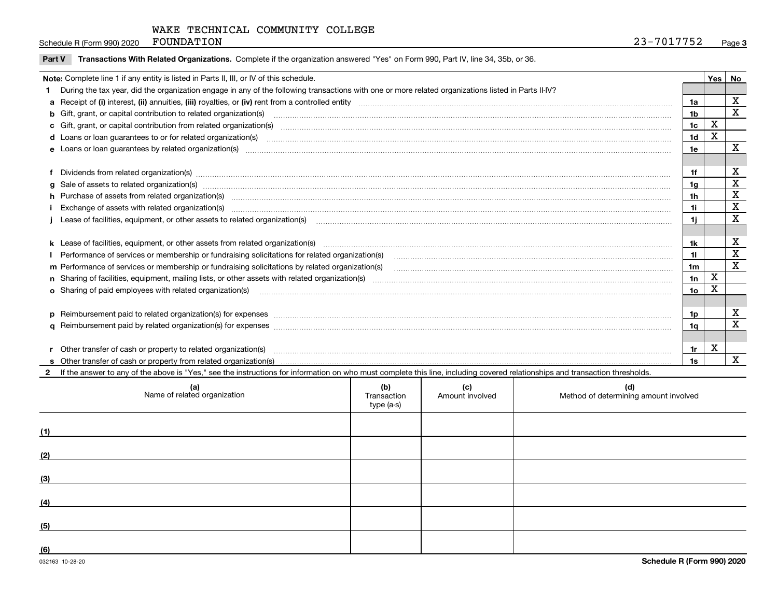Schedule R (Form 990) 2020  $F$  OUNDATION  $23-7017752$ FOUNDATION

|  | Part V Transactions With Related Organizations. Complete if the organization answered "Yes" on Form 990, Part IV, line 34, 35b, or 36. |
|--|----------------------------------------------------------------------------------------------------------------------------------------|
|  |                                                                                                                                        |

| During the tax year, did the organization engage in any of the following transactions with one or more related organizations listed in Parts II-IV?<br>b Gift, grant, or capital contribution to related organization(s) manufaction contains and contribution to related organization(s) manufaction contains and contribution to related organization(s) manufaction and contains a | 1a<br>1 <sub>b</sub><br>1 <sub>c</sub><br>1 <sub>d</sub>                                                                                                                                                                                                                                                                                                                                                                                                         | $\mathbf X$ | X<br>$\overline{\mathbf{x}}$ |
|---------------------------------------------------------------------------------------------------------------------------------------------------------------------------------------------------------------------------------------------------------------------------------------------------------------------------------------------------------------------------------------|------------------------------------------------------------------------------------------------------------------------------------------------------------------------------------------------------------------------------------------------------------------------------------------------------------------------------------------------------------------------------------------------------------------------------------------------------------------|-------------|------------------------------|
|                                                                                                                                                                                                                                                                                                                                                                                       |                                                                                                                                                                                                                                                                                                                                                                                                                                                                  |             |                              |
|                                                                                                                                                                                                                                                                                                                                                                                       |                                                                                                                                                                                                                                                                                                                                                                                                                                                                  |             |                              |
|                                                                                                                                                                                                                                                                                                                                                                                       |                                                                                                                                                                                                                                                                                                                                                                                                                                                                  |             |                              |
|                                                                                                                                                                                                                                                                                                                                                                                       |                                                                                                                                                                                                                                                                                                                                                                                                                                                                  |             |                              |
|                                                                                                                                                                                                                                                                                                                                                                                       |                                                                                                                                                                                                                                                                                                                                                                                                                                                                  | X           |                              |
|                                                                                                                                                                                                                                                                                                                                                                                       | 1e                                                                                                                                                                                                                                                                                                                                                                                                                                                               |             | X                            |
|                                                                                                                                                                                                                                                                                                                                                                                       |                                                                                                                                                                                                                                                                                                                                                                                                                                                                  |             |                              |
| Dividends from related organization(s) www.andron.com/www.andron.com/www.andron.com/www.andron.com/www.andron.com/www.andron.com/www.andron.com/www.andron.com/www.andron.com/www.andron.com/www.andron.com/www.andron.com/www                                                                                                                                                        | 1f                                                                                                                                                                                                                                                                                                                                                                                                                                                               |             | х                            |
| $g$ Sale of assets to related organization(s) with an example and construction of the state of assets to related organization(s) with an example and construction of the state of assets to related organization(s) with an e                                                                                                                                                         | 1g                                                                                                                                                                                                                                                                                                                                                                                                                                                               |             | $\mathbf X$                  |
| h Purchase of assets from related organization(s) manufactured and content to content the content of assets from related organization(s)                                                                                                                                                                                                                                              | 1h                                                                                                                                                                                                                                                                                                                                                                                                                                                               |             | X                            |
|                                                                                                                                                                                                                                                                                                                                                                                       | 1i                                                                                                                                                                                                                                                                                                                                                                                                                                                               |             | X                            |
| Lease of facilities, equipment, or other assets to related organization(s) [11] manufactured content and content and content and content and content and content and content and content and content and content and content a                                                                                                                                                        | 1i.                                                                                                                                                                                                                                                                                                                                                                                                                                                              |             | X                            |
|                                                                                                                                                                                                                                                                                                                                                                                       |                                                                                                                                                                                                                                                                                                                                                                                                                                                                  |             |                              |
|                                                                                                                                                                                                                                                                                                                                                                                       | 1k                                                                                                                                                                                                                                                                                                                                                                                                                                                               |             | X                            |
|                                                                                                                                                                                                                                                                                                                                                                                       | 11                                                                                                                                                                                                                                                                                                                                                                                                                                                               |             | x                            |
| m Performance of services or membership or fundraising solicitations by related organization(s)                                                                                                                                                                                                                                                                                       | 1 <sub>m</sub>                                                                                                                                                                                                                                                                                                                                                                                                                                                   |             | $\overline{\mathbf{x}}$      |
|                                                                                                                                                                                                                                                                                                                                                                                       | 1n                                                                                                                                                                                                                                                                                                                                                                                                                                                               | $\mathbf x$ |                              |
| <b>o</b> Sharing of paid employees with related organization(s)                                                                                                                                                                                                                                                                                                                       | 1o                                                                                                                                                                                                                                                                                                                                                                                                                                                               | X           |                              |
|                                                                                                                                                                                                                                                                                                                                                                                       |                                                                                                                                                                                                                                                                                                                                                                                                                                                                  |             |                              |
|                                                                                                                                                                                                                                                                                                                                                                                       | 1p.                                                                                                                                                                                                                                                                                                                                                                                                                                                              |             | х                            |
|                                                                                                                                                                                                                                                                                                                                                                                       | 1q                                                                                                                                                                                                                                                                                                                                                                                                                                                               |             | $\mathbf X$                  |
|                                                                                                                                                                                                                                                                                                                                                                                       |                                                                                                                                                                                                                                                                                                                                                                                                                                                                  |             |                              |
| Other transfer of cash or property to related organization(s)                                                                                                                                                                                                                                                                                                                         | 1r                                                                                                                                                                                                                                                                                                                                                                                                                                                               | X           |                              |
|                                                                                                                                                                                                                                                                                                                                                                                       |                                                                                                                                                                                                                                                                                                                                                                                                                                                                  |             |                              |
|                                                                                                                                                                                                                                                                                                                                                                                       | Performance of services or membership or fundraising solicitations for related organization(s) [11] processors content in the series of services or membership or fundraising solicitations for related organization(s) [11] p<br>p Reimbursement paid to related organization(s) for expenses [11111] [12] Reimburser manufactured and area organization (s) for expenses [1111] [12] manufactured manufactured and area of Reimburser manufactured and area of |             |                              |

| (a)<br>Name of related organization | (b)<br>Transaction<br>type (a-s) | (c)<br>Amount involved | (d)<br>Method of determining amount involved |
|-------------------------------------|----------------------------------|------------------------|----------------------------------------------|
| (1)                                 |                                  |                        |                                              |
| (2)                                 |                                  |                        |                                              |
| (3)                                 |                                  |                        |                                              |
| (4)                                 |                                  |                        |                                              |
| (5)                                 |                                  |                        |                                              |
| (6)                                 |                                  |                        |                                              |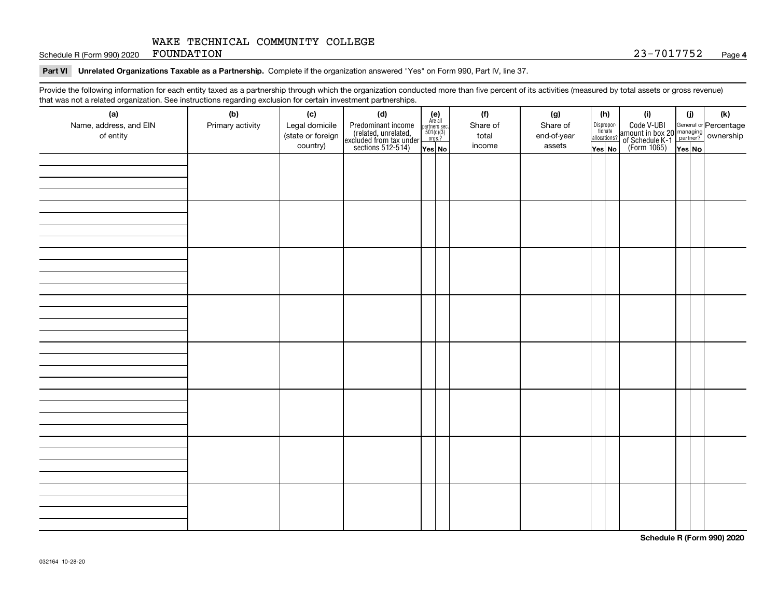Schedule R (Form 990) 2020  ${\rm \bf FOUNDATION}$  . The contract of the contract of the contract of the contract of the contract of the contract of the contract of the contract of the contract of the contract of the contract of the

### **Part VI Unrelated Organizations Taxable as a Partnership. Complete if the organization answered "Yes" on Form 990, Part IV, line 37.**

Provide the following information for each entity taxed as a partnership through which the organization conducted more than five percent of its activities (measured by total assets or gross revenue) that was not a related organization. See instructions regarding exclusion for certain investment partnerships.

| .                             | יי יישוטישייש טיי       |                       | .  . <b>. . .</b><br>                                                                      |                                                          |                 |                 |                       |                                                                                              |     | (k) |
|-------------------------------|-------------------------|-----------------------|--------------------------------------------------------------------------------------------|----------------------------------------------------------|-----------------|-----------------|-----------------------|----------------------------------------------------------------------------------------------|-----|-----|
| (a)<br>Name, address, and EIN | (b)<br>Primary activity | (c)<br>Legal domicile | (d)                                                                                        | (e)<br>Are all<br>partners sec.<br>$501(c)(3)$<br>orgs.? | (f)<br>Share of | (g)<br>Share of | (h)                   | (i)                                                                                          | (i) |     |
| of entity                     |                         | (state or foreign     | Predominant income<br>(related, unrelated,<br>excluded from tax under<br>sections 512-514) |                                                          | total           | end-of-year     | Dispropor-<br>tionate | Code V-UBI<br>amount in box 20 managing<br>of Schedule K-1 partner?<br>(Form 1065)<br>ves No |     |     |
|                               |                         | country)              |                                                                                            |                                                          | income          | assets          | allocations?          |                                                                                              |     |     |
|                               |                         |                       |                                                                                            | Yes No                                                   |                 |                 | Yes│No                |                                                                                              |     |     |
|                               |                         |                       |                                                                                            |                                                          |                 |                 |                       |                                                                                              |     |     |
|                               |                         |                       |                                                                                            |                                                          |                 |                 |                       |                                                                                              |     |     |
|                               |                         |                       |                                                                                            |                                                          |                 |                 |                       |                                                                                              |     |     |
|                               |                         |                       |                                                                                            |                                                          |                 |                 |                       |                                                                                              |     |     |
|                               |                         |                       |                                                                                            |                                                          |                 |                 |                       |                                                                                              |     |     |
|                               |                         |                       |                                                                                            |                                                          |                 |                 |                       |                                                                                              |     |     |
|                               |                         |                       |                                                                                            |                                                          |                 |                 |                       |                                                                                              |     |     |
|                               |                         |                       |                                                                                            |                                                          |                 |                 |                       |                                                                                              |     |     |
|                               |                         |                       |                                                                                            |                                                          |                 |                 |                       |                                                                                              |     |     |
|                               |                         |                       |                                                                                            |                                                          |                 |                 |                       |                                                                                              |     |     |
|                               |                         |                       |                                                                                            |                                                          |                 |                 |                       |                                                                                              |     |     |
|                               |                         |                       |                                                                                            |                                                          |                 |                 |                       |                                                                                              |     |     |
|                               |                         |                       |                                                                                            |                                                          |                 |                 |                       |                                                                                              |     |     |
|                               |                         |                       |                                                                                            |                                                          |                 |                 |                       |                                                                                              |     |     |
|                               |                         |                       |                                                                                            |                                                          |                 |                 |                       |                                                                                              |     |     |
|                               |                         |                       |                                                                                            |                                                          |                 |                 |                       |                                                                                              |     |     |
|                               |                         |                       |                                                                                            |                                                          |                 |                 |                       |                                                                                              |     |     |
|                               |                         |                       |                                                                                            |                                                          |                 |                 |                       |                                                                                              |     |     |
|                               |                         |                       |                                                                                            |                                                          |                 |                 |                       |                                                                                              |     |     |
|                               |                         |                       |                                                                                            |                                                          |                 |                 |                       |                                                                                              |     |     |
|                               |                         |                       |                                                                                            |                                                          |                 |                 |                       |                                                                                              |     |     |
|                               |                         |                       |                                                                                            |                                                          |                 |                 |                       |                                                                                              |     |     |
|                               |                         |                       |                                                                                            |                                                          |                 |                 |                       |                                                                                              |     |     |
|                               |                         |                       |                                                                                            |                                                          |                 |                 |                       |                                                                                              |     |     |
|                               |                         |                       |                                                                                            |                                                          |                 |                 |                       |                                                                                              |     |     |
|                               |                         |                       |                                                                                            |                                                          |                 |                 |                       |                                                                                              |     |     |
|                               |                         |                       |                                                                                            |                                                          |                 |                 |                       |                                                                                              |     |     |
|                               |                         |                       |                                                                                            |                                                          |                 |                 |                       |                                                                                              |     |     |
|                               |                         |                       |                                                                                            |                                                          |                 |                 |                       |                                                                                              |     |     |
|                               |                         |                       |                                                                                            |                                                          |                 |                 |                       |                                                                                              |     |     |
|                               |                         |                       |                                                                                            |                                                          |                 |                 |                       |                                                                                              |     |     |
|                               |                         |                       |                                                                                            |                                                          |                 |                 |                       |                                                                                              |     |     |
|                               |                         |                       |                                                                                            |                                                          |                 |                 |                       |                                                                                              |     |     |
|                               |                         |                       |                                                                                            |                                                          |                 |                 |                       |                                                                                              |     |     |
|                               |                         |                       |                                                                                            |                                                          |                 |                 |                       |                                                                                              |     |     |
|                               |                         |                       |                                                                                            |                                                          |                 |                 |                       |                                                                                              |     |     |

**Schedule R (Form 990) 2020**